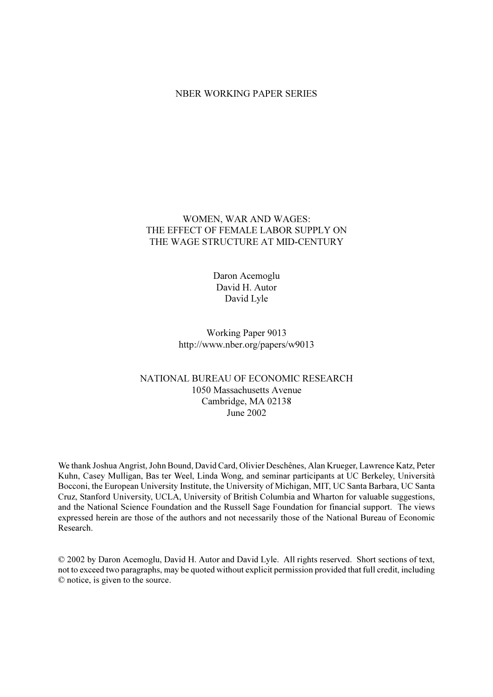# NBER WORKING PAPER SERIES

# WOMEN, WAR AND WAGES: THE EFFECT OF FEMALE LABOR SUPPLY ON THE WAGE STRUCTURE AT MID-CENTURY

Daron Acemoglu David H. Autor David Lyle

Working Paper 9013 http://www.nber.org/papers/w9013

# NATIONAL BUREAU OF ECONOMIC RESEARCH 1050 Massachusetts Avenue Cambridge, MA 02138 June 2002

We thank Joshua Angrist, John Bound, David Card, Olivier Deschênes, Alan Krueger, Lawrence Katz, Peter Kuhn, Casey Mulligan, Bas ter Weel, Linda Wong, and seminar participants at UC Berkeley, Università Bocconi, the European University Institute, the University of Michigan, MIT, UC Santa Barbara, UC Santa Cruz, Stanford University, UCLA, University of British Columbia and Wharton for valuable suggestions, and the National Science Foundation and the Russell Sage Foundation for financial support. The views expressed herein are those of the authors and not necessarily those of the National Bureau of Economic Research.

© 2002 by Daron Acemoglu, David H. Autor and David Lyle. All rights reserved. Short sections of text, not to exceed two paragraphs, may be quoted without explicit permission provided that full credit, including © notice, is given to the source.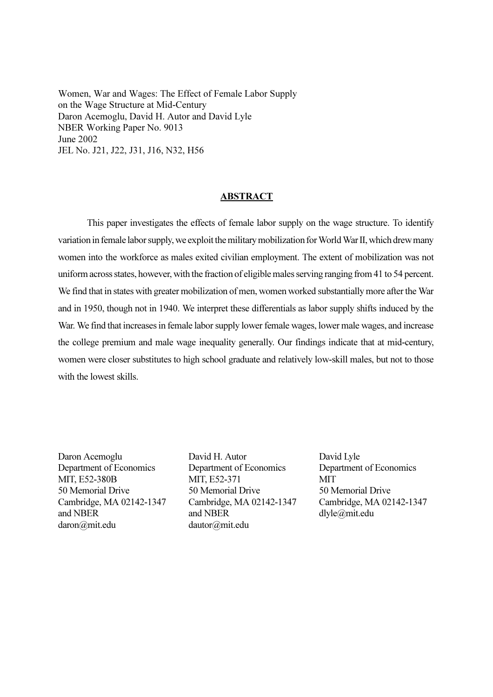Women, War and Wages: The Effect of Female Labor Supply on the Wage Structure at Mid-Century Daron Acemoglu, David H. Autor and David Lyle NBER Working Paper No. 9013 June 2002 JEL No. J21, J22, J31, J16, N32, H56

# ABSTRACT

This paper investigates the effects of female labor supply on the wage structure. To identify variation in female labor supply, we exploit the military mobilization for World War II, which drew many women into the workforce as males exited civilian employment. The extent of mobilization was not uniform across states, however, with the fraction of eligible males serving ranging from 41 to 54 percent. We find that in states with greater mobilization of men, women worked substantially more after the War and in 1950, though not in 1940. We interpret these differentials as labor supply shifts induced by the War. We find that increases in female labor supply lower female wages, lower male wages, and increase the college premium and male wage inequality generally. Our findings indicate that at mid-century, women were closer substitutes to high school graduate and relatively low-skill males, but not to those with the lowest skills.

Daron Acemoglu David H. Autor David Lyle Department of Economics Department of Economics Department of Economics MIT, E52-380B MIT, E52-371 MIT 50 Memorial Drive 50 Memorial Drive 50 Memorial Drive Cambridge, MA 02142-1347 Cambridge, MA 02142-1347 Cambridge, MA 02142-1347 and NBER and NBER dlyle@mit.edu daron@mit.edu dautor@mit.edu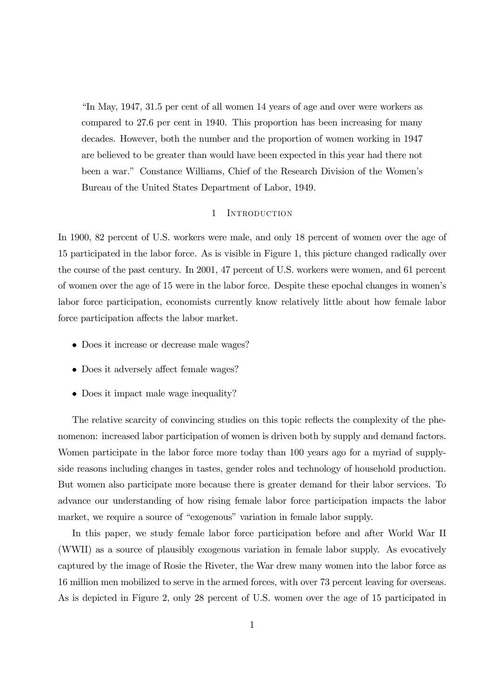"In May, 4947, 34.5 per cent of all women 44 years of age and over were workers as compared to 27.6 per cent in 4940. This proportion has been increasing for many decades. However, both the number and the proportion of women working in 4947 are believed to be greater than would have been expected in this year had there not been a war." Constance Williams, Chief of the Research Division of the Women's Bureau of the United States Department of Labor, 1949.

# 1 Introduction

In 1900, 82 percent of U.S. workers were male, and only 18 percent of women over the age of 45 participated in the labor force. As is visible in Figure 4, this picture changed radically over the course of the past century. In 2004, 47 percent of U.S. workers were women, and 64 percent of women over the age of 45 were in the labor force. Despite these epochal changes in women's labor force participation, economists currently know relatively little about how female labor force participation affects the labor market.

- Does it increase or decrease male wages?
- Does it adversely affect female wages?
- Does it impact male wage inequality?

The relative scarcity of convincing studies on this topic reflects the complexity of the phenomenon: increased labor participation of women is driven both by supply and demand factors. Women participate in the labor force more today than 100 years ago for a myriad of supplyside reasons including changes in tastes, gender roles and technology of household production. But women also participate more because there is greater demand for their labor services. To advance our understanding of how rising female labor force participation impacts the labor market, we require a source of "exogenous" variation in female labor supply.

In this paper, we study female labor force participation before and after World War II (WWII) as a source of plausibly exogenous variation in female labor supply. As evocatively captured by the image of Rosie the Riveter, the War drew many women into the labor force as 46 million men mobilized to serve in the armed forces, with over 73 percent leaving for overseas. As is depicted in Figure 2, only 28 percent of U.S. women over the age of 15 participated in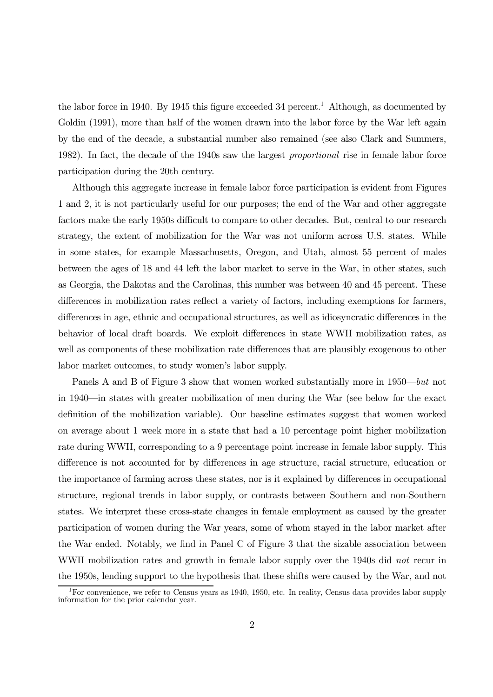the labor force in 1940. By 1945 this figure exceeded 34 percent.<sup>1</sup> Although, as documented by Goldin (1991), more than half of the women drawn into the labor force by the War left again by the end of the decade, a substantial number also remained (see also Clark and Summers, 1982). In fact, the decade of the 1940s saw the largest *proportional* rise in female labor force participation during the 20th century.

Although this aggregate increase in female labor force participation is evident from Figures 4 and 2, it is not particularly useful for our purposes; the end of the War and other aggregate factors make the early 1950s difficult to compare to other decades. But, central to our research strategy, the extent of mobilization for the War was not uniform across U.S. states. While in some states, for example Massachusetts, Oregon, and Utah, almost 55 percent of males between the ages of 48 and 44 left the labor market to serve in the War, in other states, such as Georgia, the Dakotas and the Carolinas, this number was between 40 and 45 percent. These differences in mobilization rates reflect a variety of factors, including exemptions for farmers, differences in age, ethnic and occupational structures, as well as idiosyncratic differences in the behavior of local draft boards. We exploit differences in state WWII mobilization rates, as well as components of these mobilization rate differences that are plausibly exogenous to other labor market outcomes, to study women's labor supply.

Panels A and B of Figure 3 show that women worked substantially more in 1950—but not in 4940–in states with greater mobilization of men during the War (see below for the exact definition of the mobilization variable). Our baseline estimates suggest that women worked on average about 4 week more in a state that had a 40 percentage point higher mobilization rate during WWII, corresponding to a 9 percentage point increase in female labor supply. This difference is not accounted for by differences in age structure, racial structure, education or the importance of farming across these states, nor is it explained by differences in occupational structure, regional trends in labor supply, or contrasts between Southern and non-Southern states. We interpret these cross-state changes in female employment as caused by the greater participation of women during the War years, some of whom stayed in the labor market after the War ended. Notably, we find in Panel C of Figure 3 that the sizable association between WWII mobilization rates and growth in female labor supply over the 1940s did not recur in the 4950s, lending support to the hypothesis that these shifts were caused by the War, and not

<sup>&</sup>lt;sup>1</sup>For convenience, we refer to Census years as 1940, 1950, etc. In reality, Census data provides labor supply information for the prior calendar year.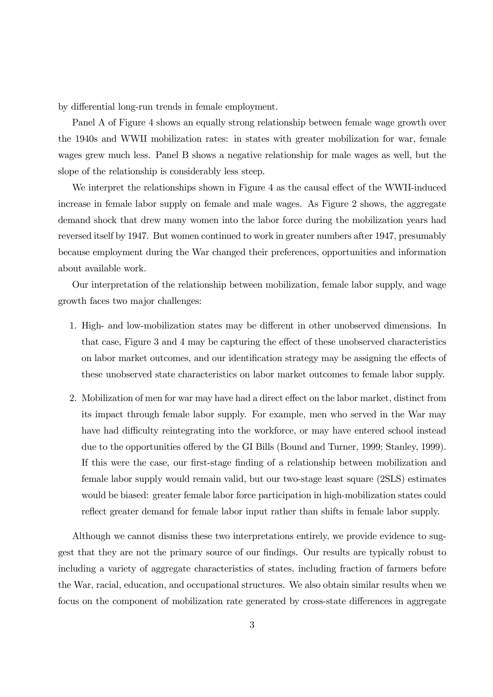by differential long-run trends in female employment.

Panel A of Figure 4 shows an equally strong relationship between female wage growth over the 4940s and WWII mobilization rates: in states with greater mobilization for war, female wages grew much less. Panel B shows a negative relationship for male wages as well, but the slope of the relationship is considerably less steep.

We interpret the relationships shown in Figure 4 as the causal effect of the WWII-induced increase in female labor supply on female and male wages. As Figure 2 shows, the aggregate demand shock that drew many women into the labor force during the mobilization years had reversed itself by 4947. But women continued to work in greater numbers after 4947, presumably because employment during the War changed their preferences, opportunities and information about available work.

Our interpretation of the relationship between mobilization, female labor supply, and wage growth faces two major challenges:

- 1. High- and low-mobilization states may be different in other unobserved dimensions. In that case, Figure 3 and 4 may be capturing the effect of these unobserved characteristics on labor market outcomes, and our identification strategy may be assigning the effects of these unobserved state characteristics on labor market outcomes to female labor supply.
- 2. Mobilization of men for war may have had a direct effect on the labor market, distinct from its impact through female labor supply. For example, men who served in the War may have had difficulty reintegrating into the workforce, or may have entered school instead due to the opportunities offered by the GI Bills (Bound and Turner, 1999; Stanley, 1999). If this were the case, our first-stage finding of a relationship between mobilization and female labor supply would remain valid, but our two-stage least square (2SLS) estimates would be biased: greater female labor force participation in high-mobilization states could reflect greater demand for female labor input rather than shifts in female labor supply.

Although we cannot dismiss these two interpretations entirely, we provide evidence to suggest that they are not the primary source of our findings. Our results are typically robust to including a variety of aggregate characteristics of states, including fraction of farmers before the War, racial, education, and occupational structures. We also obtain similar results when we focus on the component of mobilization rate generated by cross-state differences in aggregate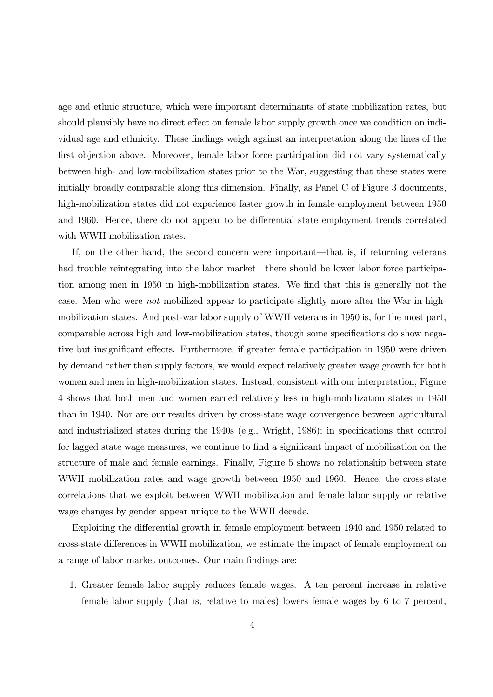age and ethnic structure, which were important determinants of state mobilization rates, but should plausibly have no direct effect on female labor supply growth once we condition on individual age and ethnicity. These findings weigh against an interpretation along the lines of the first objection above. Moreover, female labor force participation did not vary systematically between high- and low-mobilization states prior to the War, suggesting that these states were initially broadly comparable along this dimension. Finally, as Panel C of Figure 3 documents, high-mobilization states did not experience faster growth in female employment between 1950 and 1960. Hence, there do not appear to be differential state employment trends correlated with WWII mobilization rates.

If, on the other hand, the second concern were important–that is, if returning veterans had trouble reintegrating into the labor market—there should be lower labor force participation among men in 4950 in high-mobilization states. We find that this is generally not the case. Men who were not mobilized appear to participate slightly more after the War in highmobilization states. And post-war labor supply of WWII veterans in 4950 is, for the most part, comparable across high and low-mobilization states, though some specifications do show negative but insignificant effects. Furthermore, if greater female participation in 1950 were driven by demand rather than supply factors, we would expect relatively greater wage growth for both women and men in high-mobilization states. Instead, consistent with our interpretation, Figure 4 shows that both men and women earned relatively less in high-mobilization states in 4950 than in 4940. Nor are our results driven by cross-state wage convergence between agricultural and industrialized states during the 4940s (e.g., Wright, 4986); in specifications that control for lagged state wage measures, we continue to find a significant impact of mobilization on the structure of male and female earnings. Finally, Figure 5 shows no relationship between state WWII mobilization rates and wage growth between 4950 and 4960. Hence, the cross-state correlations that we exploit between WWII mobilization and female labor supply or relative wage changes by gender appear unique to the WWII decade.

Exploiting the differential growth in female employment between 1940 and 1950 related to cross-state differences in WWII mobilization, we estimate the impact of female employment on a range of labor market outcomes. Our main findings are:

4. Greater female labor supply reduces female wages. A ten percent increase in relative female labor supply (that is, relative to males) lowers female wages by 6 to 7 percent,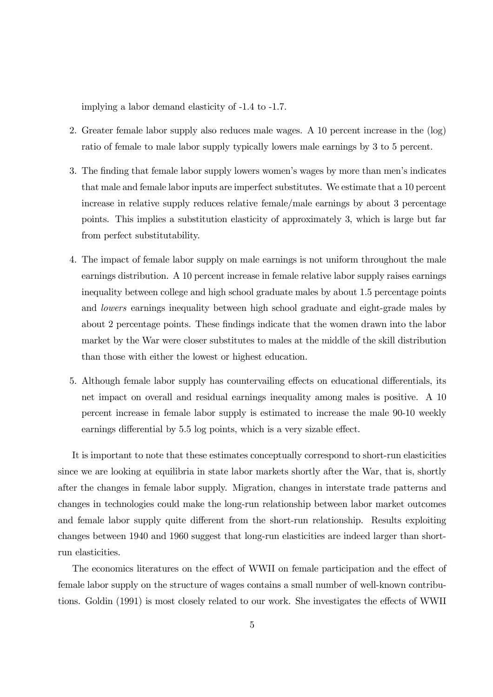implying a labor demand elasticity of  $-1.4$  to  $-1.7$ .

- 2. Greater female labor supply also reduces male wages. A 40 percent increase in the (log) ratio of female to male labor supply typically lowers male earnings by 3 to 5 percent.
- 3. The finding that female labor supply lowers women's wages by more than men's indicates that male and female labor inputs are imperfect substitutes. We estimate that a 10 percent increase in relative supply reduces relative female/male earnings by about 3 percentage points. This implies a substitution elasticity of approximately 3, which is large but far from perfect substitutability.
- 4. The impact of female labor supply on male earnings is not uniform throughout the male earnings distribution. A 10 percent increase in female relative labor supply raises earnings inequality between college and high school graduate males by about 4.5 percentage points and lowers earnings inequality between high school graduate and eight-grade males by about 2 percentage points. These findings indicate that the women drawn into the labor market by the War were closer substitutes to males at the middle of the skill distribution than those with either the lowest or highest education.
- 5. Although female labor supply has countervailing effects on educational differentials, its net impact on overall and residual earnings inequality among males is positive. A 10 percent increase in female labor supply is estimated to increase the male 90-40 weekly earnings differential by  $5.5 \log$  points, which is a very sizable effect.

It is important to note that these estimates conceptually correspond to short-run elasticities since we are looking at equilibria in state labor markets shortly after the War, that is, shortly after the changes in female labor supply. Migration, changes in interstate trade patterns and changes in technologies could make the long-run relationship between labor market outcomes and female labor supply quite different from the short-run relationship. Results exploiting changes between 4940 and 4960 suggest that long-run elasticities are indeed larger than shortrun elasticities.

The economics literatures on the effect of WWII on female participation and the effect of female labor supply on the structure of wages contains a small number of well-known contributions. Goldin (1991) is most closely related to our work. She investigates the effects of WWII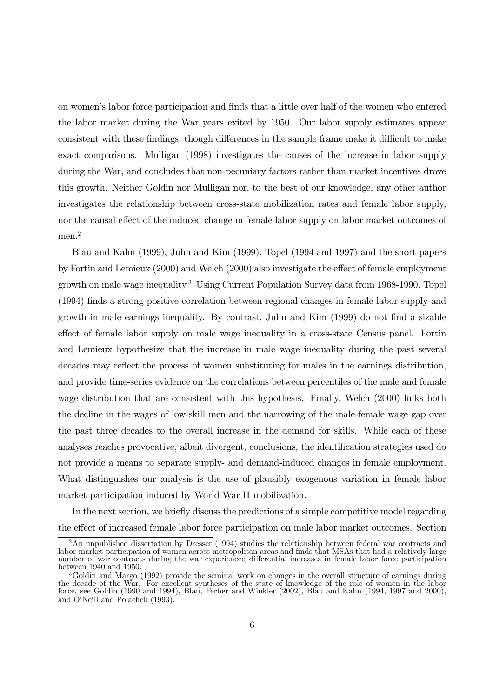on women's labor force participation and finds that a little over half of the women who entered the labor market during the War years exited by 4950. Our labor supply estimates appear consistent with these findings, though differences in the sample frame make it difficult to make exact comparisons. Mulligan (4998) investigates the causes of the increase in labor supply during the War, and concludes that non-pecuniary factors rather than market incentives drove this growth. Neither Goldin nor Mulligan nor, to the best of our knowledge, any other author investigates the relationship between cross-state mobilization rates and female labor supply, nor the causal effect of the induced change in female labor supply on labor market outcomes of men.<sup>2</sup>

Blau and Kahn (1999), Juhn and Kim (1999), Topel (1994 and 1997) and the short papers by Fortin and Lemieux (2000) and Welch (2000) also investigate the effect of female employment growth on male wage inequality.<sup>3</sup> Using Current Population Survey data from 1968-1990, Topel (4994) finds a strong positive correlation between regional changes in female labor supply and growth in male earnings inequality. By contrast, Juhn and Kim (4999) do not find a sizable effect of female labor supply on male wage inequality in a cross-state Census panel. Fortin and Lemieux hypothesize that the increase in male wage inequality during the past several decades may reflect the process of women substituting for males in the earnings distribution, and provide time-series evidence on the correlations between percentiles of the male and female wage distribution that are consistent with this hypothesis. Finally, Welch (2000) links both the decline in the wages of low-skill men and the narrowing of the male-female wage gap over the past three decades to the overall increase in the demand for skills. While each of these analyses reaches provocative, albeit divergent, conclusions, the identification strategies used do not provide a means to separate supply- and demand-induced changes in female employment. What distinguishes our analysis is the use of plausibly exogenous variation in female labor market participation induced by World War II mobilization.

In the next section, we briefly discuss the predictions of a simple competitive model regarding the effect of increased female labor force participation on male labor market outcomes. Section

 $^{2}$ An unpublished dissertation by Dresser (1994) studies the relationship between federal war contracts and labor market participation of women across metropolitan areas and finds that MSAs that had a relatively large number of war contracts during the war experienced differential increases in female labor force participation between 4940 and 4950.

 $3$ Goldin and Margo (1992) provide the seminal work on changes in the overall structure of earnings during the decade of the War. For excellent syntheses of the state of knowledge of the role of women in the labor force, see Goldin (4990 and 4994), Blau, Ferber and Winkler (2002), Blau and Kahn (4994, 4997 and 2000), and O'Neill and Polachek (1993).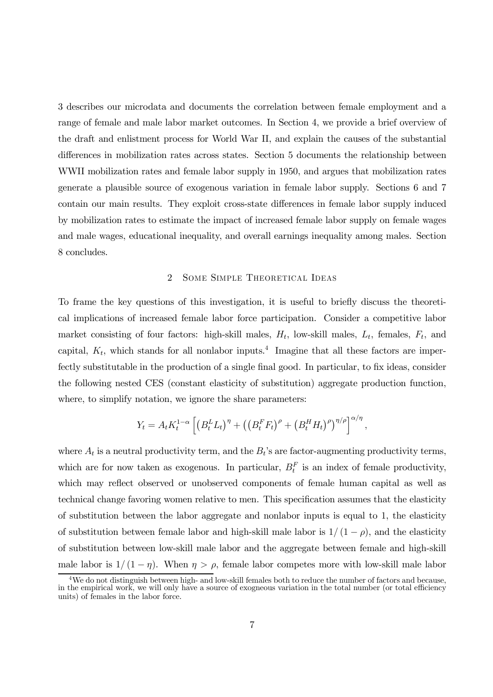3 describes our microdata and documents the correlation between female employment and a range of female and male labor market outcomes. In Section 4, we provide a brief overview of the draft and enlistment process for World War II, and explain the causes of the substantial differences in mobilization rates across states. Section 5 documents the relationship between WWII mobilization rates and female labor supply in 1950, and argues that mobilization rates generate a plausible source of exogenous variation in female labor supply. Sections 6 and 7 contain our main results. They exploit cross-state differences in female labor supply induced by mobilization rates to estimate the impact of increased female labor supply on female wages and male wages, educational inequality, and overall earnings inequality among males. Section 8 concludes.

# 2 Some Simple Theoretical Ideas

To frame the key questions of this investigation, it is useful to briefly discuss the theoretical implications of increased female labor force participation. Consider a competitive labor market consisting of four factors: high-skill males,  $H_t$ , low-skill males,  $L_t$ , females,  $F_t$ , and capital,  $K_t$ , which stands for all nonlabor inputs.<sup>4</sup> Imagine that all these factors are imperfectly substitutable in the production of a single final good. In particular, to fix ideas, consider the following nested CES (constant elasticity of substitution) aggregate production function, where, to simplify notation, we ignore the share parameters:

$$
Y_{t} = A_{t} K_{t}^{1-\alpha} \left[ \left( B_{t}^{L} L_{t} \right)^{\eta} + \left( \left( B_{t}^{F} F_{t} \right)^{\rho} + \left( B_{t}^{H} H_{t} \right)^{\rho} \right)^{\eta/\rho} \right]^{\alpha/\eta},
$$

where  $A_t$  is a neutral productivity term, and the  $B_t$ 's are factor-augmenting productivity terms, which are for now taken as exogenous. In particular,  $B_t^F$  is an index of female productivity, which may reflect observed or unobserved components of female human capital as well as technical change favoring women relative to men. This specification assumes that the elasticity of substitution between the labor aggregate and nonlabor inputs is equal to 1, the elasticity of substitution between female labor and high-skill male labor is  $1/(1-\rho)$ , and the elasticity of substitution between low-skill male labor and the aggregate between female and high-skill male labor is  $1/(1 - \eta)$ . When  $\eta > \rho$ , female labor competes more with low-skill male labor

 $\frac{4 \text{We do not distinguish between high- and low-skill females both to reduce the number of factors and because, in the empirical work, we will only have a source of exogenous variation in the total number (or total efficiency).}$ units) of females in the labor force.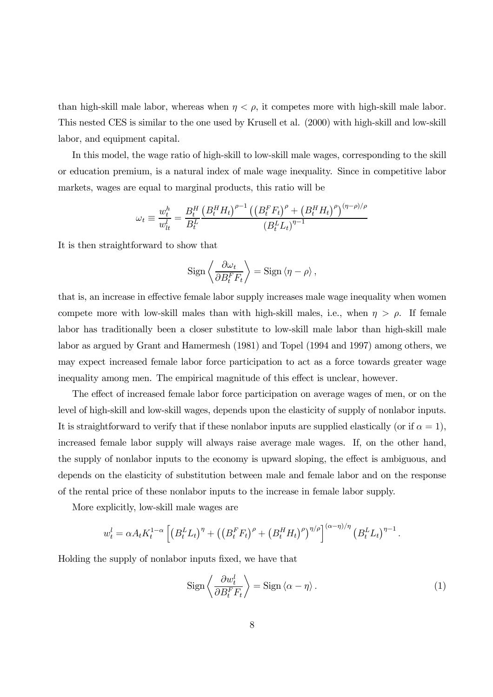than high-skill male labor, whereas when  $\eta < \rho$ , it competes more with high-skill male labor. This nested CES is similar to the one used by Krusell et al. (2000) with high-skill and low-skill labor, and equipment capital.

In this model, the wage ratio of high-skill to low-skill male wages, corresponding to the skill or education premium, is a natural index of male wage inequality. Since in competitive labor markets, wages are equal to marginal products, this ratio will be

$$
\omega_t \equiv \frac{w_t^h}{w_{tt}^l} = \frac{B_t^H}{B_t^L} \frac{\left(B_t^H H_t\right)^{\rho-1} \left(\left(B_t^F F_t\right)^{\rho} + \left(B_t^H H_t\right)^{\rho}\right)^{(\eta-\rho)/\rho}}{\left(B_t^L L_t\right)^{\eta-1}}
$$

It is then straightforward to show that

$$
Sign\left\langle \frac{\partial \omega_t}{\partial B_t^F F_t} \right\rangle = Sign \left\langle \eta - \rho \right\rangle,
$$

that is, an increase in effective female labor supply increases male wage inequality when women compete more with low-skill males than with high-skill males, i.e., when  $\eta > \rho$ . If female labor has traditionally been a closer substitute to low-skill male labor than high-skill male labor as argued by Grant and Hamermesh (4984) and Topel (4994 and 4997) among others, we may expect increased female labor force participation to act as a force towards greater wage inequality among men. The empirical magnitude of this effect is unclear, however.

The effect of increased female labor force participation on average wages of men, or on the level of high-skill and low-skill wages, depends upon the elasticity of supply of nonlabor inputs. It is straightforward to verify that if these nonlabor inputs are supplied elastically (or if  $\alpha = 1$ ), increased female labor supply will always raise average male wages. If, on the other hand, the supply of nonlabor inputs to the economy is upward sloping, the effect is ambiguous, and depends on the elasticity of substitution between male and female labor and on the response of the rental price of these nonlabor inputs to the increase in female labor supply.

More explicitly, low-skill male wages are

$$
w_{t}^{l} = \alpha A_{t} K_{t}^{1-\alpha} \left[ \left( B_{t}^{L} L_{t} \right)^{\eta} + \left( \left( B_{t}^{F} F_{t} \right)^{\rho} + \left( B_{t}^{H} H_{t} \right)^{\rho} \right)^{\eta/\rho} \right]^{\left( \alpha - \eta \right) / \eta} \left( B_{t}^{L} L_{t} \right)^{\eta-1}.
$$

Holding the supply of nonlabor inputs fixed, we have that

$$
\operatorname{Sign}\left\langle \frac{\partial w_t^l}{\partial B_t^F F_t} \right\rangle = \operatorname{Sign}\left\langle \alpha - \eta \right\rangle. \tag{1}
$$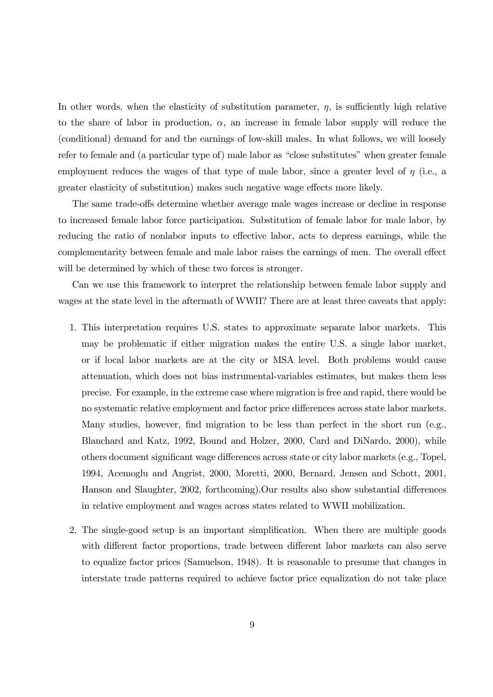In other words, when the elasticity of substitution parameter,  $\eta$ , is sufficiently high relative to the share of labor in production,  $\alpha$ , an increase in female labor supply will reduce the (conditional) demand for and the earnings of low-skill males. In what follows, we will loosely refer to female and (a particular type of) male labor as "close substitutes" when greater female employment reduces the wages of that type of male labor, since a greater level of  $\eta$  (i.e., a greater elasticity of substitution) makes such negative wage effects more likely.

The same trade-offs determine whether average male wages increase or decline in response to increased female labor force participation. Substitution of female labor for male labor, by reducing the ratio of nonlabor inputs to effective labor, acts to depress earnings, while the complementarity between female and male labor raises the earnings of men. The overall effect will be determined by which of these two forces is stronger.

Can we use this framework to interpret the relationship between female labor supply and wages at the state level in the aftermath of WWII? There are at least three caveats that apply:

- 4. This interpretation requires U.S. states to approximate separate labor markets. This may be problematic if either migration makes the entire U.S. a single labor market, or if local labor markets are at the city or MSA level. Both problems would cause attenuation, which does not bias instrumental-variables estimates, but makes them less precise. For example, in the extreme case where migration is free and rapid, there would be no systematic relative employment and factor price differences across state labor markets. Many studies, however, find migration to be less than perfect in the short run (e.g., Blanchard and Katz, 4992, Bound and Holzer, 2000, Card and DiNardo, 2000), while others document significant wage differences across state or city labor markets  $(e.g., Topel,$ 4994, Acemoglu and Angrist, 2000, Moretti, 2000, Bernard, Jensen and Schott, 2004, Hanson and Slaughter, 2002, forthcoming).Our results also show substantial differences in relative employment and wages across states related to WWII mobilization.
- 2. The single-good setup is an important simplification. When there are multiple goods with different factor proportions, trade between different labor markets can also serve to equalize factor prices (Samuelson, 4948). It is reasonable to presume that changes in interstate trade patterns required to achieve factor price equalization do not take place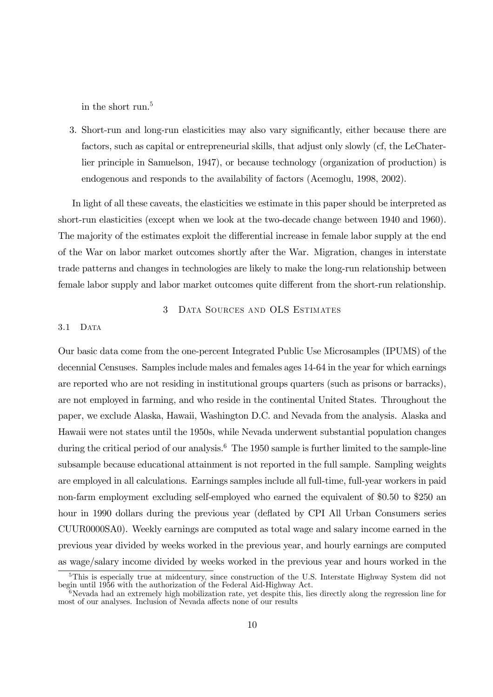in the short run.<sup>5</sup>

3. Short-run and long-run elasticities may also vary significantly, either because there are factors, such as capital or entrepreneurial skills, that adjust only slowly (cf, the LeChaterlier principle in Samuelson, 4947), or because technology (organization of production) is endogenous and responds to the availability of factors (Acemoglu, 4998, 2002).

In light of all these caveats, the elasticities we estimate in this paper should be interpreted as short-run elasticities (except when we look at the two-decade change between 4940 and 4960). The majority of the estimates exploit the differential increase in female labor supply at the end of the War on labor market outcomes shortly after the War. Migration, changes in interstate trade patterns and changes in technologies are likely to make the long-run relationship between female labor supply and labor market outcomes quite different from the short-run relationship.

# 3 Data Sources and OLS Estimates

#### 3.1 DATA

Our basic data come from the one-percent Integrated Public Use Microsamples (IPUMS) of the decennial Censuses. Samples include males and females ages 44-64 in the year for which earnings are reported who are not residing in institutional groups quarters (such as prisons or barracks), are not employed in farming, and who reside in the continental United States. Throughout the paper, we exclude Alaska, Hawaii, Washington D.C. and Nevada from the analysis. Alaska and Hawaii were not states until the 4950s, while Nevada underwent substantial population changes during the critical period of our analysis.<sup>6</sup> The  $1950$  sample is further limited to the sample-line subsample because educational attainment is not reported in the full sample. Sampling weights are employed in all calculations. Earnings samples include all full-time, full-year workers in paid non-farm employment excluding self-employed who earned the equivalent of \$0.50 to \$250 an hour in 4990 dollars during the previous year (deflated by CPI All Urban Consumers series CUUR0000SA0). Weekly earnings are computed as total wage and salary income earned in the previous year divided by weeks worked in the previous year, and hourly earnings are computed as wage/salary income divided by weeks worked in the previous year and hours worked in the

<sup>&</sup>lt;sup>5</sup>This is especially true at midcentury, since construction of the U.S. Interstate Highway System did not begin until 4956 with the authorization of the Federal Aid-Highway Act.

 $\overset{6}{\circ}$ Nevada had an extremely high mobilization rate, yet despite this, lies directly along the regression line for most of our analyses. Inclusion of Nevada affects none of our results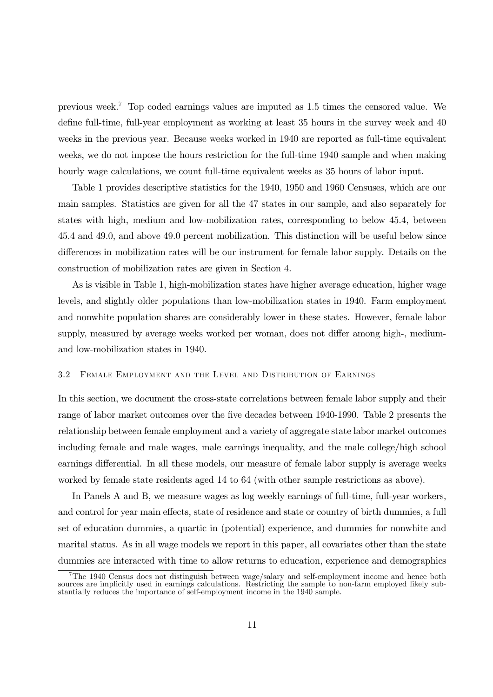previous week.7 Top coded earnings values are imputed as 4.5 times the censored value. We define full-time, full-year employment as working at least 35 hours in the survey week and 40 weeks in the previous year. Because weeks worked in 4940 are reported as full-time equivalent weeks, we do not impose the hours restriction for the full-time 4940 sample and when making hourly wage calculations, we count full-time equivalent weeks as 35 hours of labor input.

Table 1 provides descriptive statistics for the 1940, 1950 and 1960 Censuses, which are our main samples. Statistics are given for all the 47 states in our sample, and also separately for states with high, medium and low-mobilization rates, corresponding to below 45.4, between 45.4 and 49.0, and above 49.0 percent mobilization. This distinction will be useful below since differences in mobilization rates will be our instrument for female labor supply. Details on the construction of mobilization rates are given in Section 4.

As is visible in Table 1, high-mobilization states have higher average education, higher wage levels, and slightly older populations than low-mobilization states in 4940. Farm employment and nonwhite population shares are considerably lower in these states. However, female labor supply, measured by average weeks worked per woman, does not differ among high-, mediumand low-mobilization states in 4940.

# 3.2 Female Employment and the Level and Distribution of Earnings

In this section, we document the cross-state correlations between female labor supply and their range of labor market outcomes over the five decades between 4940-4990. Table 2 presents the relationship between female employment and a variety of aggregate state labor market outcomes including female and male wages, male earnings inequality, and the male college/high school earnings differential. In all these models, our measure of female labor supply is average weeks worked by female state residents aged 14 to 64 (with other sample restrictions as above).

In Panels A and B, we measure wages as log weekly earnings of full-time, full-year workers, and control for year main effects, state of residence and state or country of birth dummies, a full set of education dummies, a quartic in (potential) experience, and dummies for nonwhite and marital status. As in all wage models we report in this paper, all covariates other than the state dummies are interacted with time to allow returns to education, experience and demographics

<sup>7</sup>The <sup>4</sup>940 Census does not distinguish between wage/salary and self-employment income and hence both sources are implicitly used in earnings calculations. Restricting the sample to non-farm employed likely substantially reduces the importance of self-employment income in the 4940 sample.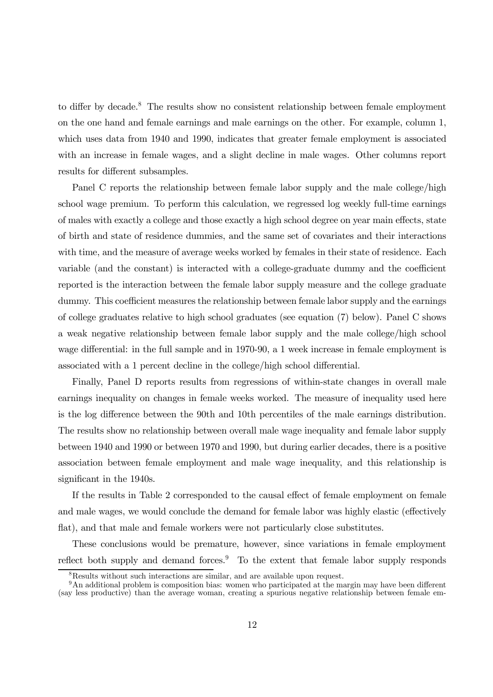to differ by decade.<sup>8</sup> The results show no consistent relationship between female employment on the one hand and female earnings and male earnings on the other. For example, column 4, which uses data from 4940 and 4990, indicates that greater female employment is associated with an increase in female wages, and a slight decline in male wages. Other columns report results for different subsamples.

Panel C reports the relationship between female labor supply and the male college/high school wage premium. To perform this calculation, we regressed log weekly full-time earnings of males with exactly a college and those exactly a high school degree on year main effects, state of birth and state of residence dummies, and the same set of covariates and their interactions with time, and the measure of average weeks worked by females in their state of residence. Each variable (and the constant) is interacted with a college-graduate dummy and the coefficient reported is the interaction between the female labor supply measure and the college graduate dummy. This coefficient measures the relationship between female labor supply and the earnings of college graduates relative to high school graduates (see equation (7) below). Panel C shows a weak negative relationship between female labor supply and the male college/high school wage differential: in the full sample and in  $1970-90$ , a 1 week increase in female employment is associated with a 1 percent decline in the college/high school differential.

Finally, Panel D reports results from regressions of within-state changes in overall male earnings inequality on changes in female weeks worked. The measure of inequality used here is the log difference between the 90th and 10th percentiles of the male earnings distribution. The results show no relationship between overall male wage inequality and female labor supply between 4940 and 4990 or between 4970 and 4990, but during earlier decades, there is a positive association between female employment and male wage inequality, and this relationship is significant in the 1940s.

If the results in Table 2 corresponded to the causal effect of female employment on female and male wages, we would conclude the demand for female labor was highly elastic (effectively flat), and that male and female workers were not particularly close substitutes.

These conclusions would be premature, however, since variations in female employment reflect both supply and demand forces.<sup>9</sup> To the extent that female labor supply responds

 $8$ Results without such interactions are similar, and are available upon request.

 $9<sup>9</sup>$ An additional problem is composition bias: women who participated at the margin may have been different (say less productive) than the average woman, creating a spurious negative relationship between female em-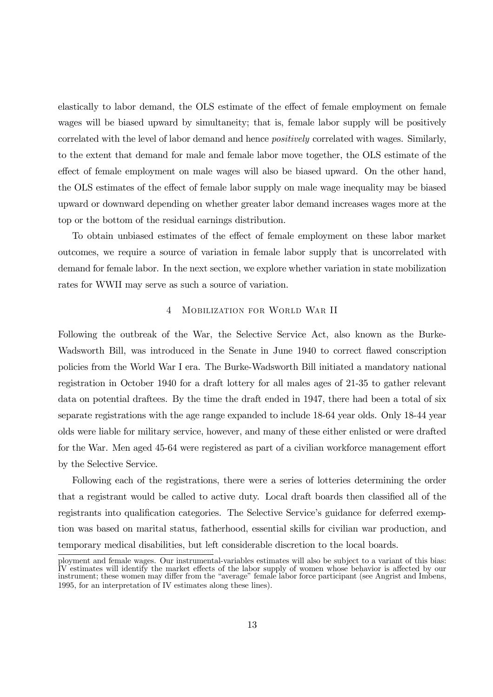elastically to labor demand, the OLS estimate of the effect of female employment on female wages will be biased upward by simultaneity; that is, female labor supply will be positively correlated with the level of labor demand and hence positively correlated with wages. Similarly, to the extent that demand for male and female labor move together, the OLS estimate of the effect of female employment on male wages will also be biased upward. On the other hand, the OLS estimates of the effect of female labor supply on male wage inequality may be biased upward or downward depending on whether greater labor demand increases wages more at the top or the bottom of the residual earnings distribution.

To obtain unbiased estimates of the effect of female employment on these labor market outcomes, we require a source of variation in female labor supply that is uncorrelated with demand for female labor. In the next section, we explore whether variation in state mobilization rates for WWII may serve as such a source of variation.

# 4 Mobilization for World War II

Following the outbreak of the War, the Selective Service Act, also known as the Burke-Wadsworth Bill, was introduced in the Senate in June 4940 to correct flawed conscription policies from the World War I era. The Burke-Wadsworth Bill initiated a mandatory national registration in October 4940 for a draft lottery for all males ages of 24-35 to gather relevant data on potential draftees. By the time the draft ended in 4947, there had been a total of six separate registrations with the age range expanded to include 18-64 year olds. Only 18-44 year olds were liable for military service, however, and many of these either enlisted or were drafted for the War. Men aged 45-64 were registered as part of a civilian workforce management effort by the Selective Service.

Following each of the registrations, there were a series of lotteries determining the order that a registrant would be called to active duty. Local draft boards then classified all of the registrants into qualification categories. The Selective Service's guidance for deferred exemption was based on marital status, fatherhood, essential skills for civilian war production, and temporary medical disabilities, but left considerable discretion to the local boards.

ployment and female wages. Our instrumental-variables estimates will also be subject to a variant of this bias: IV estimates will identify the market effects of the labor supply of women whose behavior is affected by our instrument; these women may differ from the "average" female labor force participant (see Angrist and Imbens, 4995, for an interpretation of IV estimates along these lines).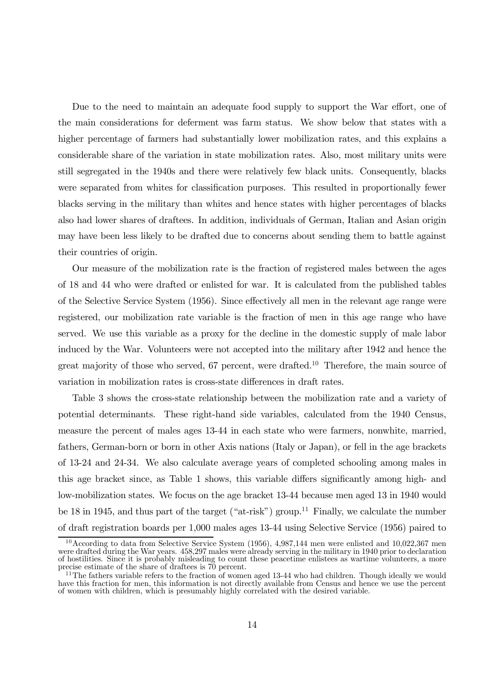Due to the need to maintain an adequate food supply to support the War effort, one of the main considerations for deferment was farm status. We show below that states with a higher percentage of farmers had substantially lower mobilization rates, and this explains a considerable share of the variation in state mobilization rates. Also, most military units were still segregated in the 4940s and there were relatively few black units. Consequently, blacks were separated from whites for classification purposes. This resulted in proportionally fewer blacks serving in the military than whites and hence states with higher percentages of blacks also had lower shares of draftees. In addition, individuals of German, Italian and Asian origin may have been less likely to be drafted due to concerns about sending them to battle against their countries of origin.

Our measure of the mobilization rate is the fraction of registered males between the ages of 48 and 44 who were drafted or enlisted for war. It is calculated from the published tables of the Selective Service System (1956). Since effectively all men in the relevant age range were registered, our mobilization rate variable is the fraction of men in this age range who have served. We use this variable as a proxy for the decline in the domestic supply of male labor induced by the War. Volunteers were not accepted into the military after 4942 and hence the great majority of those who served, 67 percent, were drafted.<sup>10</sup> Therefore, the main source of variation in mobilization rates is cross-state differences in draft rates.

Table 3 shows the cross-state relationship between the mobilization rate and a variety of potential determinants. These right-hand side variables, calculated from the 4940 Census, measure the percent of males ages 43-44 in each state who were farmers, nonwhite, married, fathers, German-born or born in other Axis nations (Italy or Japan), or fell in the age brackets of 43-24 and 24-34. We also calculate average years of completed schooling among males in this age bracket since, as Table 1 shows, this variable differs significantly among high- and low-mobilization states. We focus on the age bracket 43-44 because men aged 43 in 4940 would be 18 in 1945, and thus part of the target ("at-risk") group.<sup>11</sup> Finally, we calculate the number of draft registration boards per 4,000 males ages 43-44 using Selective Service (4956) paired to

 $^{10}$ According to data from Selective Service System (1956), 4,987,144 men were enlisted and 10,022,367 men were drafted during the War years. 458,297 males were already serving in the military in 4940 prior to declaration of hostilities. Since it is probably misleading to count these peacetime enlistees as wartime volunteers, a more precise estimate of the share of draftees is 70 percent.

 $^{11}$ The fathers variable refers to the fraction of women aged 13-44 who had children. Though ideally we would have this fraction for men, this information is not directly available from Census and hence we use the percent of women with children, which is presumably highly correlated with the desired variable.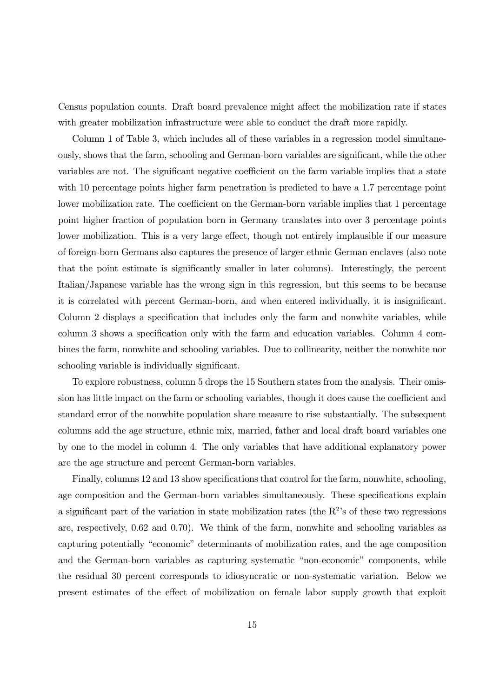Census population counts. Draft board prevalence might affect the mobilization rate if states with greater mobilization infrastructure were able to conduct the draft more rapidly.

Column 1 of Table 3, which includes all of these variables in a regression model simultaneously, shows that the farm, schooling and German-born variables are significant, while the other variables are not. The significant negative coefficient on the farm variable implies that a state with 10 percentage points higher farm penetration is predicted to have a 1.7 percentage point lower mobilization rate. The coefficient on the German-born variable implies that 1 percentage point higher fraction of population born in Germany translates into over 3 percentage points lower mobilization. This is a very large effect, though not entirely implausible if our measure of foreign-born Germans also captures the presence of larger ethnic German enclaves (also note that the point estimate is significantly smaller in later columns). Interestingly, the percent Italian/Japanese variable has the wrong sign in this regression, but this seems to be because it is correlated with percent German-born, and when entered individually, it is insignificant. Column 2 displays a specification that includes only the farm and nonwhite variables, while column 3 shows a specification only with the farm and education variables. Column 4 combines the farm, nonwhite and schooling variables. Due to collinearity, neither the nonwhite nor schooling variable is individually significant.

To explore robustness, column 5 drops the 45 Southern states from the analysis. Their omission has little impact on the farm or schooling variables, though it does cause the coefficient and standard error of the nonwhite population share measure to rise substantially. The subsequent columns add the age structure, ethnic mix, married, father and local draft board variables one by one to the model in column 4. The only variables that have additional explanatory power are the age structure and percent German-born variables.

Finally, columns 42 and 43 show specifications that control for the farm, nonwhite, schooling, age composition and the German-born variables simultaneously. These specifications explain a significant part of the variation in state mobilization rates (the  $R^2$ 's of these two regressions are, respectively, 0.62 and 0.70). We think of the farm, nonwhite and schooling variables as capturing potentially "economic" determinants of mobilization rates, and the age composition and the German-born variables as capturing systematic "non-economic" components, while the residual 30 percent corresponds to idiosyncratic or non-systematic variation. Below we present estimates of the effect of mobilization on female labor supply growth that exploit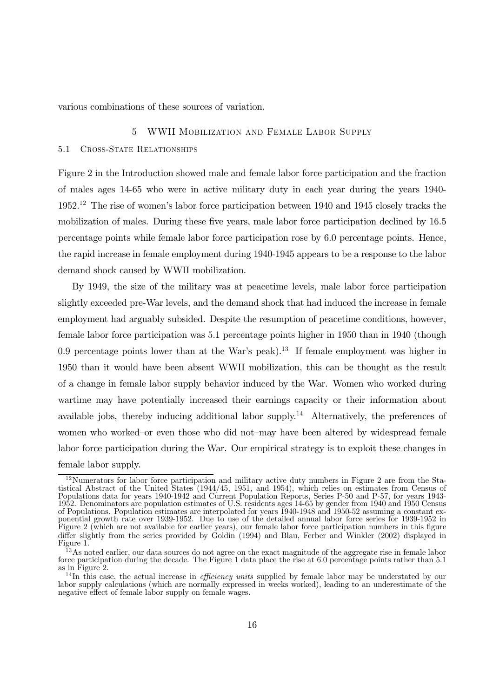various combinations of these sources of variation.

#### 5 WWII Mobilization and Female Labor Supply

# 5.1 Cross-State Relationships

Figure 2 in the Introduction showed male and female labor force participation and the fraction of males ages 44-65 who were in active military duty in each year during the years 4940- 1952.<sup>12</sup> The rise of women's labor force participation between 1940 and 1945 closely tracks the mobilization of males. During these five years, male labor force participation declined by 46.5 percentage points while female labor force participation rose by 6.0 percentage points. Hence, the rapid increase in female employment during 4940-4945 appears to be a response to the labor demand shock caused by WWII mobilization.

By 4949, the size of the military was at peacetime levels, male labor force participation slightly exceeded pre-War levels, and the demand shock that had induced the increase in female employment had arguably subsided. Despite the resumption of peacetime conditions, however, female labor force participation was 5.4 percentage points higher in 4950 than in 4940 (though 0.9 percentage points lower than at the War's peak).<sup>13</sup> If female employment was higher in 4950 than it would have been absent WWII mobilization, this can be thought as the result of a change in female labor supply behavior induced by the War. Women who worked during wartime may have potentially increased their earnings capacity or their information about available jobs, thereby inducing additional labor supply.<sup>14</sup> Alternatively, the preferences of women who worked—or even those who did not—may have been altered by widespread female labor force participation during the War. Our empirical strategy is to exploit these changes in female labor supply.

 $^{12}$ Numerators for labor force participation and military active duty numbers in Figure 2 are from the Statistical Abstract of the United States (1944/45, 1951, and 1954), which relies on estimates from Census of Popula 4952. Denominators are population estimates of U.S. residents ages 44-65 by gender from 4940 and 4950 Census of Populations. Population estimates are interpolated for years 4940-4948 and 4950-52 assuming a constant exponential growth rate over 4939-4952. Due to use of the detailed annual labor force series for 4939-4952 in Figure 2 (which are not available for earlier years), our female labor force participation numbers in this figure differ slightly from the series provided by Goldin (1994) and Blau, Ferber and Winkler (2002) displayed in Figure 1.

 $\frac{13}{13}$ As noted earlier, our data sources do not agree on the exact magnitude of the aggregate rise in female labor force participation during the decade. The Figure 1 data place the rise at 6.0 percentage points rather than 5.1 as in Figure 2.<br><sup>14</sup>In this case, the actual increase in *efficiency units* supplied by female labor may be understated by our

labor supply calculations (which are normally expressed in weeks worked), leading to an underestimate of the negative effect of female labor supply on female wages.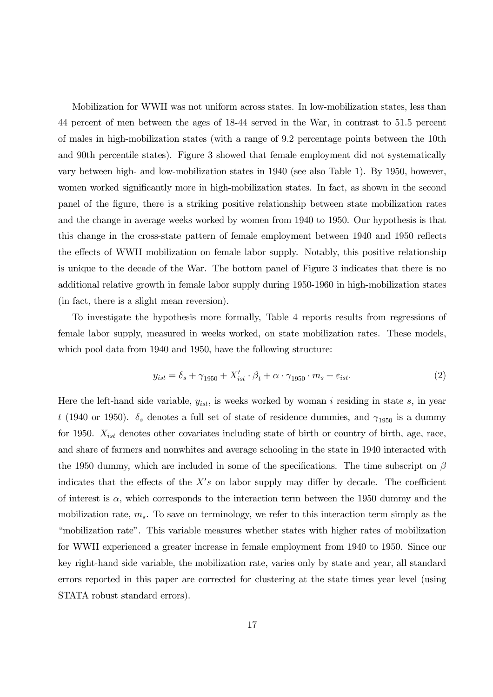Mobilization for WWII was not uniform across states. In low-mobilization states, less than 44 percent of men between the ages of 48-44 served in the War, in contrast to 54.5 percent of males in high-mobilization states (with a range of 9.2 percentage points between the 40th and 90th percentile states). Figure 3 showed that female employment did not systematically vary between high- and low-mobilization states in 4940 (see also Table 4). By 4950, however, women worked significantly more in high-mobilization states. In fact, as shown in the second panel of the figure, there is a striking positive relationship between state mobilization rates and the change in average weeks worked by women from 4940 to 4950. Our hypothesis is that this change in the cross-state pattern of female employment between 4940 and 4950 reflects the effects of WWII mobilization on female labor supply. Notably, this positive relationship is unique to the decade of the War. The bottom panel of Figure 3 indicates that there is no additional relative growth in female labor supply during 4950-4960 in high-mobilization states (in fact, there is a slight mean reversion).

To investigate the hypothesis more formally, Table 4 reports results from regressions of female labor supply, measured in weeks worked, on state mobilization rates. These models, which pool data from 1940 and 1950, have the following structure:

$$
y_{ist} = \delta_s + \gamma_{1950} + X'_{ist} \cdot \beta_t + \alpha \cdot \gamma_{1950} \cdot m_s + \varepsilon_{ist}.
$$
 (2)

Here the left-hand side variable,  $y_{ist}$ , is weeks worked by woman i residing in state s, in year t (1940 or 1950).  $\delta_s$  denotes a full set of state of residence dummies, and  $\gamma_{1950}$  is a dummy for 1950.  $X_{ist}$  denotes other covariates including state of birth or country of birth, age, race, and share of farmers and nonwhites and average schooling in the state in 4940 interacted with the 1950 dummy, which are included in some of the specifications. The time subscript on  $\beta$ indicates that the effects of the  $X's$  on labor supply may differ by decade. The coefficient of interest is  $\alpha$ , which corresponds to the interaction term between the 1950 dummy and the mobilization rate,  $m_s$ . To save on terminology, we refer to this interaction term simply as the "mobilization rate". This variable measures whether states with higher rates of mobilization for WWII experienced a greater increase in female employment from 4940 to 4950. Since our key right-hand side variable, the mobilization rate, varies only by state and year, all standard errors reported in this paper are corrected for clustering at the state times year level (using STATA robust standard errors).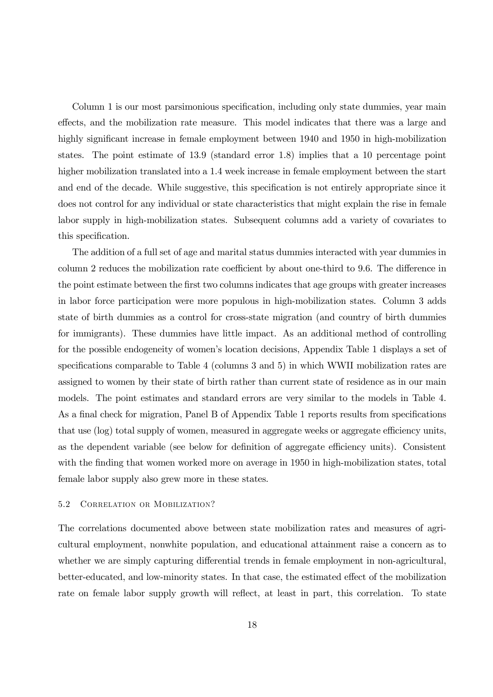Column 1 is our most parsimonious specification, including only state dummies, year main effects, and the mobilization rate measure. This model indicates that there was a large and highly significant increase in female employment between 4940 and 4950 in high-mobilization states. The point estimate of 13.9 (standard error 1.8) implies that a 10 percentage point higher mobilization translated into a 1.4 week increase in female employment between the start and end of the decade. While suggestive, this specification is not entirely appropriate since it does not control for any individual or state characteristics that might explain the rise in female labor supply in high-mobilization states. Subsequent columns add a variety of covariates to this specification.

The addition of a full set of age and marital status dummies interacted with year dummies in column 2 reduces the mobilization rate coefficient by about one-third to 9.6. The difference in the point estimate between the first two columns indicates that age groups with greater increases in labor force participation were more populous in high-mobilization states. Column 3 adds state of birth dummies as a control for cross-state migration (and country of birth dummies for immigrants). These dummies have little impact. As an additional method of controlling for the possible endogeneity of women's location decisions, Appendix Table 1 displays a set of specifications comparable to Table 4 (columns 3 and 5) in which WWII mobilization rates are assigned to women by their state of birth rather than current state of residence as in our main models. The point estimates and standard errors are very similar to the models in Table 4. As a final check for migration, Panel B of Appendix Table 1 reports results from specifications that use (log) total supply of women, measured in aggregate weeks or aggregate efficiency units, as the dependent variable (see below for definition of aggregate efficiency units). Consistent with the finding that women worked more on average in 1950 in high-mobilization states, total female labor supply also grew more in these states.

# 5.2 Correlation or Mobilization?

The correlations documented above between state mobilization rates and measures of agricultural employment, nonwhite population, and educational attainment raise a concern as to whether we are simply capturing differential trends in female employment in non-agricultural, better-educated, and low-minority states. In that case, the estimated effect of the mobilization rate on female labor supply growth will reflect, at least in part, this correlation. To state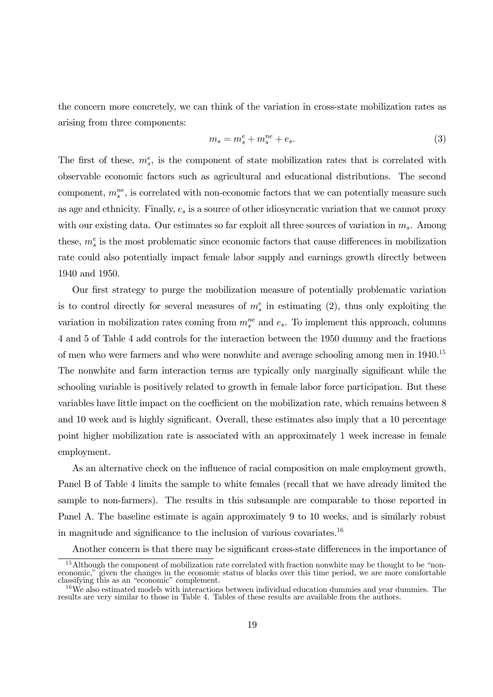the concern more concretely, we can think of the variation in cross-state mobilization rates as arising from three components:

$$
m_s = m_s^e + m_s^{ne} + e_s. \tag{3}
$$

The first of these,  $m_s^e$ , is the component of state mobilization rates that is correlated with observable economic factors such as agricultural and educational distributions. The second component,  $m_s^{ne}$ , is correlated with non-economic factors that we can potentially measure such as age and ethnicity. Finally,  $e_s$  is a source of other idiosyncratic variation that we cannot proxy with our existing data. Our estimates so far exploit all three sources of variation in  $m_s$ . Among these,  $m_s^e$  is the most problematic since economic factors that cause differences in mobilization rate could also potentially impact female labor supply and earnings growth directly between 1940 and 1950.

Our first strategy to purge the mobilization measure of potentially problematic variation is to control directly for several measures of  $m_s^e$  in estimating (2), thus only exploiting the variation in mobilization rates coming from  $m_s^{ne}$  and  $e_s$ . To implement this approach, columns 4 and 5 of Table 4 add controls for the interaction between the 4950 dummy and the fractions of men who were farmers and who were nonwhite and average schooling among men in 1940.<sup>15</sup> The nonwhite and farm interaction terms are typically only marginally significant while the schooling variable is positively related to growth in female labor force participation. But these variables have little impact on the coefficient on the mobilization rate, which remains between 8 and 10 week and is highly significant. Overall, these estimates also imply that a 10 percentage point higher mobilization rate is associated with an approximately 4 week increase in female employment.

As an alternative check on the influence of racial composition on male employment growth, Panel B of Table 4 limits the sample to white females (recall that we have already limited the sample to non-farmers). The results in this subsample are comparable to those reported in Panel A. The baseline estimate is again approximately 9 to 10 weeks, and is similarly robust in magnitude and significance to the inclusion of various covariates. $16$ 

Another concern is that there may be significant cross-state differences in the importance of

<sup>&</sup>lt;sup>15</sup>Although the component of mobilization rate correlated with fraction nonwhite may be thought to be "noneconomic," given the changes in the economic status of blacks over this time period, we are more comfortable classifying this as an "economic" complement.

 $^{16}$ We also estimated models with interactions between individual education dummies and year dummies. The results are very similar to those in Table 4. Tables of these results are available from the authors.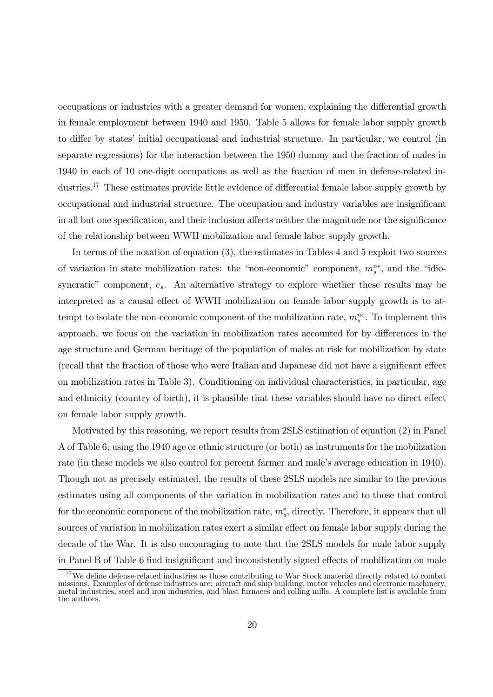occupations or industries with a greater demand for women, explaining the differential growth in female employment between 4940 and 4950. Table 5 allows for female labor supply growth to differ by states' initial occupational and industrial structure. In particular, we control (in separate regressions) for the interaction between the 4950 dummy and the fraction of males in 4940 in each of 40 one-digit occupations as well as the fraction of men in defense-related industries.<sup>17</sup> These estimates provide little evidence of differential female labor supply growth by occupational and industrial structure. The occupation and industry variables are insignificant in all but one specification, and their inclusion affects neither the magnitude nor the significance of the relationship between WWII mobilization and female labor supply growth.

In terms of the notation of equation (3), the estimates in Tables 4 and 5 exploit two sources of variation in state mobilization rates: the "non-economic" component,  $m_s^{ne}$ , and the "idiosyncratic" component,  $e_s$ . An alternative strategy to explore whether these results may be interpreted as a causal effect of WWII mobilization on female labor supply growth is to attempt to isolate the non-economic component of the mobilization rate,  $m_s^{ne}$ . To implement this approach, we focus on the variation in mobilization rates accounted for by differences in the age structure and German heritage of the population of males at risk for mobilization by state (recall that the fraction of those who were Italian and Japanese did not have a significant effect on mobilization rates in Table 3). Conditioning on individual characteristics, in particular, age and ethnicity (country of birth), it is plausible that these variables should have no direct effect on female labor supply growth.

Motivated by this reasoning, we report results from 2SLS estimation of equation (2) in Panel A of Table 6, using the 4940 age or ethnic structure (or both) as instruments for the mobilization rate (in these models we also control for percent farmer and male's average education in 1940). Though not as precisely estimated, the results of these 2SLS models are similar to the previous estimates using all components of the variation in mobilization rates and to those that control for the economic component of the mobilization rate,  $m_s^e$ , directly. Therefore, it appears that all sources of variation in mobilization rates exert a similar effect on female labor supply during the decade of the War. It is also encouraging to note that the 2SLS models for male labor supply in Panel B of Table 6 find insignificant and inconsistently signed effects of mobilization on male

<sup>&</sup>lt;sup>17</sup>We define defense-related industries as those contributing to War Stock material directly related to combat missions. Examples of defense industries are: aircraft and ship building, motor vehicles and electronic machinery, metal industries, steel and iron industries, and blast furnaces and rolling mills. A complete list is available from the authors.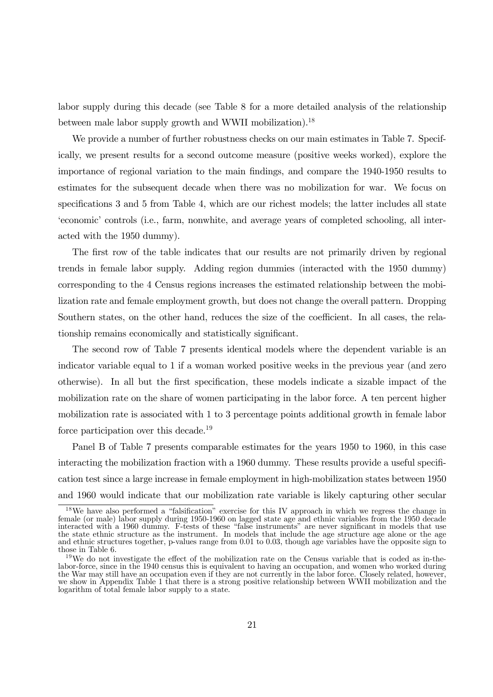labor supply during this decade (see Table 8 for a more detailed analysis of the relationship between male labor supply growth and WWII mobilization).<sup>18</sup>

We provide a number of further robustness checks on our main estimates in Table 7. Specifically, we present results for a second outcome measure (positive weeks worked), explore the importance of regional variation to the main findings, and compare the 4940-4950 results to estimates for the subsequent decade when there was no mobilization for war. We focus on specifications 3 and 5 from Table 4, which are our richest models; the latter includes all state 'economic' controls (i.e., farm, nonwhite, and average years of completed schooling, all interacted with the 4950 dummy).

The first row of the table indicates that our results are not primarily driven by regional trends in female labor supply. Adding region dummies (interacted with the 4950 dummy) corresponding to the 4 Census regions increases the estimated relationship between the mobilization rate and female employment growth, but does not change the overall pattern. Dropping Southern states, on the other hand, reduces the size of the coefficient. In all cases, the relationship remains economically and statistically significant.

The second row of Table 7 presents identical models where the dependent variable is an indicator variable equal to 4 if a woman worked positive weeks in the previous year (and zero otherwise). In all but the first specification, these models indicate a sizable impact of the mobilization rate on the share of women participating in the labor force. A ten percent higher mobilization rate is associated with 4 to 3 percentage points additional growth in female labor force participation over this decade.<sup>19</sup>

Panel B of Table 7 presents comparable estimates for the years  $1950$  to  $1960$ , in this case interacting the mobilization fraction with a 4960 dummy. These results provide a useful specification test since a large increase in female employment in high-mobilization states between 4950 and 4960 would indicate that our mobilization rate variable is likely capturing other secular

 $\frac{18}{18}$ We have also performed a "falsification" exercise for this IV approach in which we regress the change in female (or male) labor supply during 1950-1960 on lagged state age and ethnic variables from the 1950 dec interacted with a 4960 dummy. F-tests of these "false instruments" are never significant in models that use the state ethnic structure as the instrument. In models that include the age structure age alone or the age and ethnic structures together, p-values range from 0.04 to 0.03, though age variables have the opposite sign to those in Table 6.

 $^{19}$ We do not investigate the effect of the mobilization rate on the Census variable that is coded as in-thelabor-force, since in the 4940 census this is equivalent to having an occupation, and women who worked during the War may still have an occupation even if they are not currently in the labor force. Closely related, however, we show in Appendix Table 1 that there is a strong positive relationship between WWII mobilization and the logarithm of total female labor supply to a state.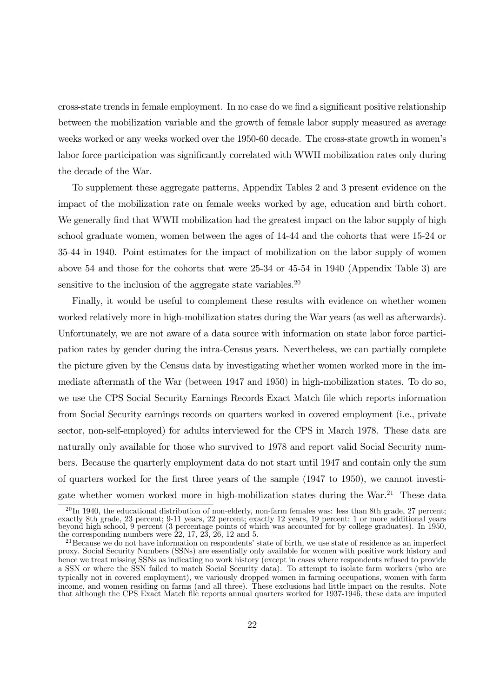cross-state trends in female employment. In no case do we find a significant positive relationship between the mobilization variable and the growth of female labor supply measured as average weeks worked or any weeks worked over the 4950-60 decade. The cross-state growth in women's labor force participation was significantly correlated with WWII mobilization rates only during the decade of the War.

To supplement these aggregate patterns, Appendix Tables 2 and 3 present evidence on the impact of the mobilization rate on female weeks worked by age, education and birth cohort. We generally find that WWII mobilization had the greatest impact on the labor supply of high school graduate women, women between the ages of 44-44 and the cohorts that were 45-24 or 35-44 in 4940. Point estimates for the impact of mobilization on the labor supply of women above 54 and those for the cohorts that were 25-34 or 45-54 in 4940 (Appendix Table 3) are sensitive to the inclusion of the aggregate state variables. $20$ 

Finally, it would be useful to complement these results with evidence on whether women worked relatively more in high-mobilization states during the War years (as well as afterwards). Unfortunately, we are not aware of a data source with information on state labor force participation rates by gender during the intra-Census years. Nevertheless, we can partially complete the picture given by the Census data by investigating whether women worked more in the immediate aftermath of the War (between 4947 and 4950) in high-mobilization states. To do so, we use the CPS Social Security Earnings Records Exact Match file which reports information from Social Security earnings records on quarters worked in covered employment (i.e., private sector, non-self-employed) for adults interviewed for the CPS in March 4978. These data are naturally only available for those who survived to 4978 and report valid Social Security numbers. Because the quarterly employment data do not start until 4947 and contain only the sum of quarters worked for the first three years of the sample (4947 to 4950), we cannot investigate whether women worked more in high-mobilization states during the  $\text{War.}^{21}$  These data

<sup>&</sup>lt;sup>20</sup>In 1940, the educational distribution of non-elderly, non-farm females was: less than 8th grade, 27 percent; exactly 8th grade, 23 percent; 9-11 years, 22 percent; exactly 12 years, 19 percent; 1 or more additional ye exactly 8th grade, 23 percent; 9-<sup>44</sup> years, 22 percent; exactly <sup>4</sup>2 years, <sup>4</sup>9 percent; <sup>4</sup> or more additional years beyond high school, 9 percent (3 percentage points of which was accounted for by college graduates). In <sup>4</sup>950, the corresponding numbers were 22, 47, 23, 26, 42 and 5.

<sup>&</sup>lt;sup>21</sup>Because we do not have information on respondents' state of birth, we use state of residence as an imperfect proxy. Social Security Numbers (SSNs) are essentially only available for women with positive work history and hence we treat missing SSNs as indicating no work history (except in cases where respondents refused to provide a SSN or where the SSN failed to match Social Security data). To attempt to isolate farm workers (who are typically not in covered employment), we variously dropped women in farming occupations, women with farm income, and women residing on farms (and all three). These exclusions had little impact on the results. Note that although the CPS Exact Match file reports annual quarters worked for 4937-4946, these data are imputed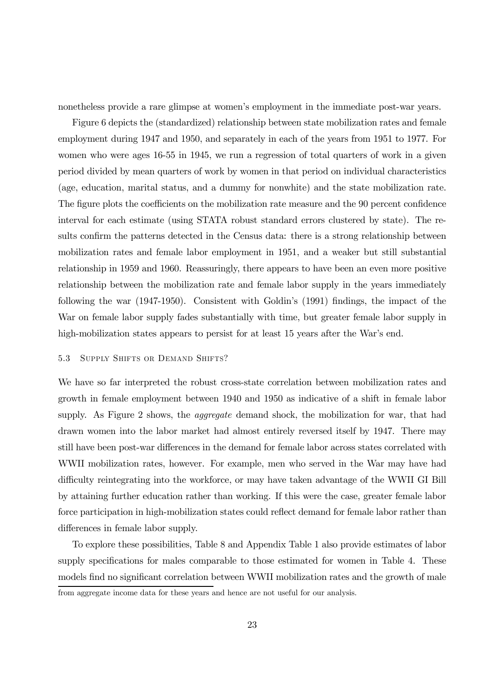nonetheless provide a rare glimpse at women's employment in the immediate post-war years.

Figure 6 depicts the (standardized) relationship between state mobilization rates and female employment during 4947 and 4950, and separately in each of the years from 4954 to 4977. For women who were ages 16-55 in 1945, we run a regression of total quarters of work in a given period divided by mean quarters of work by women in that period on individual characteristics (age, education, marital status, and a dummy for nonwhite) and the state mobilization rate. The figure plots the coefficients on the mobilization rate measure and the 90 percent confidence interval for each estimate (using STATA robust standard errors clustered by state). The results confirm the patterns detected in the Census data: there is a strong relationship between mobilization rates and female labor employment in 4954, and a weaker but still substantial relationship in 4959 and 4960. Reassuringly, there appears to have been an even more positive relationship between the mobilization rate and female labor supply in the years immediately following the war (4947-4950). Consistent with Goldin's (4994) findings, the impact of the War on female labor supply fades substantially with time, but greater female labor supply in high-mobilization states appears to persist for at least 15 years after the War's end.

# 5.3 Supply Shifts or Demand Shifts?

We have so far interpreted the robust cross-state correlation between mobilization rates and growth in female employment between 4940 and 4950 as indicative of a shift in female labor supply. As Figure 2 shows, the *aggregate* demand shock, the mobilization for war, that had drawn women into the labor market had almost entirely reversed itself by 4947. There may still have been post-war differences in the demand for female labor across states correlated with WWII mobilization rates, however. For example, men who served in the War may have had difficulty reintegrating into the workforce, or may have taken advantage of the WWII GI Bill by attaining further education rather than working. If this were the case, greater female labor force participation in high-mobilization states could reflect demand for female labor rather than differences in female labor supply.

To explore these possibilities, Table 8 and Appendix Table 1 also provide estimates of labor supply specifications for males comparable to those estimated for women in Table 4. These models find no significant correlation between WWII mobilization rates and the growth of male from aggregate income data for these years and hence are not useful for our analysis.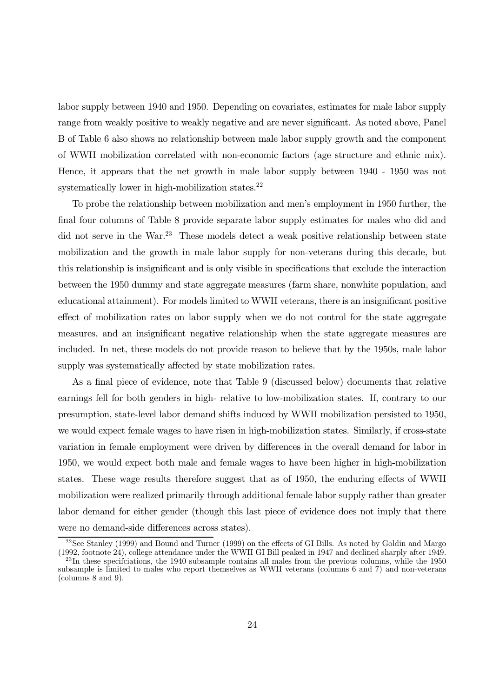labor supply between 4940 and 4950. Depending on covariates, estimates for male labor supply range from weakly positive to weakly negative and are never significant. As noted above, Panel B of Table 6 also shows no relationship between male labor supply growth and the component of WWII mobilization correlated with non-economic factors (age structure and ethnic mix). Hence, it appears that the net growth in male labor supply between 4940 - 4950 was not systematically lower in high-mobilization states.<sup>22</sup>

To probe the relationship between mobilization and men's employment in 4950 further, the final four columns of Table 8 provide separate labor supply estimates for males who did and did not serve in the War.<sup>23</sup> These models detect a weak positive relationship between state mobilization and the growth in male labor supply for non-veterans during this decade, but this relationship is insignificant and is only visible in specifications that exclude the interaction between the 4950 dummy and state aggregate measures (farm share, nonwhite population, and educational attainment). For models limited to WWII veterans, there is an insignificant positive effect of mobilization rates on labor supply when we do not control for the state aggregate measures, and an insignificant negative relationship when the state aggregate measures are included. In net, these models do not provide reason to believe that by the 4950s, male labor supply was systematically affected by state mobilization rates.

As a final piece of evidence, note that Table 9 (discussed below) documents that relative earnings fell for both genders in high- relative to low-mobilization states. If, contrary to our presumption, state-level labor demand shifts induced by WWII mobilization persisted to 4950, we would expect female wages to have risen in high-mobilization states. Similarly, if cross-state variation in female employment were driven by differences in the overall demand for labor in 4950, we would expect both male and female wages to have been higher in high-mobilization states. These wage results therefore suggest that as of 1950, the enduring effects of WWII mobilization were realized primarily through additional female labor supply rather than greater labor demand for either gender (though this last piece of evidence does not imply that there were no demand-side differences across states).

 $^{22}$ See Stanley (1999) and Bound and Turner (1999) on the effects of GI Bills. As noted by Goldin and Margo (4992, footnote 24), college attendance under the WWII GI Bill peaked in 4947 and declined sharply after 4949.

 $^{23}$ In these specificiations, the 1940 subsample contains all males from the previous columns, while the 1950 subsample is limited to males who report themselves as WWII veterans (columns 6 and 7) and non-veterans (columns 8 and 9).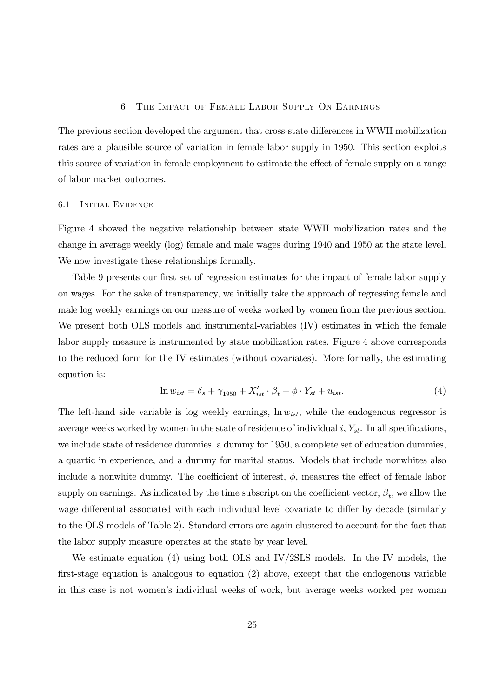#### 6 The Impact of Female Labor Supply On Earnings

The previous section developed the argument that cross-state differences in WWII mobilization rates are a plausible source of variation in female labor supply in 4950. This section exploits this source of variation in female employment to estimate the effect of female supply on a range of labor market outcomes.

#### 6.1 Initial Evidence

Figure 4 showed the negative relationship between state WWII mobilization rates and the change in average weekly (log) female and male wages during 4940 and 4950 at the state level. We now investigate these relationships formally.

Table 9 presents our first set of regression estimates for the impact of female labor supply on wages. For the sake of transparency, we initially take the approach of regressing female and male log weekly earnings on our measure of weeks worked by women from the previous section. We present both OLS models and instrumental-variables (IV) estimates in which the female labor supply measure is instrumented by state mobilization rates. Figure 4 above corresponds to the reduced form for the IV estimates (without covariates). More formally, the estimating equation is:

$$
\ln w_{ist} = \delta_s + \gamma_{1950} + X'_{ist} \cdot \beta_t + \phi \cdot Y_{st} + u_{ist}.
$$
\n
$$
\tag{4}
$$

The left-hand side variable is log weekly earnings,  $\ln w_{ist}$ , while the endogenous regressor is average weeks worked by women in the state of residence of individual  $i, Y_{st}$ . In all specifications, we include state of residence dummies, a dummy for 4950, a complete set of education dummies, a quartic in experience, and a dummy for marital status. Models that include nonwhites also include a nonwhite dummy. The coefficient of interest,  $\phi$ , measures the effect of female labor supply on earnings. As indicated by the time subscript on the coefficient vector,  $\beta_t$ , we allow the wage differential associated with each individual level covariate to differ by decade (similarly to the OLS models of Table 2). Standard errors are again clustered to account for the fact that the labor supply measure operates at the state by year level.

We estimate equation (4) using both OLS and IV/2SLS models. In the IV models, the first-stage equation is analogous to equation (2) above, except that the endogenous variable in this case is not women's individual weeks of work, but average weeks worked per woman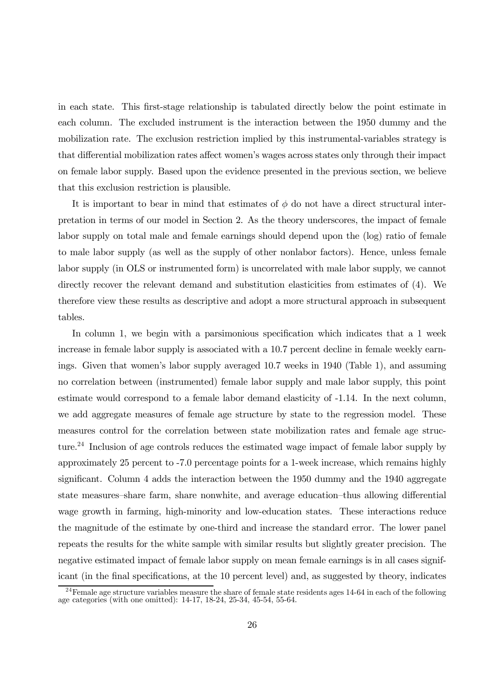in each state. This first-stage relationship is tabulated directly below the point estimate in each column. The excluded instrument is the interaction between the 4950 dummy and the mobilization rate. The exclusion restriction implied by this instrumental-variables strategy is that differential mobilization rates affect women's wages across states only through their impact on female labor supply. Based upon the evidence presented in the previous section, we believe that this exclusion restriction is plausible.

It is important to bear in mind that estimates of  $\phi$  do not have a direct structural interpretation in terms of our model in Section 2. As the theory underscores, the impact of female labor supply on total male and female earnings should depend upon the (log) ratio of female to male labor supply (as well as the supply of other nonlabor factors). Hence, unless female labor supply (in OLS or instrumented form) is uncorrelated with male labor supply, we cannot directly recover the relevant demand and substitution elasticities from estimates of (4). We therefore view these results as descriptive and adopt a more structural approach in subsequent tables.

In column 1, we begin with a parsimonious specification which indicates that a  $1$  week increase in female labor supply is associated with a 10.7 percent decline in female weekly earnings. Given that women's labor supply averaged 40.7 weeks in 4940 (Table 4), and assuming no correlation between (instrumented) female labor supply and male labor supply, this point estimate would correspond to a female labor demand elasticity of -4.44. In the next column, we add aggregate measures of female age structure by state to the regression model. These measures control for the correlation between state mobilization rates and female age structure.<sup>24</sup> Inclusion of age controls reduces the estimated wage impact of female labor supply by approximately 25 percent to -7.0 percentage points for a 4-week increase, which remains highly significant. Column 4 adds the interaction between the 4950 dummy and the 4940 aggregate state measures–share farm, share nonwhite, and average education–thus allowing differential wage growth in farming, high-minority and low-education states. These interactions reduce the magnitude of the estimate by one-third and increase the standard error. The lower panel repeats the results for the white sample with similar results but slightly greater precision. The negative estimated impact of female labor supply on mean female earnings is in all cases significant (in the final specifications, at the 40 percent level) and, as suggested by theory, indicates

<sup>&</sup>lt;sup>24</sup>Female age structure variables measure the share of female state residents ages  $14-64$  in each of the following age categories (with one omitted):  $14-17$ ,  $18-24$ ,  $25-34$ ,  $45-54$ ,  $55-64$ .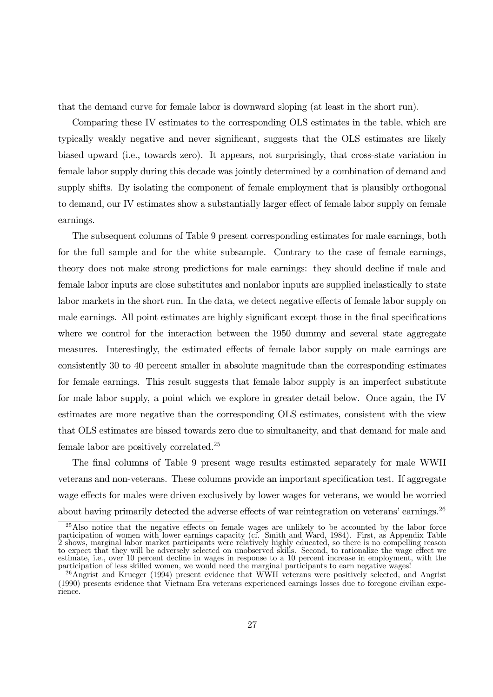that the demand curve for female labor is downward sloping (at least in the short run).

Comparing these IV estimates to the corresponding OLS estimates in the table, which are typically weakly negative and never significant, suggests that the OLS estimates are likely biased upward (i.e., towards zero). It appears, not surprisingly, that cross-state variation in female labor supply during this decade was jointly determined by a combination of demand and supply shifts. By isolating the component of female employment that is plausibly orthogonal to demand, our IV estimates show a substantially larger effect of female labor supply on female earnings.

The subsequent columns of Table 9 present corresponding estimates for male earnings, both for the full sample and for the white subsample. Contrary to the case of female earnings, theory does not make strong predictions for male earnings: they should decline if male and female labor inputs are close substitutes and nonlabor inputs are supplied inelastically to state labor markets in the short run. In the data, we detect negative effects of female labor supply on male earnings. All point estimates are highly significant except those in the final specifications where we control for the interaction between the 1950 dummy and several state aggregate measures. Interestingly, the estimated effects of female labor supply on male earnings are consistently 30 to 40 percent smaller in absolute magnitude than the corresponding estimates for female earnings. This result suggests that female labor supply is an imperfect substitute for male labor supply, a point which we explore in greater detail below. Once again, the IV estimates are more negative than the corresponding OLS estimates, consistent with the view that OLS estimates are biased towards zero due to simultaneity, and that demand for male and female labor are positively correlated.25

The final columns of Table 9 present wage results estimated separately for male WWII veterans and non-veterans. These columns provide an important specification test. If aggregate wage effects for males were driven exclusively by lower wages for veterans, we would be worried about having primarily detected the adverse effects of war reintegration on veterans' earnings.<sup>26</sup>

<sup>&</sup>lt;sup>25</sup>Also notice that the negative effects on female wages are unlikely to be accounted by the labor force participation of women with lower earnings capacity (cf. Smith and Ward, 1984). First, as Appendix Table 2 shows, marginal labor market participants were relatively highly educated, so there is no compelling reason to expect that they will be adversely selected on unobserved skills. Second, to rationalize the wage eect we estimate, i.e., over 10 percent decline in wages in response to a 10 percent increase in employment, with the participation of less skilled women, we would need the marginal participants to earn negative wages!

<sup>&</sup>lt;sup>26</sup>Angrist and Krueger (1994) present evidence that WWII veterans were positively selected, and Angrist (4990) presents evidence that Vietnam Era veterans experienced earnings losses due to foregone civilian experience.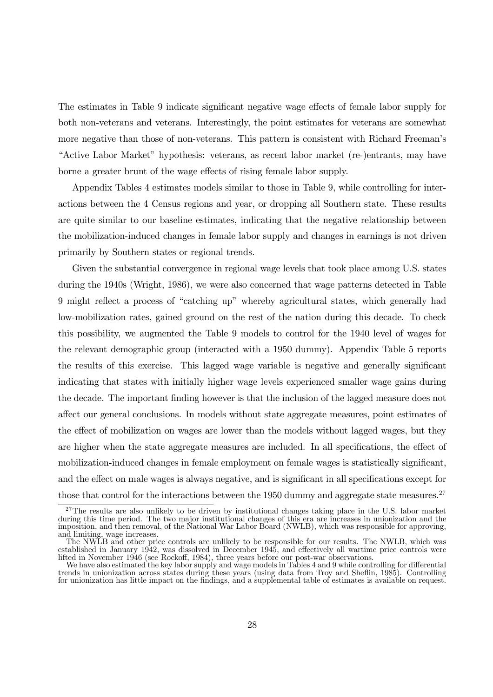The estimates in Table 9 indicate significant negative wage effects of female labor supply for both non-veterans and veterans. Interestingly, the point estimates for veterans are somewhat more negative than those of non-veterans. This pattern is consistent with Richard Freeman's "Active Labor Market" hypothesis: veterans, as recent labor market (re-)entrants, may have borne a greater brunt of the wage effects of rising female labor supply.

Appendix Tables 4 estimates models similar to those in Table 9, while controlling for interactions between the 4 Census regions and year, or dropping all Southern state. These results are quite similar to our baseline estimates, indicating that the negative relationship between the mobilization-induced changes in female labor supply and changes in earnings is not driven primarily by Southern states or regional trends.

Given the substantial convergence in regional wage levels that took place among U.S. states during the 4940s (Wright, 4986), we were also concerned that wage patterns detected in Table 9 might reflect a process of "catching up" whereby agricultural states, which generally had low-mobilization rates, gained ground on the rest of the nation during this decade. To check this possibility, we augmented the Table 9 models to control for the 4940 level of wages for the relevant demographic group (interacted with a 4950 dummy). Appendix Table 5 reports the results of this exercise. This lagged wage variable is negative and generally significant indicating that states with initially higher wage levels experienced smaller wage gains during the decade. The important finding however is that the inclusion of the lagged measure does not affect our general conclusions. In models without state aggregate measures, point estimates of the effect of mobilization on wages are lower than the models without lagged wages, but they are higher when the state aggregate measures are included. In all specifications, the effect of mobilization-induced changes in female employment on female wages is statistically significant, and the effect on male wages is always negative, and is significant in all specifications except for those that control for the interactions between the 1950 dummy and aggregate state measures.<sup>27</sup>

 $27$ The results are also unlikely to be driven by institutional changes taking place in the U.S. labor market during this time period. The two major institutional changes of this era are increases in unionization and the imposition, and then removal, of the National War Labor Board (NWLB), which was responsible for approving, and limiting, wage increases.

The NWLB and other price controls are unlikely to be responsible for our results. The NWLB, which was established in January 1942, was dissolved in December 1945, and effectively all wartime price controls were lifted in November 1946 (see Rockoff, 1984), three years before our post-war observations.

We have also estimated the key labor supply and wage models in Tables 4 and 9 while controlling for differential trends in unionization across states during these years (using data from Troy and Sheflin, <sup>4</sup>985). Controlling for unionization has little impact on the findings, and a supplemental table of estimates is available on request.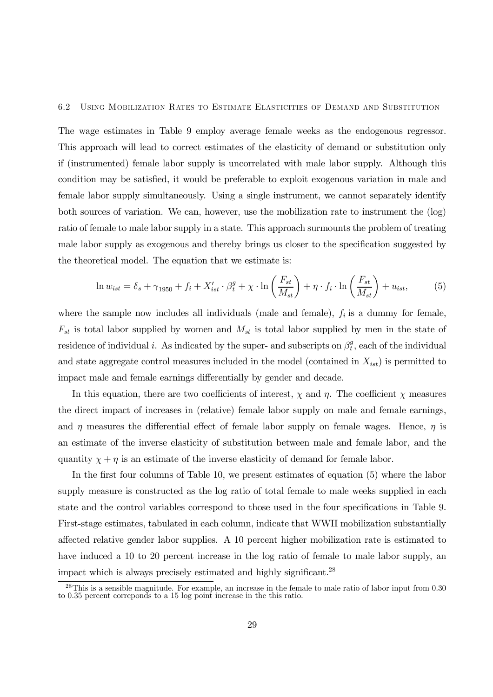#### 6.2 Using Mobilization Rates to Estimate Elasticities of Demand and Substitution

The wage estimates in Table 9 employ average female weeks as the endogenous regressor. This approach will lead to correct estimates of the elasticity of demand or substitution only if (instrumented) female labor supply is uncorrelated with male labor supply. Although this condition may be satisfied, it would be preferable to exploit exogenous variation in male and female labor supply simultaneously. Using a single instrument, we cannot separately identify both sources of variation. We can, however, use the mobilization rate to instrument the (log) ratio of female to male labor supply in a state. This approach surmounts the problem of treating male labor supply as exogenous and thereby brings us closer to the specification suggested by the theoretical model. The equation that we estimate is:

$$
\ln w_{ist} = \delta_s + \gamma_{1950} + f_i + X'_{ist} \cdot \beta_t^g + \chi \cdot \ln\left(\frac{F_{st}}{M_{st}}\right) + \eta \cdot f_i \cdot \ln\left(\frac{F_{st}}{M_{st}}\right) + u_{ist},\tag{5}
$$

where the sample now includes all individuals (male and female),  $f_i$  is a dummy for female,  $F_{st}$  is total labor supplied by women and  $M_{st}$  is total labor supplied by men in the state of residence of individual *i*. As indicated by the super- and subscripts on  $\beta_t^g$ , each of the individual and state aggregate control measures included in the model (contained in  $X_{ist}$ ) is permitted to impact male and female earnings differentially by gender and decade.

In this equation, there are two coefficients of interest,  $\chi$  and  $\eta$ . The coefficient  $\chi$  measures the direct impact of increases in (relative) female labor supply on male and female earnings, and  $\eta$  measures the differential effect of female labor supply on female wages. Hence,  $\eta$  is an estimate of the inverse elasticity of substitution between male and female labor, and the quantity  $\chi + \eta$  is an estimate of the inverse elasticity of demand for female labor.

In the first four columns of Table 10, we present estimates of equation (5) where the labor supply measure is constructed as the log ratio of total female to male weeks supplied in each state and the control variables correspond to those used in the four specifications in Table 9. First-stage estimates, tabulated in each column, indicate that WWII mobilization substantially affected relative gender labor supplies. A  $10$  percent higher mobilization rate is estimated to have induced a 10 to 20 percent increase in the log ratio of female to male labor supply, an impact which is always precisely estimated and highly significant.<sup>28</sup>

 $^{28}$ This is a sensible magnitude. For example, an increase in the female to male ratio of labor input from 0.30 to 0.35 percent correponds to a 45 log point increase in the this ratio.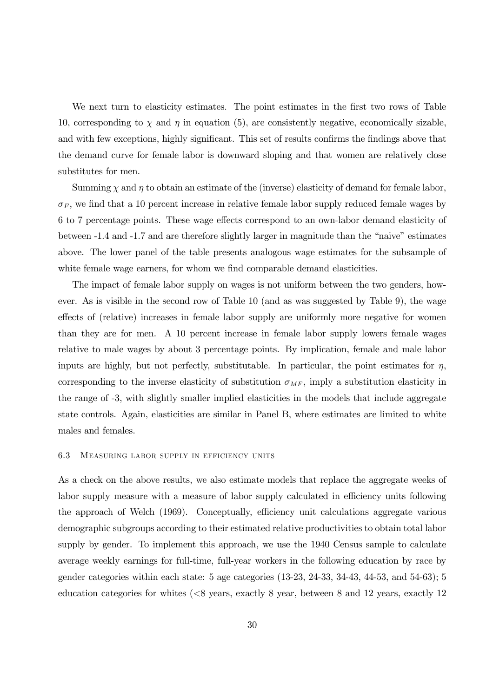We next turn to elasticity estimates. The point estimates in the first two rows of Table 10, corresponding to  $\chi$  and  $\eta$  in equation (5), are consistently negative, economically sizable, and with few exceptions, highly significant. This set of results confirms the findings above that the demand curve for female labor is downward sloping and that women are relatively close substitutes for men.

Summing  $\chi$  and  $\eta$  to obtain an estimate of the (inverse) elasticity of demand for female labor,  $\sigma_F$ , we find that a 10 percent increase in relative female labor supply reduced female wages by 6 to 7 percentage points. These wage effects correspond to an own-labor demand elasticity of between -4.4 and -4.7 and are therefore slightly larger in magnitude than the "naive" estimates above. The lower panel of the table presents analogous wage estimates for the subsample of white female wage earners, for whom we find comparable demand elasticities.

The impact of female labor supply on wages is not uniform between the two genders, however. As is visible in the second row of Table 40 (and as was suggested by Table 9), the wage effects of (relative) increases in female labor supply are uniformly more negative for women than they are for men. A 40 percent increase in female labor supply lowers female wages relative to male wages by about 3 percentage points. By implication, female and male labor inputs are highly, but not perfectly, substitutable. In particular, the point estimates for  $\eta$ , corresponding to the inverse elasticity of substitution  $\sigma_{MF}$ , imply a substitution elasticity in the range of -3, with slightly smaller implied elasticities in the models that include aggregate state controls. Again, elasticities are similar in Panel B, where estimates are limited to white males and females.

#### 6.3 Measuring labor supply in efficiency units

As a check on the above results, we also estimate models that replace the aggregate weeks of labor supply measure with a measure of labor supply calculated in efficiency units following the approach of Welch  $(1969)$ . Conceptually, efficiency unit calculations aggregate various demographic subgroups according to their estimated relative productivities to obtain total labor supply by gender. To implement this approach, we use the 1940 Census sample to calculate average weekly earnings for full-time, full-year workers in the following education by race by gender categories within each state:  $5$  age categories  $(13-23, 24-33, 34-43, 44-53, \text{ and } 54-63);$ education categories for whites (<8 years, exactly 8 year, between 8 and 42 years, exactly 42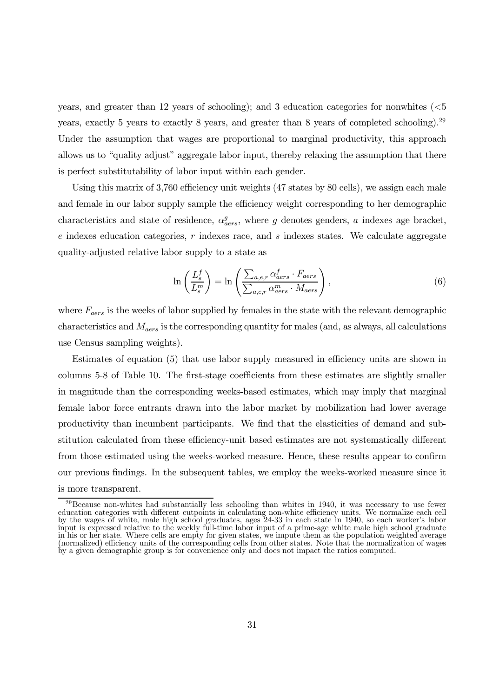years, and greater than 12 years of schooling); and 3 education categories for nonwhites  $\langle$  <5 years, exactly 5 years to exactly 8 years, and greater than 8 years of completed schooling).<sup>29</sup> Under the assumption that wages are proportional to marginal productivity, this approach allows us to "quality adjust" aggregate labor input, thereby relaxing the assumption that there is perfect substitutability of labor input within each gender.

Using this matrix of  $3,760$  efficiency unit weights (47 states by 80 cells), we assign each male and female in our labor supply sample the efficiency weight corresponding to her demographic characteristics and state of residence,  $\alpha_{aers}^g$ , where g denotes genders, a indexes age bracket, e indexes education categories, r indexes race, and s indexes states. We calculate aggregate quality-adjusted relative labor supply to a state as

$$
\ln\left(\frac{L_s^f}{L_s^m}\right) = \ln\left(\frac{\sum_{a,e,r} \alpha_{aers}^f \cdot F_{aers}}{\sum_{a,e,r} \alpha_{aers}^m \cdot M_{aers}}\right),\tag{6}
$$

where  $F_{aers}$  is the weeks of labor supplied by females in the state with the relevant demographic characteristics and  $M_{aers}$  is the corresponding quantity for males (and, as always, all calculations use Census sampling weights).

Estimates of equation  $(5)$  that use labor supply measured in efficiency units are shown in columns 5-8 of Table 10. The first-stage coefficients from these estimates are slightly smaller in magnitude than the corresponding weeks-based estimates, which may imply that marginal female labor force entrants drawn into the labor market by mobilization had lower average productivity than incumbent participants. We find that the elasticities of demand and substitution calculated from these efficiency-unit based estimates are not systematically different from those estimated using the weeks-worked measure. Hence, these results appear to confirm our previous findings. In the subsequent tables, we employ the weeks-worked measure since it is more transparent.

<sup>29</sup>Because non-whites had substantially less schooling than whites in 4940, it was necessary to use fewer education categories with different cutpoints in calculating non-white efficiency units. We normalize each cell by the wages of white, male high school graduates, ages 24-33 in each state in 4940, so each worker's labor input is expressed relative to the weekly full-time labor input of a prime-age white male high school graduate in his or her state. Where cells are empty for given states, we impute them as the population weighted average (normalized) efficiency units of the corresponding cells from other states. Note that the normalization of wages by a given demographic group is for convenience only and does not impact the ratios computed.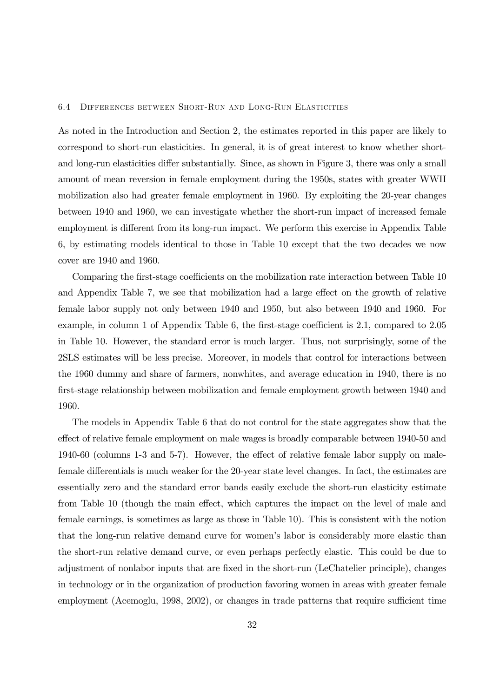#### 6.4 Differences between Short-Run and Long-Run Elasticities

As noted in the Introduction and Section 2, the estimates reported in this paper are likely to correspond to short-run elasticities. In general, it is of great interest to know whether shortand long-run elasticities differ substantially. Since, as shown in Figure 3, there was only a small amount of mean reversion in female employment during the 4950s, states with greater WWII mobilization also had greater female employment in 4960. By exploiting the 20-year changes between 4940 and 4960, we can investigate whether the short-run impact of increased female employment is different from its long-run impact. We perform this exercise in Appendix Table 6, by estimating models identical to those in Table 40 except that the two decades we now cover are 1940 and 1960.

Comparing the first-stage coefficients on the mobilization rate interaction between Table 10 and Appendix Table 7, we see that mobilization had a large effect on the growth of relative female labor supply not only between 4940 and 4950, but also between 4940 and 4960. For example, in column 1 of Appendix Table 6, the first-stage coefficient is 2.1, compared to  $2.05$ in Table 40. However, the standard error is much larger. Thus, not surprisingly, some of the 2SLS estimates will be less precise. Moreover, in models that control for interactions between the 4960 dummy and share of farmers, nonwhites, and average education in 4940, there is no first-stage relationship between mobilization and female employment growth between 4940 and 4960.

The models in Appendix Table 6 that do not control for the state aggregates show that the effect of relative female employment on male wages is broadly comparable between 1940-50 and 1940-60 (columns 1-3 and 5-7). However, the effect of relative female labor supply on malefemale differentials is much weaker for the 20-year state level changes. In fact, the estimates are essentially zero and the standard error bands easily exclude the short-run elasticity estimate from Table 10 (though the main effect, which captures the impact on the level of male and female earnings, is sometimes as large as those in Table 40). This is consistent with the notion that the long-run relative demand curve for women's labor is considerably more elastic than the short-run relative demand curve, or even perhaps perfectly elastic. This could be due to adjustment of nonlabor inputs that are fixed in the short-run (LeChatelier principle), changes in technology or in the organization of production favoring women in areas with greater female employment (Acemoglu, 1998, 2002), or changes in trade patterns that require sufficient time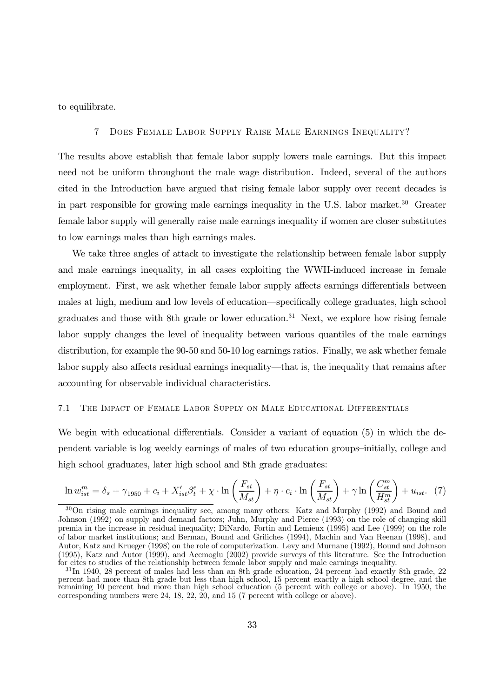to equilibrate.

# 7 Does Female Labor Supply Raise Male Earnings Inequality?

The results above establish that female labor supply lowers male earnings. But this impact need not be uniform throughout the male wage distribution. Indeed, several of the authors cited in the Introduction have argued that rising female labor supply over recent decades is in part responsible for growing male earnings inequality in the U.S. labor market.<sup>30</sup> Greater female labor supply will generally raise male earnings inequality if women are closer substitutes to low earnings males than high earnings males.

We take three angles of attack to investigate the relationship between female labor supply and male earnings inequality, in all cases exploiting the WWII-induced increase in female employment. First, we ask whether female labor supply affects earnings differentials between males at high, medium and low levels of education–specifically college graduates, high school graduates and those with 8th grade or lower education.<sup>31</sup> Next, we explore how rising female labor supply changes the level of inequality between various quantiles of the male earnings distribution, for example the 90-50 and 50-40 log earnings ratios. Finally, we ask whether female labor supply also affects residual earnings inequality—that is, the inequality that remains after accounting for observable individual characteristics.

#### 7.1 The Impact of Female Labor Supply on Male Educational Differentials

We begin with educational differentials. Consider a variant of equation  $(5)$  in which the dependent variable is log weekly earnings of males of two education groups—initially, college and high school graduates, later high school and 8th grade graduates:

$$
\ln w_{ist}^m = \delta_s + \gamma_{1950} + c_i + X'_{ist}\beta_t^e + \chi \cdot \ln\left(\frac{F_{st}}{M_{st}}\right) + \eta \cdot c_i \cdot \ln\left(\frac{F_{st}}{M_{st}}\right) + \gamma \ln\left(\frac{C_{st}^m}{H_{st}^m}\right) + u_{ist}.\tag{7}
$$

<sup>&</sup>lt;sup>30</sup>On rising male earnings inequality see, among many others: Katz and Murphy (1992) and Bound and Johnson (4992) on supply and demand factors; Juhn, Murphy and Pierce (4993) on the role of changing skill premia in the increase in residual inequality; DiNardo, Fortin and Lemieux (4995) and Lee (4999) on the role of labor market institutions; and Berman, Bound and Griliches (4994), Machin and Van Reenan (4998), and Autor, Katz and Krueger (4998) on the role of computerization. Levy and Murnane (4992), Bound and Johnson (4995), Katz and Autor (4999), and Acemoglu (2002) provide surveys of this literature. See the Introduction for cites to studies of the relationship between female labor supply and male earnings inequality.

 $31 \text{In } 1940, 28$  percent of males had less than an 8th grade education, 24 percent had exactly 8th grade, 22 percent had more than 8th grade but less than high school, 45 percent exactly a high school degree, and the remaining 40 percent had more than high school education (5 percent with college or above). In 4950, the corresponding numbers were 24, 48, 22, 20, and 45 (7 percent with college or above).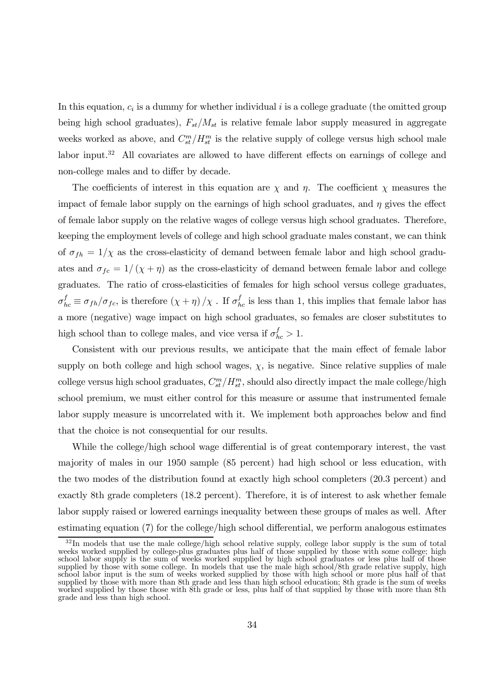In this equation,  $c_i$  is a dummy for whether individual i is a college graduate (the omitted group being high school graduates),  $F_{st}/M_{st}$  is relative female labor supply measured in aggregate weeks worked as above, and  $C_{st}^{m}/H_{st}^{m}$  is the relative supply of college versus high school male labor input.<sup>32</sup> All covariates are allowed to have different effects on earnings of college and non-college males and to differ by decade.

The coefficients of interest in this equation are  $\chi$  and  $\eta$ . The coefficient  $\chi$  measures the impact of female labor supply on the earnings of high school graduates, and  $\eta$  gives the effect of female labor supply on the relative wages of college versus high school graduates. Therefore, keeping the employment levels of college and high school graduate males constant, we can think of  $\sigma_{fh} = 1/\chi$  as the cross-elasticity of demand between female labor and high school graduates and  $\sigma_{fc} = 1/(\chi + \eta)$  as the cross-elasticity of demand between female labor and college graduates. The ratio of cross-elasticities of females for high school versus college graduates,  $\sigma_{hc}^f \equiv \sigma_{fh}/\sigma_{fc}$ , is therefore  $(\chi + \eta)/\chi$ . If  $\sigma_{hc}^f$  is less than 1, this implies that female labor has a more (negative) wage impact on high school graduates, so females are closer substitutes to high school than to college males, and vice versa if  $\sigma_{hc}^f > 1$ .

Consistent with our previous results, we anticipate that the main effect of female labor supply on both college and high school wages,  $\chi$ , is negative. Since relative supplies of male college versus high school graduates,  $C_{st}^m / H_{st}^m$ , should also directly impact the male college/high school premium, we must either control for this measure or assume that instrumented female labor supply measure is uncorrelated with it. We implement both approaches below and find that the choice is not consequential for our results.

While the college/high school wage differential is of great contemporary interest, the vast majority of males in our 4950 sample (85 percent) had high school or less education, with the two modes of the distribution found at exactly high school completers (20.3 percent) and exactly 8th grade completers (18.2 percent). Therefore, it is of interest to ask whether female labor supply raised or lowered earnings inequality between these groups of males as well. After estimating equation  $(7)$  for the college/high school differential, we perform analogous estimates

 $32$ In models that use the male college/high school relative supply, college labor supply is the sum of total weeks worked supplied by college-plus graduates plus half of those supplied by those with some college; high school labor supply is the sum of weeks worked supplied by high school graduates or less plus half of those supplied by those with some college. In models that use the male high school/8th grade relative supply, high school labor input is the sum of weeks worked supplied by those with high school or more plus half of that supplied by those with more than 8th grade and less than high school education; 8th grade is the sum of weeks worked supplied by those those with 8th grade or less, plus half of that supplied by those with more than 8th grade and less than high school.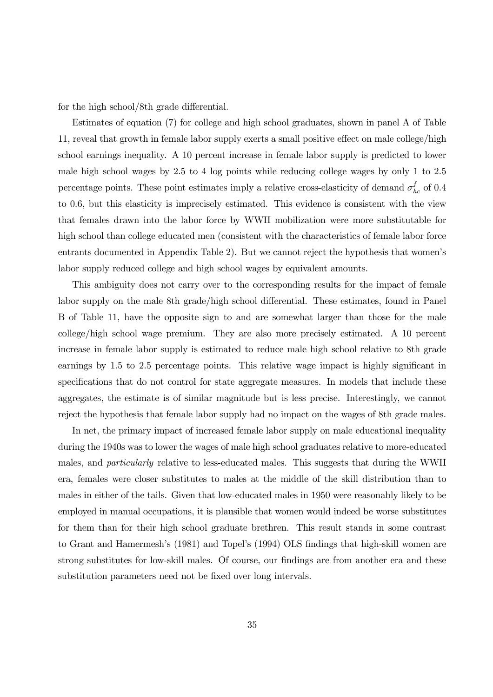for the high school/8th grade differential.

Estimates of equation (7) for college and high school graduates, shown in panel A of Table 11, reveal that growth in female labor supply exerts a small positive effect on male college/high school earnings inequality. A 40 percent increase in female labor supply is predicted to lower male high school wages by 2.5 to 4 log points while reducing college wages by only 4 to 2.5 percentage points. These point estimates imply a relative cross-elasticity of demand  $\sigma_{hc}^f$  of 0.4 to 0.6, but this elasticity is imprecisely estimated. This evidence is consistent with the view that females drawn into the labor force by WWII mobilization were more substitutable for high school than college educated men (consistent with the characteristics of female labor force entrants documented in Appendix Table 2). But we cannot reject the hypothesis that women's labor supply reduced college and high school wages by equivalent amounts.

This ambiguity does not carry over to the corresponding results for the impact of female labor supply on the male 8th grade/high school differential. These estimates, found in Panel B of Table 44, have the opposite sign to and are somewhat larger than those for the male college/high school wage premium. They are also more precisely estimated. A 40 percent increase in female labor supply is estimated to reduce male high school relative to 8th grade earnings by 4.5 to 2.5 percentage points. This relative wage impact is highly significant in specifications that do not control for state aggregate measures. In models that include these aggregates, the estimate is of similar magnitude but is less precise. Interestingly, we cannot reject the hypothesis that female labor supply had no impact on the wages of 8th grade males.

In net, the primary impact of increased female labor supply on male educational inequality during the 4940s was to lower the wages of male high school graduates relative to more-educated males, and *particularly* relative to less-educated males. This suggests that during the WWII era, females were closer substitutes to males at the middle of the skill distribution than to males in either of the tails. Given that low-educated males in 4950 were reasonably likely to be employed in manual occupations, it is plausible that women would indeed be worse substitutes for them than for their high school graduate brethren. This result stands in some contrast to Grant and Hamermesh's (1981) and Topel's (1994) OLS findings that high-skill women are strong substitutes for low-skill males. Of course, our findings are from another era and these substitution parameters need not be fixed over long intervals.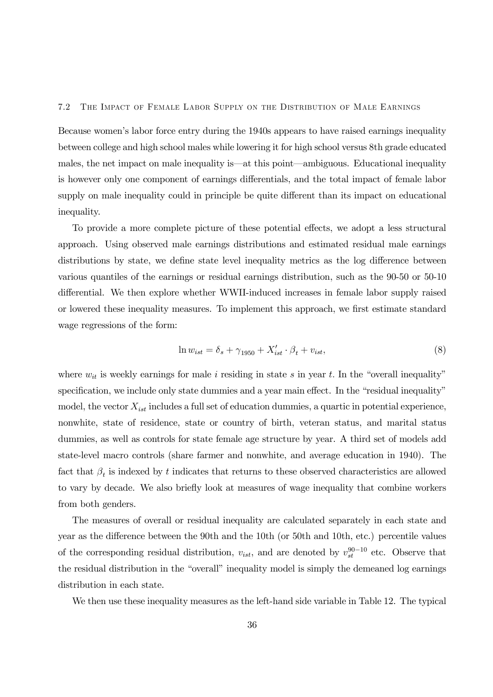#### 7.2 The Impact of Female Labor Supply on the Distribution of Male Earnings

Because women's labor force entry during the 4940s appears to have raised earnings inequality between college and high school males while lowering it for high school versus 8th grade educated males, the net impact on male inequality is–at this point–ambiguous. Educational inequality is however only one component of earnings differentials, and the total impact of female labor supply on male inequality could in principle be quite different than its impact on educational inequality.

To provide a more complete picture of these potential effects, we adopt a less structural approach. Using observed male earnings distributions and estimated residual male earnings distributions by state, we define state level inequality metrics as the log difference between various quantiles of the earnings or residual earnings distribution, such as the 90-50 or 50-40 differential. We then explore whether WWII-induced increases in female labor supply raised or lowered these inequality measures. To implement this approach, we first estimate standard wage regressions of the form:

$$
\ln w_{ist} = \delta_s + \gamma_{1950} + X'_{ist} \cdot \beta_t + v_{ist},\tag{8}
$$

where  $w_{it}$  is weekly earnings for male i residing in state s in year t. In the "overall inequality" specification, we include only state dummies and a year main effect. In the "residual inequality" model, the vector  $X_{ist}$  includes a full set of education dummies, a quartic in potential experience, nonwhite, state of residence, state or country of birth, veteran status, and marital status dummies, as well as controls for state female age structure by year. A third set of models add state-level macro controls (share farmer and nonwhite, and average education in 4940). The fact that  $\beta_t$  is indexed by t indicates that returns to these observed characteristics are allowed to vary by decade. We also briefly look at measures of wage inequality that combine workers from both genders.

The measures of overall or residual inequality are calculated separately in each state and year as the difference between the 90th and the 10th (or 50th and 10th, etc.) percentile values of the corresponding residual distribution,  $v_{ist}$ , and are denoted by  $v_{st}^{90-10}$  etc. Observe that the residual distribution in the "overall" inequality model is simply the demeaned log earnings distribution in each state.

We then use these inequality measures as the left-hand side variable in Table 12. The typical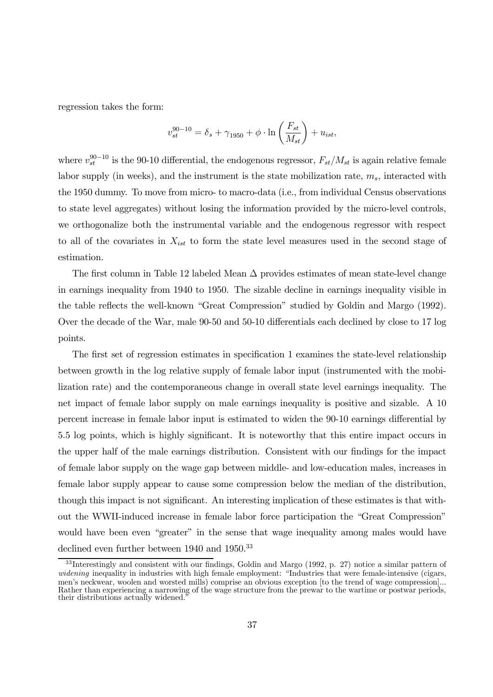regression takes the form:

$$
v_{st}^{90-10} = \delta_s + \gamma_{1950} + \phi \cdot \ln\left(\frac{F_{st}}{M_{st}}\right) + u_{ist},
$$

where  $v_{st}^{90-10}$  is the 90-10 differential, the endogenous regressor,  $F_{st}/M_{st}$  is again relative female labor supply (in weeks), and the instrument is the state mobilization rate,  $m_s$ , interacted with the 4950 dummy. To move from micro- to macro-data (i.e., from individual Census observations to state level aggregates) without losing the information provided by the micro-level controls, we orthogonalize both the instrumental variable and the endogenous regressor with respect to all of the covariates in  $X_{ist}$  to form the state level measures used in the second stage of estimation.

The first column in Table 12 labeled Mean  $\Delta$  provides estimates of mean state-level change in earnings inequality from 4940 to 4950. The sizable decline in earnings inequality visible in the table reflects the well-known "Great Compression" studied by Goldin and Margo (4992). Over the decade of the War, male  $90-50$  and  $50-10$  differentials each declined by close to 17 log points.

The first set of regression estimates in specification 1 examines the state-level relationship between growth in the log relative supply of female labor input (instrumented with the mobilization rate) and the contemporaneous change in overall state level earnings inequality. The net impact of female labor supply on male earnings inequality is positive and sizable. A 10 percent increase in female labor input is estimated to widen the 90-10 earnings differential by 5.5 log points, which is highly significant. It is noteworthy that this entire impact occurs in the upper half of the male earnings distribution. Consistent with our findings for the impact of female labor supply on the wage gap between middle- and low-education males, increases in female labor supply appear to cause some compression below the median of the distribution, though this impact is not significant. An interesting implication of these estimates is that without the WWII-induced increase in female labor force participation the "Great Compression" would have been even "greater" in the sense that wage inequality among males would have declined even further between 1940 and 1950. $33$ 

<sup>&</sup>lt;sup>33</sup>Interestingly and consistent with our findings, Goldin and Margo (1992, p. 27) notice a similar pattern of widening inequality in industries with high female employment: "Industries that were female-intensive (cigars, men's neckwear, woolen and worsted mills) comprise an obvious exception [to the trend of wage compression]... Rather than experiencing a narrowing of the wage structure from the prewar to the wartime or postwar periods, their distributions actually widened."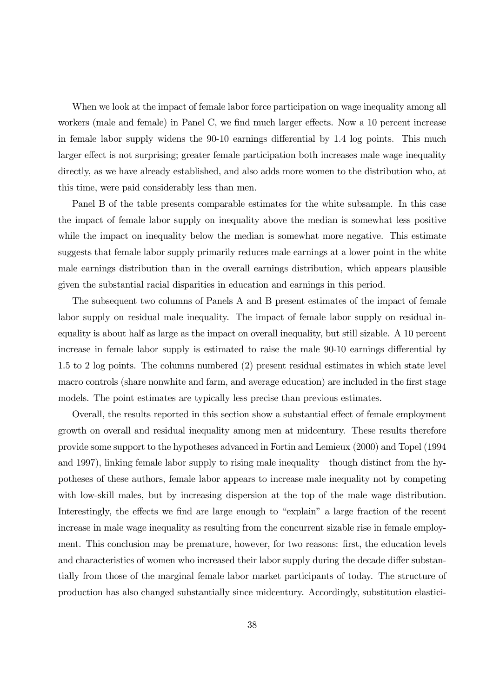When we look at the impact of female labor force participation on wage inequality among all workers (male and female) in Panel C, we find much larger effects. Now a 10 percent increase in female labor supply widens the 90-10 earnings differential by 1.4 log points. This much larger effect is not surprising; greater female participation both increases male wage inequality directly, as we have already established, and also adds more women to the distribution who, at this time, were paid considerably less than men.

Panel B of the table presents comparable estimates for the white subsample. In this case the impact of female labor supply on inequality above the median is somewhat less positive while the impact on inequality below the median is somewhat more negative. This estimate suggests that female labor supply primarily reduces male earnings at a lower point in the white male earnings distribution than in the overall earnings distribution, which appears plausible given the substantial racial disparities in education and earnings in this period.

The subsequent two columns of Panels A and B present estimates of the impact of female labor supply on residual male inequality. The impact of female labor supply on residual inequality is about half as large as the impact on overall inequality, but still sizable. A 40 percent increase in female labor supply is estimated to raise the male  $90-10$  earnings differential by 4.5 to 2 log points. The columns numbered (2) present residual estimates in which state level macro controls (share nonwhite and farm, and average education) are included in the first stage models. The point estimates are typically less precise than previous estimates.

Overall, the results reported in this section show a substantial effect of female employment growth on overall and residual inequality among men at midcentury. These results therefore provide some support to the hypotheses advanced in Fortin and Lemieux (2000) and Topel (4994 and 4997), linking female labor supply to rising male inequality–though distinct from the hypotheses of these authors, female labor appears to increase male inequality not by competing with low-skill males, but by increasing dispersion at the top of the male wage distribution. Interestingly, the effects we find are large enough to "explain" a large fraction of the recent increase in male wage inequality as resulting from the concurrent sizable rise in female employment. This conclusion may be premature, however, for two reasons: first, the education levels and characteristics of women who increased their labor supply during the decade differ substantially from those of the marginal female labor market participants of today. The structure of production has also changed substantially since midcentury. Accordingly, substitution elastici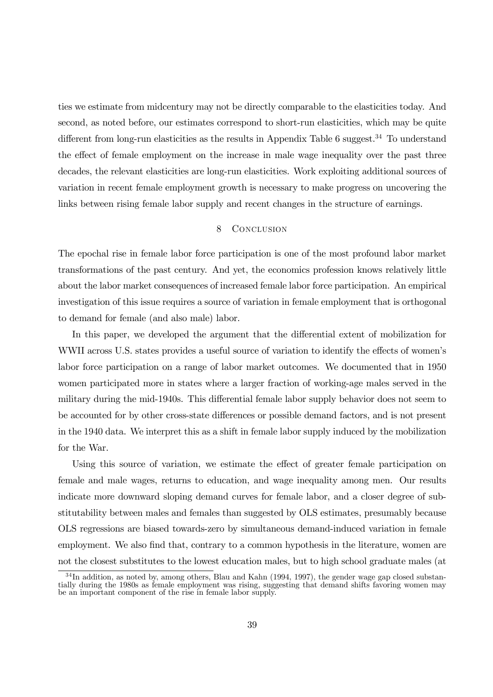ties we estimate from midcentury may not be directly comparable to the elasticities today. And second, as noted before, our estimates correspond to short-run elasticities, which may be quite different from long-run elasticities as the results in Appendix Table 6 suggest.<sup>34</sup> To understand the effect of female employment on the increase in male wage inequality over the past three decades, the relevant elasticities are long-run elasticities. Work exploiting additional sources of variation in recent female employment growth is necessary to make progress on uncovering the links between rising female labor supply and recent changes in the structure of earnings.

### 8 CONCLUSION

The epochal rise in female labor force participation is one of the most profound labor market transformations of the past century. And yet, the economics profession knows relatively little about the labor market consequences of increased female labor force participation. An empirical investigation of this issue requires a source of variation in female employment that is orthogonal to demand for female (and also male) labor.

In this paper, we developed the argument that the differential extent of mobilization for WWII across U.S. states provides a useful source of variation to identify the effects of women's labor force participation on a range of labor market outcomes. We documented that in 4950 women participated more in states where a larger fraction of working-age males served in the military during the mid-1940s. This differential female labor supply behavior does not seem to be accounted for by other cross-state dierences or possible demand factors, and is not present in the 4940 data. We interpret this as a shift in female labor supply induced by the mobilization for the War.

Using this source of variation, we estimate the effect of greater female participation on female and male wages, returns to education, and wage inequality among men. Our results indicate more downward sloping demand curves for female labor, and a closer degree of substitutability between males and females than suggested by OLS estimates, presumably because OLS regressions are biased towards-zero by simultaneous demand-induced variation in female employment. We also find that, contrary to a common hypothesis in the literature, women are not the closest substitutes to the lowest education males, but to high school graduate males (at

 $34$ In addition, as noted by, among others, Blau and Kahn (1994, 1997), the gender wage gap closed substantially during the 1980s as female employment was rising, suggesting that demand shifts favoring women may be an important component of the rise in female labor supply.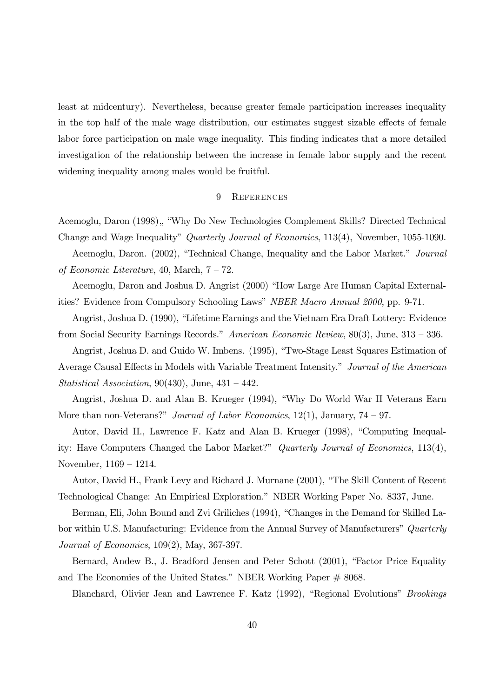least at midcentury). Nevertheless, because greater female participation increases inequality in the top half of the male wage distribution, our estimates suggest sizable effects of female labor force participation on male wage inequality. This finding indicates that a more detailed investigation of the relationship between the increase in female labor supply and the recent widening inequality among males would be fruitful.

#### 9 References

Acemoglu, Daron (1998), "Why Do New Technologies Complement Skills? Directed Technical Change and Wage Inequality" Quarterly Journal of Economics, 113(4), November, 1055-1090.

Acemoglu, Daron. (2002), "Technical Change, Inequality and the Labor Market." Journal of Economic Literature, 40, March, 7 — 72.

Acemoglu, Daron and Joshua D. Angrist (2000) "How Large Are Human Capital Externalities? Evidence from Compulsory Schooling Laws" NBER Macro Annual 2000, pp. 9-74.

Angrist, Joshua D. (4990), "Lifetime Earnings and the Vietnam Era Draft Lottery: Evidence from Social Security Earnings Records." American Economic Review, 80(3), June, 343 — 336.

Angrist, Joshua D. and Guido W. Imbens. (4995), "Two-Stage Least Squares Estimation of Average Causal Effects in Models with Variable Treatment Intensity." Journal of the American Statistical Association,  $90(430)$ , June,  $431 - 442$ .

Angrist, Joshua D. and Alan B. Krueger (1994), "Why Do World War II Veterans Earn More than non-Veterans?" *Journal of Labor Economics*,  $12(1)$ , January,  $74 - 97$ .

Autor, David H., Lawrence F. Katz and Alan B. Krueger (4998), "Computing Inequality: Have Computers Changed the Labor Market?" Quarterly Journal of Economics,  $113(4)$ , November,  $1169 - 1214$ .

Autor, David H., Frank Levy and Richard J. Murnane (2004), "The Skill Content of Recent Technological Change: An Empirical Exploration." NBER Working Paper No. 8337, June.

Berman, Eli, John Bound and Zvi Griliches (4994), "Changes in the Demand for Skilled Labor within U.S. Manufacturing: Evidence from the Annual Survey of Manufacturers" Quarterly Journal of Economics, 409(2), May, 367-397.

Bernard, Andew B., J. Bradford Jensen and Peter Schott (2004), "Factor Price Equality and The Economies of the United States." NBER Working Paper # 8068.

Blanchard, Olivier Jean and Lawrence F. Katz (4992), "Regional Evolutions" Brookings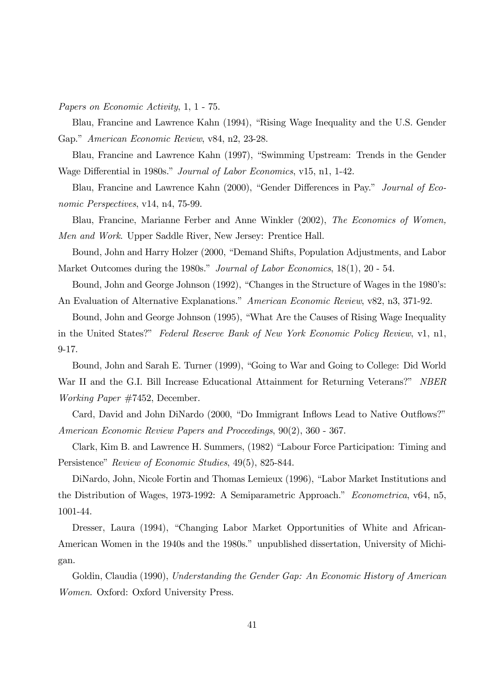Papers on Economic Activity, 1, 1 - 75.

Blau, Francine and Lawrence Kahn (4994), "Rising Wage Inequality and the U.S. Gender Gap." American Economic Review, v84, n2, 23-28.

Blau, Francine and Lawrence Kahn (4997), "Swimming Upstream: Trends in the Gender Wage Differential in 1980s." Journal of Labor Economics, v15, n1, 1-42.

Blau, Francine and Lawrence Kahn (2000), "Gender Differences in Pay." Journal of Economic Perspectives, v14, n4, 75-99.

Blau, Francine, Marianne Ferber and Anne Winkler (2002), The Economics of Women, Men and Work. Upper Saddle River, New Jersey: Prentice Hall.

Bound, John and Harry Holzer (2000, "Demand Shifts, Population Adjustments, and Labor Market Outcomes during the 1980s." Journal of Labor Economics, 18(1), 20 - 54.

Bound, John and George Johnson (4992), "Changes in the Structure of Wages in the 4980's: An Evaluation of Alternative Explanations." American Economic Review, v82, n3, 374-92.

Bound, John and George Johnson (1995), "What Are the Causes of Rising Wage Inequality in the United States?" Federal Reserve Bank of New York Economic Policy Review, v1, n1, 9-47.

Bound, John and Sarah E. Turner (4999), "Going to War and Going to College: Did World War II and the G.I. Bill Increase Educational Attainment for Returning Veterans?" NBER Working Paper #7452, December.

Card, David and John DiNardo (2000, "Do Immigrant Inflows Lead to Native Outflows?" American Economic Review Papers and Proceedings, 90(2), 360 - 367.

Clark, Kim B. and Lawrence H. Summers, (4982) "Labour Force Participation: Timing and Persistence" Review of Economic Studies, 49(5), 825-844.

DiNardo, John, Nicole Fortin and Thomas Lemieux (4996), "Labor Market Institutions and the Distribution of Wages, 4973-4992: A Semiparametric Approach." Econometrica, v64, n5, 4004-44.

Dresser, Laura (4994), "Changing Labor Market Opportunities of White and African-American Women in the 1940s and the 1980s." unpublished dissertation, University of Michigan.

Goldin, Claudia (1990), Understanding the Gender Gap: An Economic History of American Women. Oxford: Oxford University Press.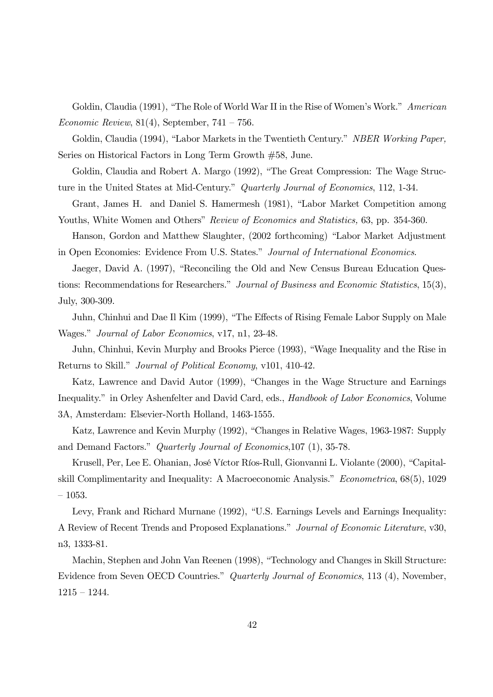Goldin, Claudia (1991), "The Role of World War II in the Rise of Women's Work." American Economic Review,  $81(4)$ , September,  $741 - 756$ .

Goldin, Claudia (1994), "Labor Markets in the Twentieth Century." NBER Working Paper, Series on Historical Factors in Long Term Growth #58, June.

Goldin, Claudia and Robert A. Margo (1992), "The Great Compression: The Wage Structure in the United States at Mid-Century." Quarterly Journal of Economics, 112, 1-34.

Grant, James H. and Daniel S. Hamermesh (4984), "Labor Market Competition among Youths, White Women and Others" Review of Economics and Statistics, 63, pp. 354-360.

Hanson, Gordon and Matthew Slaughter, (2002 forthcoming) "Labor Market Adjustment in Open Economies: Evidence From U.S. States." Journal of International Economics.

Jaeger, David A. (1997), "Reconciling the Old and New Census Bureau Education Questions: Recommendations for Researchers." Journal of Business and Economic Statistics, 45(3), July, 300-309.

Juhn, Chinhui and Dae Il Kim (1999), "The Effects of Rising Female Labor Supply on Male Wages." Journal of Labor Economics, v17, n1, 23-48.

Juhn, Chinhui, Kevin Murphy and Brooks Pierce (4993), "Wage Inequality and the Rise in Returns to Skill." Journal of Political Economy, v101, 410-42.

Katz, Lawrence and David Autor (1999), "Changes in the Wage Structure and Earnings Inequality." in Orley Ashenfelter and David Card, eds., Handbook of Labor Economics, Volume 3A, Amsterdam: Elsevier-North Holland, 4463-4555.

Katz, Lawrence and Kevin Murphy (4992), "Changes in Relative Wages, 4963-4987: Supply and Demand Factors." Quarterly Journal of Economics, 107 (1), 35-78.

Krusell, Per, Lee E. Ohanian, José Víctor Ríos-Rull, Gionvanni L. Violante (2000), "Capitalskill Complimentarity and Inequality: A Macroeconomic Analysis." Econometrica, 68(5), 4029  $-1053.$ 

Levy, Frank and Richard Murnane (1992), "U.S. Earnings Levels and Earnings Inequality: A Review of Recent Trends and Proposed Explanations." Journal of Economic Literature, v30, n3, 4333-84.

Machin, Stephen and John Van Reenen (4998), "Technology and Changes in Skill Structure: Evidence from Seven OECD Countries." Quarterly Journal of Economics, 113 (4), November,  $1215 - 1244.$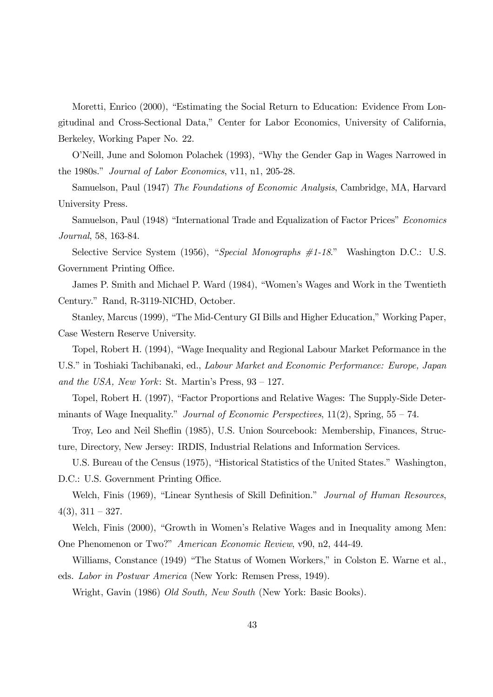Moretti, Enrico (2000), "Estimating the Social Return to Education: Evidence From Longitudinal and Cross-Sectional Data," Center for Labor Economics, University of California, Berkeley, Working Paper No. 22.

O'Neill, June and Solomon Polachek (4993), "Why the Gender Gap in Wages Narrowed in the 1980s." *Journal of Labor Economics*, v11, n1, 205-28.

Samuelson, Paul (1947) The Foundations of Economic Analysis, Cambridge, MA, Harvard University Press.

Samuelson, Paul (1948) "International Trade and Equalization of Factor Prices" Economics Journal, 58, 163-84.

Selective Service System (1956), "Special Monographs #1-18." Washington D.C.: U.S. Government Printing Office.

James P. Smith and Michael P. Ward (4984), "Women's Wages and Work in the Twentieth Century." Rand, R-3119-NICHD, October.

Stanley, Marcus (4999), "The Mid-Century GI Bills and Higher Education," Working Paper, Case Western Reserve University.

Topel, Robert H. (4994), "Wage Inequality and Regional Labour Market Peformance in the U.S." in Toshiaki Tachibanaki, ed., Labour Market and Economic Performance: Europe, Japan and the USA, New York: St. Martin's Press,  $93 - 127$ .

Topel, Robert H. (4997), "Factor Proportions and Relative Wages: The Supply-Side Determinants of Wage Inequality." Journal of Economic Perspectives,  $11(2)$ , Spring,  $55 - 74$ .

Troy, Leo and Neil Sheflin (4985), U.S. Union Sourcebook: Membership, Finances, Structure, Directory, New Jersey: IRDIS, Industrial Relations and Information Services.

U.S. Bureau of the Census (1975), "Historical Statistics of the United States." Washington, D.C.: U.S. Government Printing Office.

Welch, Finis (1969), "Linear Synthesis of Skill Definition." Journal of Human Resources,  $4(3), 311 - 327.$ 

Welch, Finis (2000), "Growth in Women's Relative Wages and in Inequality among Men: One Phenomenon or Two?" American Economic Review, v90, n2, 444-49.

Williams, Constance (4949) "The Status of Women Workers," in Colston E. Warne et al., eds. Labor in Postwar America (New York: Remsen Press, 4949).

Wright, Gavin (1986) Old South, New South (New York: Basic Books).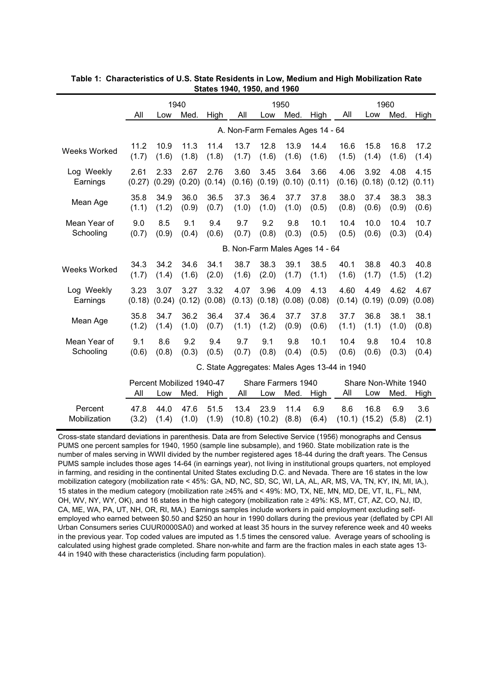|                         |               |                                  | 1940          |               |                                  |                           | 1950                       |              |                                               |                           | 1960                         |              |
|-------------------------|---------------|----------------------------------|---------------|---------------|----------------------------------|---------------------------|----------------------------|--------------|-----------------------------------------------|---------------------------|------------------------------|--------------|
|                         | All           | Low                              | Med.          | High          | All                              | Low                       | Med.                       | High         | All                                           | Low                       | Med.                         | <b>High</b>  |
|                         |               |                                  |               |               | A. Non-Farm Females Ages 14 - 64 |                           |                            |              |                                               |                           |                              |              |
| Weeks Worked            | 11.2          | 10.9                             | 11.3          | 11.4          | 13.7                             | 12.8                      | 13.9                       | 14.4         | 16.6                                          | 15.8                      | 16.8                         | 17.2         |
|                         | (1.7)         | (1.6)                            | (1.8)         | (1.8)         | (1.7)                            | (1.6)                     | (1.6)                      | (1.6)        | (1.5)                                         | (1.4)                     | (1.6)                        | (1.4)        |
| Log Weekly              | 2.61          | 2.33                             | 2.67          | 2.76          | 3.60                             | 3.45                      | 3.64                       | 3.66         | 4.06                                          | 3.92                      | 4.08                         | 4.15         |
| Earnings                | (0.27)        | (0.29)                           | (0.20)        | (0.14)        | (0.16)                           | (0.19)                    | (0.10)                     | (0.11)       | (0.16)                                        | (0.18)                    | (0.12)                       | (0.11)       |
| Mean Age                | 35.8          | 34.9                             | 36.0          | 36.5          | 37.3                             | 36.4                      | 37.7                       | 37.8         | 38.0                                          | 37.4                      | 38.3                         | 38.3         |
|                         | (1.1)         | (1.2)                            | (0.9)         | (0.7)         | (1.0)                            | (1.0)                     | (1.0)                      | (0.5)        | (0.8)                                         | (0.6)                     | (0.9)                        | (0.6)        |
| Mean Year of            | 9.0           | 8.5                              | 9.1           | 9.4           | 9.7                              | 9.2                       | 9.8                        | 10.1         | 10.4                                          | 10.0                      | 10.4                         | 10.7         |
| Schooling               | (0.7)         | (0.9)                            | (0.4)         | (0.6)         | (0.7)                            | (0.8)                     | (0.3)                      | (0.5)        | (0.5)                                         | (0.6)                     | (0.3)                        | (0.4)        |
|                         |               |                                  |               |               | B. Non-Farm Males Ages 14 - 64   |                           |                            |              |                                               |                           |                              |              |
| <b>Weeks Worked</b>     | 34.3          | 34.2                             | 34.6          | 34.1          | 38.7                             | 38.3                      | 39.1                       | 38.5         | 40.1                                          | 38.8                      | 40.3                         | 40.8         |
|                         | (1.7)         | (1.4)                            | (1.6)         | (2.0)         | (1.6)                            | (2.0)                     | (1.7)                      | (1.1)        | (1.6)                                         | (1.7)                     | (1.5)                        | (1.2)        |
| Log Weekly              | 3.23          | 3.07                             | 3.27          | 3.32          | 4.07                             | 3.96                      | 4.09                       | 4.13         | 4.60                                          | 4.49                      | 4.62                         | 4.67         |
| Earnings                | (0.18)        | (0.24)                           | (0.12)        | (0.08)        | (0.13)                           | (0.18)                    | (0.08)                     | (0.08)       | (0.14)                                        | (0.19)                    | (0.09)                       | (0.08)       |
| Mean Age                | 35.8          | 34.7                             | 36.2          | 36.4          | 37.4                             | 36.4                      | 37.7                       | 37.8         | 37.7                                          | 36.8                      | 38.1                         | 38.1         |
|                         | (1.2)         | (1.4)                            | (1.0)         | (0.7)         | (1.1)                            | (1.2)                     | (0.9)                      | (0.6)        | (1.1)                                         | (1.1)                     | (1.0)                        | (0.8)        |
| Mean Year of            | 9.1           | 8.6                              | 9.2           | 9.4           | 9.7                              | 9.1                       | 9.8                        | 10.1         | 10.4                                          | 9.8                       | 10.4                         | 10.8         |
| Schooling               | (0.6)         | (0.8)                            | (0.3)         | (0.5)         | (0.7)                            | (0.8)                     | (0.4)                      | (0.5)        | (0.6)                                         | (0.6)                     | (0.3)                        | (0.4)        |
|                         |               |                                  |               |               |                                  |                           |                            |              | C. State Aggregates: Males Ages 13-44 in 1940 |                           |                              |              |
|                         | All           | Percent Mobilized 1940-47<br>Low | Med.          | <b>High</b>   | All                              | Low                       | Share Farmers 1940<br>Med. | High         | All                                           | Low                       | Share Non-White 1940<br>Med. | High         |
| Percent<br>Mobilization | 47.8<br>(3.2) | 44.0<br>(1.4)                    | 47.6<br>(1.0) | 51.5<br>(1.9) | 13.4                             | 23.9<br>$(10.8)$ $(10.2)$ | 11.4<br>(8.8)              | 6.9<br>(6.4) | 8.6                                           | 16.8<br>$(10.1)$ $(15.2)$ | 6.9<br>(5.8)                 | 3.6<br>(2.1) |

| Table 1: Characteristics of U.S. State Residents in Low, Medium and High Mobilization Rate |                             |  |  |
|--------------------------------------------------------------------------------------------|-----------------------------|--|--|
|                                                                                            | States 1940, 1950, and 1960 |  |  |

Cross-state standard deviations in parenthesis. Data are from Selective Service (1956) monographs and Census PUMS one percent samples for 1940, 1950 (sample line subsample), and 1960. State mobilization rate is the number of males serving in WWII divided by the number registered ages 18-44 during the draft years. The Census PUMS sample includes those ages 14-64 (in earnings year), not living in institutional groups quarters, not employed in farming, and residing in the continental United States excluding D.C. and Nevada. There are 16 states in the low mobilization category (mobilization rate < 45%: GA, ND, NC, SD, SC, WI, LA, AL, AR, MS, VA, TN, KY, IN, MI, IA,), 15 states in the medium category (mobilization rate ≥45% and < 49%: MO, TX, NE, MN, MD, DE, VT, IL, FL, NM, OH, WV, NY, WY, OK), and 16 states in the high category (mobilization rate ≥ 49%: KS, MT, CT, AZ, CO, NJ, ID, CA, ME, WA, PA, UT, NH, OR, RI, MA.) Earnings samples include workers in paid employment excluding selfemployed who earned between \$0.50 and \$250 an hour in 1990 dollars during the previous year (deflated by CPI All Urban Consumers series CUUR0000SA0) and worked at least 35 hours in the survey reference week and 40 weeks in the previous year. Top coded values are imputed as 1.5 times the censored value. Average years of schooling is calculated using highest grade completed. Share non-white and farm are the fraction males in each state ages 13- 44 in 1940 with these characteristics (including farm population).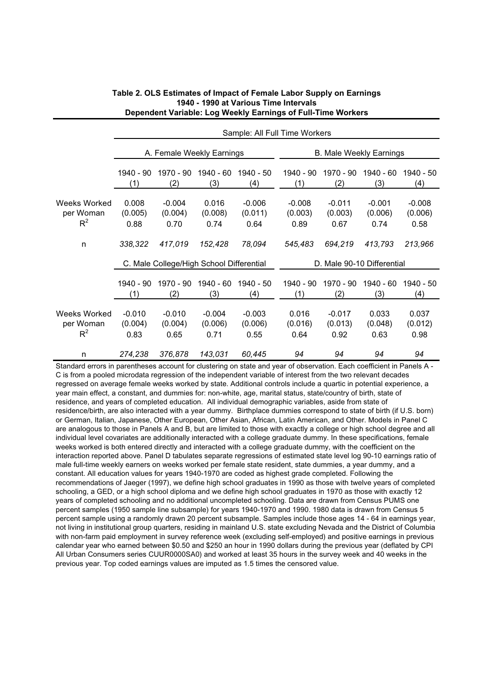|                                    |                             |                                          |                             |                             | Sample: All Full Time Workers |                             |                             |                             |
|------------------------------------|-----------------------------|------------------------------------------|-----------------------------|-----------------------------|-------------------------------|-----------------------------|-----------------------------|-----------------------------|
|                                    |                             | A. Female Weekly Earnings                |                             |                             |                               |                             | B. Male Weekly Earnings     |                             |
|                                    | 1940 - 90<br>(1)            | 1970 - 90<br>(2)                         | 1940 - 60<br>(3)            | 1940 - 50<br>(4)            | 1940 - 90<br>(1)              | 1970 - 90<br>(2)            | 1940 - 60<br>(3)            | 1940 - 50<br>(4)            |
| Weeks Worked<br>per Woman<br>$R^2$ | 0.008<br>(0.005)<br>0.88    | $-0.004$<br>(0.004)<br>0.70              | 0.016<br>(0.008)<br>0.74    | $-0.006$<br>(0.011)<br>0.64 | $-0.008$<br>(0.003)<br>0.89   | $-0.011$<br>(0.003)<br>0.67 | $-0.001$<br>(0.006)<br>0.74 | $-0.008$<br>(0.006)<br>0.58 |
| n                                  | 338,322                     | 417,019                                  | 152,428                     | 78,094                      | 545,483                       | 694,219                     | 413,793                     | 213,966                     |
|                                    |                             | C. Male College/High School Differential |                             |                             |                               |                             | D. Male 90-10 Differential  |                             |
|                                    | 1940 - 90<br>(1)            | 1970 - 90<br>(2)                         | $1940 - 60$<br>(3)          | 1940 - 50<br>(4)            | 1940 - 90<br>(1)              | 1970 - 90<br>(2)            | 1940 - 60<br>(3)            | 1940 - 50<br>(4)            |
| Weeks Worked<br>per Woman<br>$R^2$ | $-0.010$<br>(0.004)<br>0.83 | $-0.010$<br>(0.004)<br>0.65              | $-0.004$<br>(0.006)<br>0.71 | $-0.003$<br>(0.006)<br>0.55 | 0.016<br>(0.016)<br>0.64      | $-0.017$<br>(0.013)<br>0.92 | 0.033<br>(0.048)<br>0.63    | 0.037<br>(0.012)<br>0.98    |
| n                                  | 274,238                     | 376,878                                  | 143,031                     | 60,445                      | 94                            | 94                          | 94                          | 94                          |

### **Table 2. OLS Estimates of Impact of Female Labor Supply on Earnings 1940 - 1990 at Various Time Intervals Dependent Variable: Log Weekly Earnings of Full-Time Workers**

Standard errors in parentheses account for clustering on state and year of observation. Each coefficient in Panels A - C is from a pooled microdata regression of the independent variable of interest from the two relevant decades regressed on average female weeks worked by state. Additional controls include a quartic in potential experience, a year main effect, a constant, and dummies for: non-white, age, marital status, state/country of birth, state of residence, and years of completed education. All individual demographic variables, aside from state of residence/birth, are also interacted with a year dummy. Birthplace dummies correspond to state of birth (if U.S. born) or German, Italian, Japanese, Other European, Other Asian, African, Latin American, and Other. Models in Panel C are analogous to those in Panels A and B, but are limited to those with exactly a college or high school degree and all individual level covariates are additionally interacted with a college graduate dummy. In these specifications, female weeks worked is both entered directly and interacted with a college graduate dummy, with the coefficient on the interaction reported above. Panel D tabulates separate regressions of estimated state level log 90-10 earnings ratio of male full-time weekly earners on weeks worked per female state resident, state dummies, a year dummy, and a constant. All education values for years 1940-1970 are coded as highest grade completed. Following the recommendations of Jaeger (1997), we define high school graduates in 1990 as those with twelve years of completed schooling, a GED, or a high school diploma and we define high school graduates in 1970 as those with exactly 12 years of completed schooling and no additional uncompleted schooling. Data are drawn from Census PUMS one percent samples (1950 sample line subsample) for years 1940-1970 and 1990. 1980 data is drawn from Census 5 percent sample using a randomly drawn 20 percent subsample. Samples include those ages 14 - 64 in earnings year, not living in institutional group quarters, residing in mainland U.S. state excluding Nevada and the District of Columbia with non-farm paid employment in survey reference week (excluding self-employed) and positive earnings in previous calendar year who earned between \$0.50 and \$250 an hour in 1990 dollars during the previous year (deflated by CPI All Urban Consumers series CUUR0000SA0) and worked at least 35 hours in the survey week and 40 weeks in the previous year. Top coded earnings values are imputed as 1.5 times the censored value.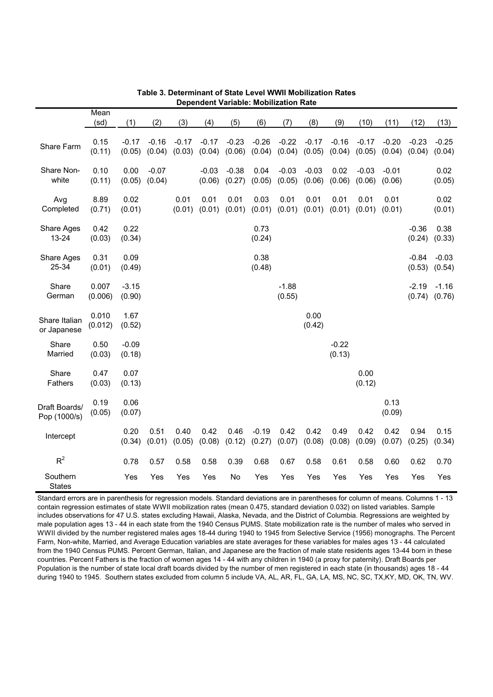|                               | Mean<br>(sd)     | (1)               | (2)               | (3)               | (4)               | (5)               | (6)               | (7)               | (8)               | (9)               | (10)              | (11)              | (12)              | (13)              |
|-------------------------------|------------------|-------------------|-------------------|-------------------|-------------------|-------------------|-------------------|-------------------|-------------------|-------------------|-------------------|-------------------|-------------------|-------------------|
| Share Farm                    | 0.15<br>(0.11)   | $-0.17$<br>(0.05) | $-0.16$<br>(0.04) | $-0.17$<br>(0.03) | $-0.17$<br>(0.04) | $-0.23$<br>(0.06) | $-0.26$<br>(0.04) | $-0.22$<br>(0.04) | $-0.17$<br>(0.05) | $-0.16$<br>(0.04) | $-0.17$<br>(0.05) | $-0.20$<br>(0.04) | $-0.23$<br>(0.04) | $-0.25$<br>(0.04) |
| Share Non-<br>white           | 0.10<br>(0.11)   | 0.00<br>(0.05)    | $-0.07$<br>(0.04) |                   | $-0.03$<br>(0.06) | $-0.38$<br>(0.27) | 0.04<br>(0.05)    | $-0.03$<br>(0.05) | $-0.03$<br>(0.06) | 0.02<br>(0.06)    | $-0.03$<br>(0.06) | $-0.01$<br>(0.06) |                   | 0.02<br>(0.05)    |
| Avg<br>Completed              | 8.89<br>(0.71)   | 0.02<br>(0.01)    |                   | 0.01<br>(0.01)    | 0.01<br>(0.01)    | 0.01<br>(0.01)    | 0.03<br>(0.01)    | 0.01<br>(0.01)    | 0.01<br>(0.01)    | 0.01<br>(0.01)    | 0.01<br>(0.01)    | 0.01<br>(0.01)    |                   | 0.02<br>(0.01)    |
| Share Ages<br>13-24           | 0.42<br>(0.03)   | 0.22<br>(0.34)    |                   |                   |                   |                   | 0.73<br>(0.24)    |                   |                   |                   |                   |                   | $-0.36$<br>(0.24) | 0.38<br>(0.33)    |
| <b>Share Ages</b><br>25-34    | 0.31<br>(0.01)   | 0.09<br>(0.49)    |                   |                   |                   |                   | 0.38<br>(0.48)    |                   |                   |                   |                   |                   | $-0.84$<br>(0.53) | $-0.03$<br>(0.54) |
| Share<br>German               | 0.007<br>(0.006) | $-3.15$<br>(0.90) |                   |                   |                   |                   |                   | $-1.88$<br>(0.55) |                   |                   |                   |                   | $-2.19$<br>(0.74) | $-1.16$<br>(0.76) |
| Share Italian<br>or Japanese  | 0.010<br>(0.012) | 1.67<br>(0.52)    |                   |                   |                   |                   |                   |                   | 0.00<br>(0.42)    |                   |                   |                   |                   |                   |
| Share<br>Married              | 0.50<br>(0.03)   | $-0.09$<br>(0.18) |                   |                   |                   |                   |                   |                   |                   | $-0.22$<br>(0.13) |                   |                   |                   |                   |
| Share<br>Fathers              | 0.47<br>(0.03)   | 0.07<br>(0.13)    |                   |                   |                   |                   |                   |                   |                   |                   | 0.00<br>(0.12)    |                   |                   |                   |
| Draft Boards/<br>Pop (1000/s) | 0.19<br>(0.05)   | 0.06<br>(0.07)    |                   |                   |                   |                   |                   |                   |                   |                   |                   | 0.13<br>(0.09)    |                   |                   |
| Intercept                     |                  | 0.20<br>(0.34)    | 0.51<br>(0.01)    | 0.40<br>(0.05)    | 0.42<br>(0.08)    | 0.46<br>(0.12)    | $-0.19$<br>(0.27) | 0.42<br>(0.07)    | 0.42<br>(0.08)    | 0.49<br>(0.08)    | 0.42<br>(0.09)    | 0.42<br>(0.07)    | 0.94<br>(0.25)    | 0.15<br>(0.34)    |
| $R^2$                         |                  | 0.78              | 0.57              | 0.58              | 0.58              | 0.39              | 0.68              | 0.67              | 0.58              | 0.61              | 0.58              | 0.60              | 0.62              | 0.70              |
| Southern<br><b>States</b>     |                  | Yes               | Yes               | Yes               | Yes               | No                | Yes               | Yes               | Yes               | Yes               | Yes               | Yes               | Yes               | Yes               |

| Table 3. Determinant of State Level WWII Mobilization Rates |  |
|-------------------------------------------------------------|--|
| <b>Dependent Variable: Mobilization Rate</b>                |  |

Standard errors are in parenthesis for regression models. Standard deviations are in parentheses for column of means. Columns 1 - 13 contain regression estimates of state WWII mobilization rates (mean 0.475, standard deviation 0.032) on listed variables. Sample includes observations for 47 U.S. states excluding Hawaii, Alaska, Nevada, and the District of Columbia. Regressions are weighted by male population ages 13 - 44 in each state from the 1940 Census PUMS. State mobilization rate is the number of males who served in WWII divided by the number registered males ages 18-44 during 1940 to 1945 from Selective Service (1956) monographs. The Percent Farm, Non-white, Married, and Average Education variables are state averages for these variables for males ages 13 - 44 calculated from the 1940 Census PUMS. Percent German, Italian, and Japanese are the fraction of male state residents ages 13-44 born in these countries. Percent Fathers is the fraction of women ages 14 - 44 with any children in 1940 (a proxy for paternity). Draft Boards per Population is the number of state local draft boards divided by the number of men registered in each state (in thousands) ages 18 - 44 during 1940 to 1945. Southern states excluded from column 5 include VA, AL, AR, FL, GA, LA, MS, NC, SC, TX,KY, MD, OK, TN, WV.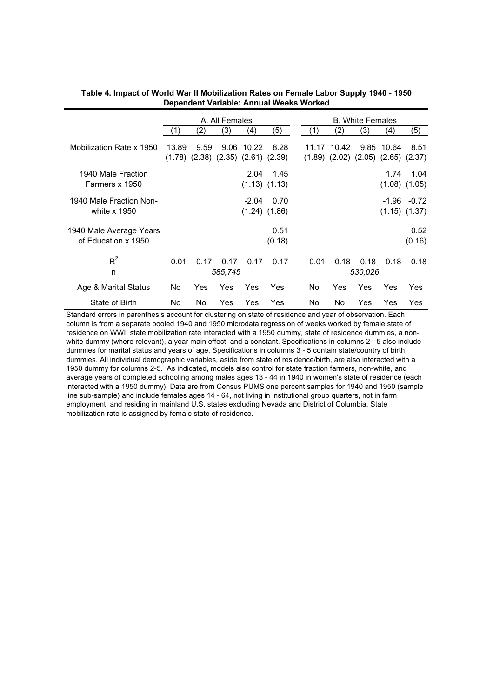|                                                |       |                                                      | A. All Females  |                   |                           |       |                                                       | <b>B.</b> White Females |            |                                     |
|------------------------------------------------|-------|------------------------------------------------------|-----------------|-------------------|---------------------------|-------|-------------------------------------------------------|-------------------------|------------|-------------------------------------|
|                                                |       | (2)                                                  | (3)             | $\left( 4\right)$ | (5)                       | (1)   | (2)                                                   | (3)                     | (4)        | (5)                                 |
| Mobilization Rate x 1950                       | 13.89 | 9.59<br>$(1.78)$ $(2.38)$ $(2.35)$ $(2.61)$ $(2.39)$ |                 | 9.06 10.22        | 8.28                      | 11.17 | 10.42<br>$(1.89)$ $(2.02)$ $(2.05)$ $(2.65)$ $(2.37)$ |                         | 9.85 10.64 | 8.51                                |
| 1940 Male Fraction<br>Farmers x 1950           |       |                                                      |                 | 2.04              | 1.45<br>$(1.13)$ $(1.13)$ |       |                                                       |                         | 1.74       | 1.04<br>$(1.08)$ $(1.05)$           |
| 1940 Male Fraction Non-<br>white $\times$ 1950 |       |                                                      |                 | $-2.04$           | 0.70<br>$(1.24)$ $(1.86)$ |       |                                                       |                         |            | $-1.96 - 0.72$<br>$(1.15)$ $(1.37)$ |
| 1940 Male Average Years<br>of Education x 1950 |       |                                                      |                 |                   | 0.51<br>(0.18)            |       |                                                       |                         |            | 0.52<br>(0.16)                      |
| $R^2$<br>n                                     | 0.01  | 0.17                                                 | 0.17<br>585,745 | 0.17              | 0.17                      | 0.01  | 0.18                                                  | 0.18<br>530,026         | 0.18       | 0.18                                |
| Age & Marital Status                           | No    | Yes                                                  | Yes             | Yes               | Yes                       | No.   | Yes                                                   | <b>Yes</b>              | Yes        | Yes                                 |
| State of Birth                                 | No    | No.                                                  | Yes             | Yes               | Yes                       | No.   | No                                                    | Yes                     | Yes        | Yes                                 |

## **Table 4. Impact of World War II Mobilization Rates on Female Labor Supply 1940 - 1950 Dependent Variable: Annual Weeks Worked**

Standard errors in parenthesis account for clustering on state of residence and year of observation. Each column is from a separate pooled 1940 and 1950 microdata regression of weeks worked by female state of residence on WWII state mobilization rate interacted with a 1950 dummy, state of residence dummies, a nonwhite dummy (where relevant), a year main effect, and a constant. Specifications in columns 2 - 5 also include dummies for marital status and years of age. Specifications in columns 3 - 5 contain state/country of birth dummies. All individual demographic variables, aside from state of residence/birth, are also interacted with a 1950 dummy for columns 2-5. As indicated, models also control for state fraction farmers, non-white, and average years of completed schooling among males ages 13 - 44 in 1940 in women's state of residence (each interacted with a 1950 dummy). Data are from Census PUMS one percent samples for 1940 and 1950 (sample line sub-sample) and include females ages 14 - 64, not living in institutional group quarters, not in farm employment, and residing in mainland U.S. states excluding Nevada and District of Columbia. State mobilization rate is assigned by female state of residence.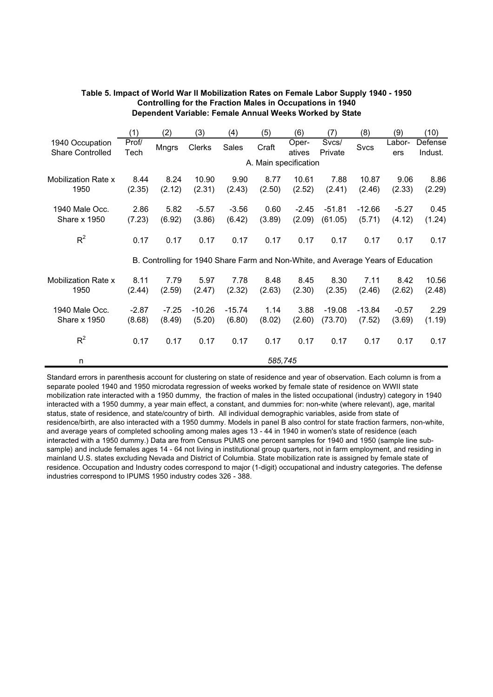|                                            | (1)           | (2)          | (3)      | (4)      | (5)     | (6)                   | (7)                                                                              | (8)         | (9)           | (10)               |
|--------------------------------------------|---------------|--------------|----------|----------|---------|-----------------------|----------------------------------------------------------------------------------|-------------|---------------|--------------------|
| 1940 Occupation<br><b>Share Controlled</b> | Prof/<br>Tech | <b>Mngrs</b> | Clerks   | Sales    | Craft   | Oper-<br>atives       | Svcs/<br>Private                                                                 | <b>Svcs</b> | Labor-<br>ers | Defense<br>Indust. |
|                                            |               |              |          |          |         | A. Main specification |                                                                                  |             |               |                    |
| <b>Mobilization Rate x</b>                 | 8.44          | 8.24         | 10.90    | 9.90     | 8.77    | 10.61                 | 7.88                                                                             | 10.87       | 9.06          | 8.86               |
| 1950                                       | (2.35)        | (2.12)       | (2.31)   | (2.43)   | (2.50)  | (2.52)                | (2.41)                                                                           | (2.46)      | (2.33)        | (2.29)             |
| 1940 Male Occ.                             | 2.86          | 5.82         | $-5.57$  | $-3.56$  | 0.60    | $-2.45$               | $-51.81$                                                                         | $-12.66$    | $-5.27$       | 0.45               |
| <b>Share x 1950</b>                        | (7.23)        | (6.92)       | (3.86)   | (6.42)   | (3.89)  | (2.09)                | (61.05)                                                                          | (5.71)      | (4.12)        | (1.24)             |
| $R^2$                                      | 0.17          | 0.17         | 0.17     | 0.17     | 0.17    | 0.17                  | 0.17                                                                             | 0.17        | 0.17          | 0.17               |
|                                            |               |              |          |          |         |                       | B. Controlling for 1940 Share Farm and Non-White, and Average Years of Education |             |               |                    |
| <b>Mobilization Rate x</b>                 | 8.11          | 7.79         | 5.97     | 7.78     | 8.48    | 8.45                  | 8.30                                                                             | 7.11        | 8.42          | 10.56              |
| 1950                                       | (2.44)        | (2.59)       | (2.47)   | (2.32)   | (2.63)  | (2.30)                | (2.35)                                                                           | (2.46)      | (2.62)        | (2.48)             |
| 1940 Male Occ.                             | $-2.87$       | $-7.25$      | $-10.26$ | $-15.74$ | 1.14    | 3.88                  | $-19.08$                                                                         | $-13.84$    | $-0.57$       | 2.29               |
| <b>Share x 1950</b>                        | (8.68)        | (8.49)       | (5.20)   | (6.80)   | (8.02)  | (2.60)                | (73.70)                                                                          | (7.52)      | (3.69)        | (1.19)             |
| $R^2$                                      | 0.17          | 0.17         | 0.17     | 0.17     | 0.17    | 0.17                  | 0.17                                                                             | 0.17        | 0.17          | 0.17               |
| n                                          |               |              |          |          | 585,745 |                       |                                                                                  |             |               |                    |

### **Table 5. Impact of World War II Mobilization Rates on Female Labor Supply 1940 - 1950 Controlling for the Fraction Males in Occupations in 1940 Dependent Variable: Female Annual Weeks Worked by State**

Standard errors in parenthesis account for clustering on state of residence and year of observation. Each column is from a separate pooled 1940 and 1950 microdata regression of weeks worked by female state of residence on WWII state mobilization rate interacted with a 1950 dummy, the fraction of males in the listed occupational (industry) category in 1940 interacted with a 1950 dummy, a year main effect, a constant, and dummies for: non-white (where relevant), age, marital status, state of residence, and state/country of birth. All individual demographic variables, aside from state of residence/birth, are also interacted with a 1950 dummy. Models in panel B also control for state fraction farmers, non-white, and average years of completed schooling among males ages 13 - 44 in 1940 in women's state of residence (each interacted with a 1950 dummy.) Data are from Census PUMS one percent samples for 1940 and 1950 (sample line subsample) and include females ages 14 - 64 not living in institutional group quarters, not in farm employment, and residing in mainland U.S. states excluding Nevada and District of Columbia. State mobilization rate is assigned by female state of residence. Occupation and Industry codes correspond to major (1-digit) occupational and industry categories. The defense industries correspond to IPUMS 1950 industry codes 326 - 388.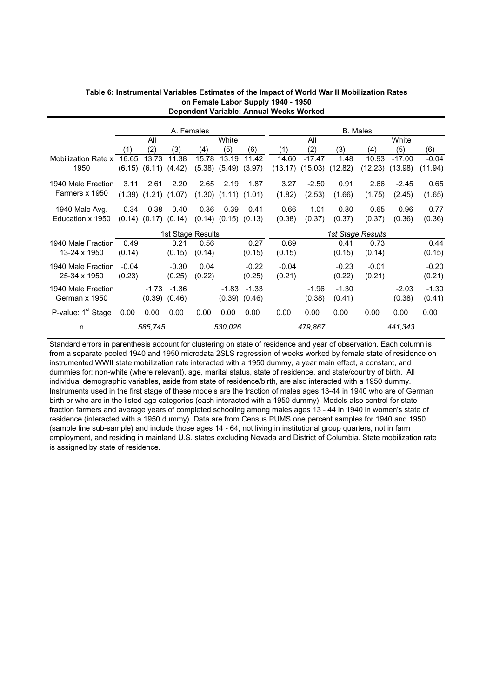|                                |         |                            | A. Females        |        |                            |         |         |                               |                   | <b>B.</b> Males |          |         |
|--------------------------------|---------|----------------------------|-------------------|--------|----------------------------|---------|---------|-------------------------------|-------------------|-----------------|----------|---------|
|                                |         | All                        |                   |        | White                      |         |         | All                           |                   |                 | White    |         |
|                                |         | (2)                        | (3)               | (4)    | (5)                        | (6)     | (1)     | (2)                           | (3)               | (4)             | (5)      | (6)     |
| Mobilization Rate x            | 16.65   | 13.73                      | 11.38             | 15.78  | 13.19                      | 11.42   | 14.60   | $-17.47$                      | 1.48              | 10.93           | $-17.00$ | $-0.04$ |
| 1950                           | (6.15)  | $(6.11)$ $(4.42)$          |                   |        | $(5.38)$ $(5.49)$          | (3.97)  |         | $(13.17)$ $(15.03)$ $(12.82)$ |                   | (12.23)         | (13.98)  | (11.94) |
| 1940 Male Fraction             | 3.11    | 2.61                       | 2.20              | 2.65   | 2.19                       | 1.87    | 3.27    | $-2.50$                       | 0.91              | 2.66            | $-2.45$  | 0.65    |
| Farmers x 1950                 |         | $(1.39)$ $(1.21)$ $(1.07)$ |                   |        | $(1.30)$ $(1.11)$ $(1.01)$ |         | (1.82)  | (2.53)                        | (1.66)            | (1.75)          | (2.45)   | (1.65)  |
| 1940 Male Avg.                 | 0.34    | 0.38                       | 0.40              | 0.36   | 0.39                       | 0.41    | 0.66    | 1.01                          | 0.80              | 0.65            | 0.96     | 0.77    |
| Education x 1950               |         | $(0.14)$ $(0.17)$ $(0.14)$ |                   |        | $(0.14)$ $(0.15)$          | (0.13)  | (0.38)  | (0.37)                        | (0.37)            | (0.37)          | (0.36)   | (0.36)  |
|                                |         |                            | 1st Stage Results |        |                            |         |         |                               | 1st Stage Results |                 |          |         |
| 1940 Male Fraction             | 0.49    |                            | 0.21              | 0.56   |                            | 0.27    | 0.69    |                               | 0.41              | 0.73            |          | 0.44    |
| 13-24 x 1950                   | (0.14)  |                            | (0.15)            | (0.14) |                            | (0.15)  | (0.15)  |                               | (0.15)            | (0.14)          |          | (0.15)  |
| 1940 Male Fraction             | $-0.04$ |                            | $-0.30$           | 0.04   |                            | $-0.22$ | $-0.04$ |                               | $-0.23$           | $-0.01$         |          | $-0.20$ |
| 25-34 x 1950                   | (0.23)  |                            | (0.25)            | (0.22) |                            | (0.25)  | (0.21)  |                               | (0.22)            | (0.21)          |          | (0.21)  |
| 1940 Male Fraction             |         | $-1.73$                    | $-1.36$           |        | $-1.83$                    | $-1.33$ |         | -1.96                         | $-1.30$           |                 | $-2.03$  | $-1.30$ |
| German x 1950                  |         | (0.39)                     | (0.46)            |        | (0.39)                     | (0.46)  |         | (0.38)                        | (0.41)            |                 | (0.38)   | (0.41)  |
| P-value: 1 <sup>st</sup> Stage | 0.00    | 0.00                       | 0.00              | 0.00   | 0.00                       | 0.00    | 0.00    | 0.00                          | 0.00              | 0.00            | 0.00     | 0.00    |
| n                              |         | 585,745                    |                   |        | 530,026                    |         |         | 479,867                       |                   |                 | 441,343  |         |

#### **Dependent Variable: Annual Weeks Worked Table 6: Instrumental Variables Estimates of the Impact of World War II Mobilization Rates on Female Labor Supply 1940 - 1950**

Standard errors in parenthesis account for clustering on state of residence and year of observation. Each column is from a separate pooled 1940 and 1950 microdata 2SLS regression of weeks worked by female state of residence on instrumented WWII state mobilization rate interacted with a 1950 dummy, a year main effect, a constant, and dummies for: non-white (where relevant), age, marital status, state of residence, and state/country of birth. All individual demographic variables, aside from state of residence/birth, are also interacted with a 1950 dummy. Instruments used in the first stage of these models are the fraction of males ages 13-44 in 1940 who are of German birth or who are in the listed age categories (each interacted with a 1950 dummy). Models also control for state fraction farmers and average years of completed schooling among males ages 13 - 44 in 1940 in women's state of residence (interacted with a 1950 dummy). Data are from Census PUMS one percent samples for 1940 and 1950 (sample line sub-sample) and include those ages 14 - 64, not living in institutional group quarters, not in farm employment, and residing in mainland U.S. states excluding Nevada and District of Columbia. State mobilization rate is assigned by state of residence.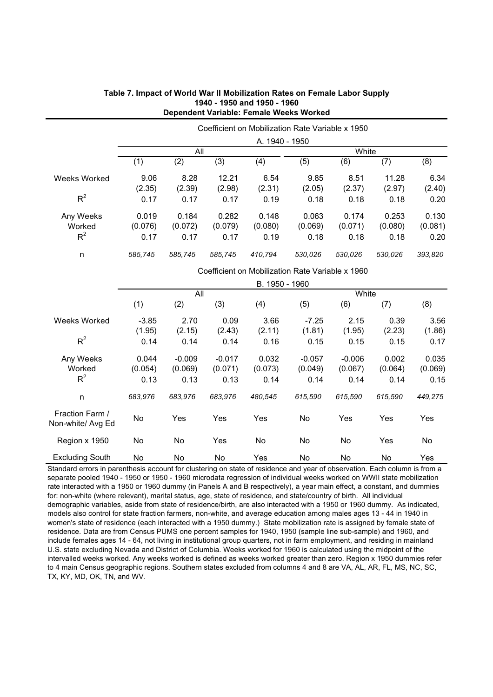|              |         |         |         | Coefficient on Mobilization Rate Variable x 1950 |         |         |         |         |
|--------------|---------|---------|---------|--------------------------------------------------|---------|---------|---------|---------|
|              |         |         |         | A. 1940 - 1950                                   |         |         |         |         |
|              |         | All     |         |                                                  |         | White   |         |         |
|              | (1)     | (2)     | (3)     | (4)                                              | (5)     | (6)     | (7)     | (8)     |
| Weeks Worked | 9.06    | 8.28    | 12.21   | 6.54                                             | 9.85    | 8.51    | 11.28   | 6.34    |
|              | (2.35)  | (2.39)  | (2.98)  | (2.31)                                           | (2.05)  | (2.37)  | (2.97)  | (2.40)  |
| $R^2$        | 0.17    | 0.17    | 0.17    | 0.19                                             | 0.18    | 0.18    | 0.18    | 0.20    |
| Any Weeks    | 0.019   | 0.184   | 0.282   | 0.148                                            | 0.063   | 0.174   | 0.253   | 0.130   |
| Worked       | (0.076) | (0.072) | (0.079) | (0.080)                                          | (0.069) | (0.071) | (0.080) | (0.081) |
| $R^2$        | 0.17    | 0.17    | 0.17    | 0.19                                             | 0.18    | 0.18    | 0.18    | 0.20    |
| n            | 585,745 | 585,745 | 585.745 | 410.794                                          | 530.026 | 530.026 | 530.026 | 393,820 |
|              |         |         |         | Coefficient on Mobilization Rate Variable x 1960 |         |         |         |         |

## **Table 7. Impact of World War II Mobilization Rates on Female Labor Supply 1940 - 1950 and 1950 - 1960 Dependent Variable: Female Weeks Worked**

|                                      |         |          |          | B. 1950 - 1960 |          |          |         |         |
|--------------------------------------|---------|----------|----------|----------------|----------|----------|---------|---------|
|                                      |         | All      |          |                |          | White    |         |         |
|                                      | (1)     | (2)      | (3)      | (4)            | (5)      | (6)      | (7)     | (8)     |
| Weeks Worked                         | $-3.85$ | 2.70     | 0.09     | 3.66           | $-7.25$  | 2.15     | 0.39    | 3.56    |
|                                      | (1.95)  | (2.15)   | (2.43)   | (2.11)         | (1.81)   | (1.95)   | (2.23)  | (1.86)  |
| $R^2$                                | 0.14    | 0.14     | 0.14     | 0.16           | 0.15     | 0.15     | 0.15    | 0.17    |
| Any Weeks                            | 0.044   | $-0.009$ | $-0.017$ | 0.032          | $-0.057$ | $-0.006$ | 0.002   | 0.035   |
| Worked                               | (0.054) | (0.069)  | (0.071)  | (0.073)        | (0.049)  | (0.067)  | (0.064) | (0.069) |
| $R^2$                                | 0.13    | 0.13     | 0.13     | 0.14           | 0.14     | 0.14     | 0.14    | 0.15    |
| n                                    | 683,976 | 683,976  | 683,976  | 480,545        | 615,590  | 615,590  | 615,590 | 449,275 |
| Fraction Farm /<br>Non-white/ Avg Ed | No      | Yes      | Yes      | Yes            | No       | Yes      | Yes     | Yes     |
| Region x 1950                        | No      | No       | Yes      | No.            | No.      | No.      | Yes     | No      |
| <b>Excluding South</b>               | No      | No       | No       | Yes            | No       | No       | No      | Yes     |

Standard errors in parenthesis account for clustering on state of residence and year of observation. Each column is from a separate pooled 1940 - 1950 or 1950 - 1960 microdata regression of individual weeks worked on WWII state mobilization rate interacted with a 1950 or 1960 dummy (in Panels A and B respectively), a year main effect, a constant, and dummies for: non-white (where relevant), marital status, age, state of residence, and state/country of birth. All individual demographic variables, aside from state of residence/birth, are also interacted with a 1950 or 1960 dummy. As indicated, models also control for state fraction farmers, non-white, and average education among males ages 13 - 44 in 1940 in women's state of residence (each interacted with a 1950 dummy.) State mobilization rate is assigned by female state of residence. Data are from Census PUMS one percent samples for 1940, 1950 (sample line sub-sample) and 1960, and include females ages 14 - 64, not living in institutional group quarters, not in farm employment, and residing in mainland U.S. state excluding Nevada and District of Columbia. Weeks worked for 1960 is calculated using the midpoint of the intervalled weeks worked. Any weeks worked is defined as weeks worked greater than zero. Region x 1950 dummies refer to 4 main Census geographic regions. Southern states excluded from columns 4 and 8 are VA, AL, AR, FL, MS, NC, SC, TX, KY, MD, OK, TN, and WV.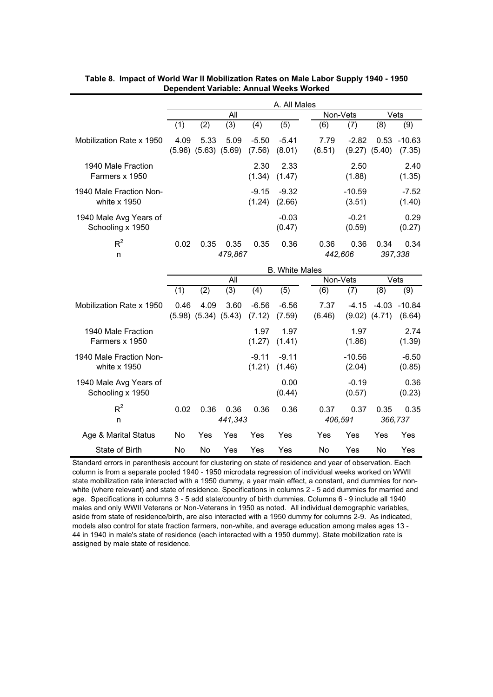|                                            |      |                                    |                 |                   | A. All Males          |                 |                    |                              |                    |
|--------------------------------------------|------|------------------------------------|-----------------|-------------------|-----------------------|-----------------|--------------------|------------------------------|--------------------|
|                                            |      |                                    | All             |                   |                       |                 | Non-Vets           |                              | Vets               |
|                                            | (1)  | (2)                                | (3)             | (4)               | (5)                   | (6)             | (7)                | (8)                          | (9)                |
| Mobilization Rate x 1950                   | 4.09 | 5.33<br>$(5.96)$ $(5.63)$ $(5.69)$ | 5.09            | $-5.50$<br>(7.56) | $-5.41$<br>(8.01)     | 7.79<br>(6.51)  | $-2.82$            | 0.53<br>$(9.27)$ $(5.40)$    | $-10.63$<br>(7.35) |
| 1940 Male Fraction<br>Farmers x 1950       |      |                                    |                 | 2.30<br>(1.34)    | 2.33<br>(1.47)        |                 | 2.50<br>(1.88)     |                              | 2.40<br>(1.35)     |
| 1940 Male Fraction Non-<br>white $x$ 1950  |      |                                    |                 | $-9.15$<br>(1.24) | $-9.32$<br>(2.66)     |                 | $-10.59$<br>(3.51) |                              | $-7.52$<br>(1.40)  |
| 1940 Male Avg Years of<br>Schooling x 1950 |      |                                    |                 |                   | $-0.03$<br>(0.47)     |                 | $-0.21$<br>(0.59)  |                              | 0.29<br>(0.27)     |
| $R^2$<br>n                                 | 0.02 | 0.35                               | 0.35<br>479,867 | 0.35              | 0.36                  | 0.36            | 0.36<br>442,606    | 0.34                         | 0.34<br>397,338    |
|                                            |      |                                    |                 |                   | <b>B. White Males</b> |                 |                    |                              |                    |
|                                            |      |                                    | All             |                   |                       |                 | Non-Vets           |                              | Vets               |
|                                            | (1)  | (2)                                | (3)             | (4)               | (5)                   | (6)             | (7)                | (8)                          | (9)                |
| Mobilization Rate x 1950                   | 0.46 | 4.09<br>$(5.98)$ $(5.34)$ $(5.43)$ | 3.60            | $-6.56$<br>(7.12) | $-6.56$<br>(7.59)     | 7.37<br>(6.46)  | $-4.15$            | $-4.03$<br>$(9.02)$ $(4.71)$ | $-10.84$<br>(6.64) |
| 1940 Male Fraction<br>Farmers x 1950       |      |                                    |                 | 1.97<br>(1.27)    | 1.97<br>(1.41)        |                 | 1.97<br>(1.86)     |                              | 2.74<br>(1.39)     |
| 1940 Male Fraction Non-<br>white $x$ 1950  |      |                                    |                 | $-9.11$<br>(1.21) | $-9.11$<br>(1.46)     |                 | $-10.56$<br>(2.04) |                              | $-6.50$<br>(0.85)  |
| 1940 Male Avg Years of<br>Schooling x 1950 |      |                                    |                 |                   | 0.00<br>(0.44)        |                 | $-0.19$<br>(0.57)  |                              | 0.36<br>(0.23)     |
| $R^2$<br>n                                 | 0.02 | 0.36                               | 0.36<br>441,343 | 0.36              | 0.36                  | 0.37<br>406,591 | 0.37               | 0.35<br>366,737              | 0.35               |
| Age & Marital Status                       | No   | Yes                                | Yes             | Yes               | Yes                   | Yes             | Yes                | Yes                          | Yes                |
| State of Birth                             | No   | No                                 | Yes             | Yes               | Yes                   | <b>No</b>       | Yes                | No                           | Yes                |

#### **Table 8. Impact of World War II Mobilization Rates on Male Labor Supply 1940 - 1950 Dependent Variable: Annual Weeks Worked**

Standard errors in parenthesis account for clustering on state of residence and year of observation. Each column is from a separate pooled 1940 - 1950 microdata regression of individual weeks worked on WWII state mobilization rate interacted with a 1950 dummy, a year main effect, a constant, and dummies for nonwhite (where relevant) and state of residence. Specifications in columns 2 - 5 add dummies for married and age. Specifications in columns 3 - 5 add state/country of birth dummies. Columns 6 - 9 include all 1940 males and only WWII Veterans or Non-Veterans in 1950 as noted. All individual demographic variables, aside from state of residence/birth, are also interacted with a 1950 dummy for columns 2-9. As indicated, models also control for state fraction farmers, non-white, and average education among males ages 13 - 44 in 1940 in male's state of residence (each interacted with a 1950 dummy). State mobilization rate is assigned by male state of residence.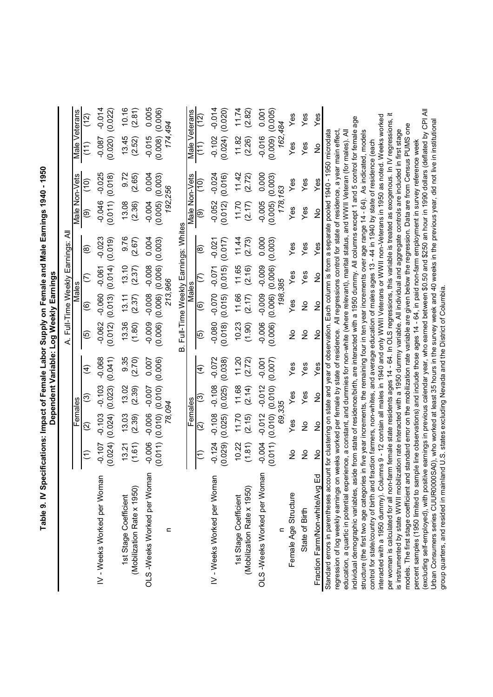|                                                                                                                                                                                                                                                                                                                                                                                                                                                                                                                                                                                                                                                                                                                                                                                                                                                                                                                                                                                                                                                                                                                                                                                                                                                                                                                                                                                                                                                                                                                              |                               |                                |                             |                     | Dependent Variable: Log Weekly Earnings                                                                                                                                                                                           |                                |                     |                                   |                     |                               |                                |                     |
|------------------------------------------------------------------------------------------------------------------------------------------------------------------------------------------------------------------------------------------------------------------------------------------------------------------------------------------------------------------------------------------------------------------------------------------------------------------------------------------------------------------------------------------------------------------------------------------------------------------------------------------------------------------------------------------------------------------------------------------------------------------------------------------------------------------------------------------------------------------------------------------------------------------------------------------------------------------------------------------------------------------------------------------------------------------------------------------------------------------------------------------------------------------------------------------------------------------------------------------------------------------------------------------------------------------------------------------------------------------------------------------------------------------------------------------------------------------------------------------------------------------------------|-------------------------------|--------------------------------|-----------------------------|---------------------|-----------------------------------------------------------------------------------------------------------------------------------------------------------------------------------------------------------------------------------|--------------------------------|---------------------|-----------------------------------|---------------------|-------------------------------|--------------------------------|---------------------|
|                                                                                                                                                                                                                                                                                                                                                                                                                                                                                                                                                                                                                                                                                                                                                                                                                                                                                                                                                                                                                                                                                                                                                                                                                                                                                                                                                                                                                                                                                                                              |                               |                                |                             |                     |                                                                                                                                                                                                                                   | A. Full-Time Weekly            |                     | ₹<br>Earnings:                    |                     |                               |                                |                     |
|                                                                                                                                                                                                                                                                                                                                                                                                                                                                                                                                                                                                                                                                                                                                                                                                                                                                                                                                                                                                                                                                                                                                                                                                                                                                                                                                                                                                                                                                                                                              |                               |                                | Females                     |                     |                                                                                                                                                                                                                                   |                                | lales               |                                   | Male Non-Vets       |                               | Male Veterans                  |                     |
|                                                                                                                                                                                                                                                                                                                                                                                                                                                                                                                                                                                                                                                                                                                                                                                                                                                                                                                                                                                                                                                                                                                                                                                                                                                                                                                                                                                                                                                                                                                              | $\widehat{\in}$               | $\widehat{\infty}$             | ල                           | E                   | $\widehat{\mathfrak{G}}$                                                                                                                                                                                                          | ම                              | $\mathfrak{S}$      | @                                 | ම                   | $\widetilde{c}$               | (11)                           | (12)                |
| IV - Weeks Worked per Woman                                                                                                                                                                                                                                                                                                                                                                                                                                                                                                                                                                                                                                                                                                                                                                                                                                                                                                                                                                                                                                                                                                                                                                                                                                                                                                                                                                                                                                                                                                  | $-0.107$<br>(0.024)           | $-0.103$<br>(0.024)            | $-0.103$<br>(0.023)         | $-0.068$<br>(0.041) | (0.012)<br>$-0.062$                                                                                                                                                                                                               | $-0.060$<br>(0.013)            | (0.014)<br>$-0.061$ | $-0.023$<br>(0.019)               | (0.011)<br>$-0.046$ | $-0.025$<br>(0.018)           | (0.020)<br>$-0.087$            | $-0.014$<br>(0.022) |
| (Mobilization Rate x 1950)<br>1st Stage Coefficient                                                                                                                                                                                                                                                                                                                                                                                                                                                                                                                                                                                                                                                                                                                                                                                                                                                                                                                                                                                                                                                                                                                                                                                                                                                                                                                                                                                                                                                                          | (1.61)<br>13.21               | 13.03<br>(2.39)                | 13.02<br>(2.39)             | 9.35<br>(2.70)      | 13.36<br>(1.80)                                                                                                                                                                                                                   | (2.37)<br>13.11                | 13.10<br>(2.37)     | 9.76<br>(2.67)                    | 13.08<br>(2.36)     | 9.72<br>(2.65)                | 13.45<br>(2.52)                | 10.16<br>(2.81)     |
| OLS-Weeks Worked per Woman<br>$\mathbf{C}$                                                                                                                                                                                                                                                                                                                                                                                                                                                                                                                                                                                                                                                                                                                                                                                                                                                                                                                                                                                                                                                                                                                                                                                                                                                                                                                                                                                                                                                                                   | $-0.006$<br>(0.011)           | 78,094<br>$-0.006$<br>(0.010)  | (0.010)<br>$-0.007$         | 0.007<br>(0.006)    | $-0.009$<br>(0.006)                                                                                                                                                                                                               | 213,966<br>(0.006)<br>$-0.008$ | $-0.008$<br>(0.006) | 0.004<br>(0.003)                  | $-0.004$<br>(0.005) | 0.004<br>(0.003)<br>192,256   | 174,494<br>$-0.015$<br>(0.008) | 0.005<br>(0.006)    |
|                                                                                                                                                                                                                                                                                                                                                                                                                                                                                                                                                                                                                                                                                                                                                                                                                                                                                                                                                                                                                                                                                                                                                                                                                                                                                                                                                                                                                                                                                                                              |                               |                                |                             |                     | ക്                                                                                                                                                                                                                                |                                |                     | Full-Time Weekly Earnings: Whites |                     |                               |                                |                     |
|                                                                                                                                                                                                                                                                                                                                                                                                                                                                                                                                                                                                                                                                                                                                                                                                                                                                                                                                                                                                                                                                                                                                                                                                                                                                                                                                                                                                                                                                                                                              |                               | Females                        |                             |                     |                                                                                                                                                                                                                                   | Males                          |                     |                                   | Male Non-Vets       |                               | Male Veterans                  |                     |
| IV - Weeks Worked per Woman                                                                                                                                                                                                                                                                                                                                                                                                                                                                                                                                                                                                                                                                                                                                                                                                                                                                                                                                                                                                                                                                                                                                                                                                                                                                                                                                                                                                                                                                                                  | $-0.124$<br>$\widehat{\cdot}$ | $-0.108$<br>$\widehat{\infty}$ | $-0.108$<br>ල               | $-0.072$<br>E       | $-0.080$<br>(5)                                                                                                                                                                                                                   | $-0.070$<br>(6)                | $-0.071$<br>$\in$   | $-0.021$<br>$\left(8\right)$      | $-0.052$<br>ම       | $-0.024$<br>$\left(10\right)$ | $-0.102$<br>(11)               | $-0.014$            |
|                                                                                                                                                                                                                                                                                                                                                                                                                                                                                                                                                                                                                                                                                                                                                                                                                                                                                                                                                                                                                                                                                                                                                                                                                                                                                                                                                                                                                                                                                                                              | (0.029)                       |                                | $(0.025)$ $(0.025)$         | (0.038)             | (0.018)                                                                                                                                                                                                                           | $(0.015)$ $(0.015)$            |                     | (0.017)                           | (0.012)             | (0.016)                       | $(0.024)$ $(0.020)$            |                     |
| (Mobilization Rate x 1950)<br>1st Stage Coefficient                                                                                                                                                                                                                                                                                                                                                                                                                                                                                                                                                                                                                                                                                                                                                                                                                                                                                                                                                                                                                                                                                                                                                                                                                                                                                                                                                                                                                                                                          | 10.22<br>(1.81)               | 11.70<br>(2.15)                | 11.68<br>(2.14)             | 11.20<br>(2.72)     | 10.23<br>(1.90)                                                                                                                                                                                                                   | 11.66<br>(2.17)                | 11.65<br>(2.16)     | 11.44<br>(2.73)                   | 11.70<br>(2.17)     | 11.42<br>(2.72)               | 11.82<br>(2.26)                | 11.74<br>(2.82)     |
| OLS-Weeks Worked per Woman                                                                                                                                                                                                                                                                                                                                                                                                                                                                                                                                                                                                                                                                                                                                                                                                                                                                                                                                                                                                                                                                                                                                                                                                                                                                                                                                                                                                                                                                                                   | $-0.004$<br>(0.011)           | $-0.012$                       | $-0.012$<br>(0.010) (0.010) | $-0.001$<br>(0.007) | $-0.006$<br>(0.006)                                                                                                                                                                                                               | (0.006)<br>$-0.009$            | $-0.009$<br>(0.006) | 0.000<br>(0.003)                  | $-0.005$<br>(0.005) | 0.000<br>(0.003)              | $-0.016$<br>(0.009)            | 0.001<br>(0.005)    |
|                                                                                                                                                                                                                                                                                                                                                                                                                                                                                                                                                                                                                                                                                                                                                                                                                                                                                                                                                                                                                                                                                                                                                                                                                                                                                                                                                                                                                                                                                                                              |                               |                                | 69,335                      |                     |                                                                                                                                                                                                                                   | 198,385                        |                     |                                   | 178,163             |                               | 162,484                        |                     |
| Female Age Structure                                                                                                                                                                                                                                                                                                                                                                                                                                                                                                                                                                                                                                                                                                                                                                                                                                                                                                                                                                                                                                                                                                                                                                                                                                                                                                                                                                                                                                                                                                         | $\frac{1}{2}$                 | Yes                            | Yes                         | Yes                 | $\frac{1}{2}$                                                                                                                                                                                                                     | Yes                            | Yes                 | Yes                               | Yes                 | Yes                           | Yes                            | Yes                 |
| State of Birth                                                                                                                                                                                                                                                                                                                                                                                                                                                                                                                                                                                                                                                                                                                                                                                                                                                                                                                                                                                                                                                                                                                                                                                                                                                                                                                                                                                                                                                                                                               | $\frac{1}{2}$                 | $\frac{1}{2}$                  | Yes                         | Yes                 | $\frac{1}{2}$                                                                                                                                                                                                                     | $\frac{1}{2}$                  | Yes                 | Yes                               | Yes                 | Yes                           | Yes                            | Yes                 |
| Fraction Farm/Non-white/Avg Ed                                                                                                                                                                                                                                                                                                                                                                                                                                                                                                                                                                                                                                                                                                                                                                                                                                                                                                                                                                                                                                                                                                                                                                                                                                                                                                                                                                                                                                                                                               | $\frac{1}{2}$                 | $\frac{1}{2}$                  | $\frac{1}{2}$               | Yes                 | $\frac{1}{2}$                                                                                                                                                                                                                     | $\frac{1}{2}$                  | $\frac{1}{2}$       | Yes                               | $\frac{1}{2}$       | Yes                           | $\frac{1}{2}$                  | Yes                 |
| per woman is calculated for all non-farm female state residents ages 14 - 64. In OLS regressions, this variable is treated as exogenous. In IV regressions, it<br>interacted with a 1950 dummy). Columns 9 - 12 contain all males in 1940 and only WWII Veterans or WWII non-Veterans in 1950 as noted. Weeks worked<br>individual demographic variables, aside from state of residence/birth, are interacted with a 1950 dummy. All columns except 1 and 5 control for female age<br>is instrumented by state WWII mobilization rate interacted with a 1950 dummy variable. All individual and aggregate controls are included in first stage<br>Standard errors in parentheses account for clustering on state and year of observation. Each column is from a separate pooled 1940 - 1950 microdata<br>regression of log weekly earnings on weeks worked per female by state of residence. All regressions control for state of residence, a year main effect<br>education, a quartic in potential experience, a constant, and dummies for non-white (where relevant), marital status, and WWII Veteran (for males). Al<br>percent samples (1950 limited to sample line observations) and include those ages 14 - 64, in paid non-farm employment in survey reference week<br>control for state/country of birth and fraction farmers, non-whites, and average education of males ages 13 - 44 in 1940 by state of residence (each<br>structure (the first two age categories i<br>models. The first stage coefficient and |                               |                                |                             |                     | standard error on the mobilization rate variable are given below the regression. Data are from Census PUMS one<br>n five year increments, the remaining four in ten year increments over age range 14 - 64). As indicated, models |                                |                     |                                   |                     |                               |                                |                     |
| (excluding self-employed), with positive earnings in previous calendar year, who earned between \$0.50 and \$250 an hour in 1990 dollars (deflated by CPI All<br>Urban Consumers series CUUR0000SA0), who worked at least 35 hours in the survey week and 40 weeks in the previous year, did not live in institutional                                                                                                                                                                                                                                                                                                                                                                                                                                                                                                                                                                                                                                                                                                                                                                                                                                                                                                                                                                                                                                                                                                                                                                                                       |                               |                                |                             |                     |                                                                                                                                                                                                                                   |                                |                     |                                   |                     |                               |                                |                     |
| group quarters, and resided in mainland U.S. states excluding Nevada and the District of Columbia                                                                                                                                                                                                                                                                                                                                                                                                                                                                                                                                                                                                                                                                                                                                                                                                                                                                                                                                                                                                                                                                                                                                                                                                                                                                                                                                                                                                                            |                               |                                |                             |                     |                                                                                                                                                                                                                                   |                                |                     |                                   |                     |                               |                                |                     |

Table 9. IV Specifications: Impact of Female Labor Supply on Female and Male Earnings 1940 - 1950 **Table 9. IV Specifications: Impact of Female Labor Supply on Female and Male Earnings 1940 - 1950**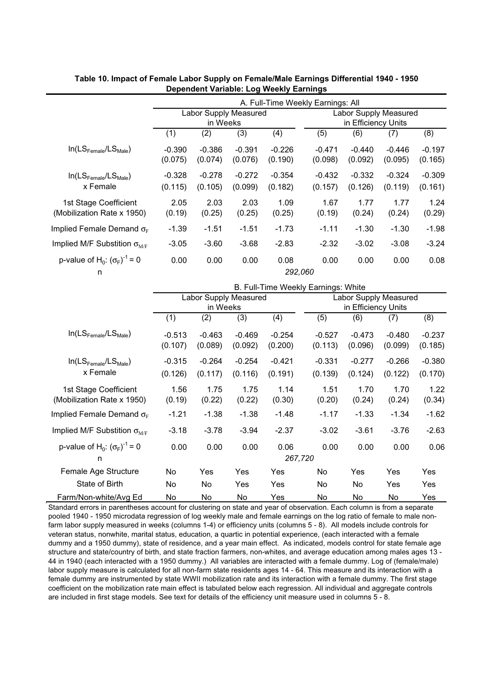|                                                   |          |                       |          |          | A. Full-Time Weekly Earnings: All |                       |          |          |
|---------------------------------------------------|----------|-----------------------|----------|----------|-----------------------------------|-----------------------|----------|----------|
|                                                   |          | Labor Supply Measured |          |          |                                   | Labor Supply Measured |          |          |
|                                                   |          | in Weeks              |          |          |                                   | in Efficiency Units   |          |          |
|                                                   | (1)      | (2)                   | (3)      | (4)      | (5)                               | (6)                   | (7)      | (8)      |
| $In(LS_{\text{Female}}/LS_{\text{Male}})$         | $-0.390$ | $-0.386$              | $-0.391$ | $-0.226$ | $-0.471$                          | $-0.440$              | $-0.446$ | $-0.197$ |
|                                                   | (0.075)  | (0.074)               | (0.076)  | (0.190)  | (0.098)                           | (0.092)               | (0.095)  | (0.165)  |
| $In(LS_{\text{Female}}/LS_{\text{Male}})$         | $-0.328$ | $-0.278$              | $-0.272$ | $-0.354$ | $-0.432$                          | $-0.332$              | $-0.324$ | $-0.309$ |
| x Female                                          | (0.115)  | (0.105)               | (0.099)  | (0.182)  | (0.157)                           | (0.126)               | (0.119)  | (0.161)  |
| 1st Stage Coefficient                             | 2.05     | 2.03                  | 2.03     | 1.09     | 1.67                              | 1.77                  | 1.77     | 1.24     |
| (Mobilization Rate x 1950)                        | (0.19)   | (0.25)                | (0.25)   | (0.25)   | (0.19)                            | (0.24)                | (0.24)   | (0.29)   |
| Implied Female Demand $\sigma_{\rm F}$            | $-1.39$  | $-1.51$               | $-1.51$  | $-1.73$  | $-1.11$                           | $-1.30$               | $-1.30$  | $-1.98$  |
| Implied M/F Substition $\sigma_{M/F}$             | $-3.05$  | $-3.60$               | $-3.68$  | $-2.83$  | $-2.32$                           | $-3.02$               | $-3.08$  | $-3.24$  |
| p-value of H <sub>0</sub> : $(\sigma_F)^{-1} = 0$ | 0.00     | 0.00                  | 0.00     | 0.08     | 0.00                              | 0.00                  | 0.00     | 0.08     |
| n                                                 |          |                       |          |          | 292,060                           |                       |          |          |

**Table 10. Impact of Female Labor Supply on Female/Male Earnings Differential 1940 - 1950 Dependent Variable: Log Weekly Earnings**

|                                                     |                     |                     |                       |                     | B. Full-Time Weekly Earnings: White |                                              |                     |                     |
|-----------------------------------------------------|---------------------|---------------------|-----------------------|---------------------|-------------------------------------|----------------------------------------------|---------------------|---------------------|
|                                                     |                     | in Weeks            | Labor Supply Measured |                     |                                     | Labor Supply Measured<br>in Efficiency Units |                     |                     |
|                                                     | (1)                 | (2)                 | (3)                   | (4)                 | (5)                                 | (6)                                          | (7)                 | (8)                 |
| $In(LS_{\text{Female}}/LS_{\text{Male}})$           | $-0.513$<br>(0.107) | $-0.463$<br>(0.089) | $-0.469$<br>(0.092)   | $-0.254$<br>(0.200) | $-0.527$<br>(0.113)                 | $-0.473$<br>(0.096)                          | $-0.480$<br>(0.099) | $-0.237$<br>(0.185) |
| $In(LS_{\text{Female}}/LS_{\text{Male}})$           | $-0.315$            | $-0.264$            | $-0.254$              | $-0.421$            | $-0.331$                            | $-0.277$                                     | $-0.266$            | $-0.380$            |
| x Female                                            | (0.126)             | (0.117)             | (0.116)               | (0.191)             | (0.139)                             | (0.124)                                      | (0.122)             | (0.170)             |
| 1st Stage Coefficient<br>(Mobilization Rate x 1950) | 1.56<br>(0.19)      | 1.75<br>(0.22)      | 1.75<br>(0.22)        | 1.14<br>(0.30)      | 1.51<br>(0.20)                      | 1.70<br>(0.24)                               | 1.70<br>(0.24)      | 1.22<br>(0.34)      |
| Implied Female Demand $\sigma_{\rm F}$              | $-1.21$             | $-1.38$             | $-1.38$               | $-1.48$             | $-1.17$                             | $-1.33$                                      | $-1.34$             | $-1.62$             |
| Implied M/F Substition $\sigma_{M/F}$               | $-3.18$             | $-3.78$             | $-3.94$               | $-2.37$             | $-3.02$                             | $-3.61$                                      | $-3.76$             | $-2.63$             |
| p-value of H <sub>0</sub> : $(\sigma_F)^{-1} = 0$   | 0.00                | 0.00                | 0.00                  | 0.06                | 0.00                                | 0.00                                         | 0.00                | 0.06                |
| n                                                   |                     |                     |                       | 267,720             |                                     |                                              |                     |                     |
| Female Age Structure                                | No.                 | Yes                 | Yes                   | Yes                 | No.                                 | Yes                                          | Yes                 | Yes                 |
| State of Birth                                      | No.                 | No.                 | Yes                   | Yes                 | No                                  | No.                                          | Yes                 | Yes                 |
| Farm/Non-white/Avg Ed                               | No                  | No                  | No                    | Yes                 | No                                  | No                                           | No                  | Yes                 |

Standard errors in parentheses account for clustering on state and year of observation. Each column is from a separate pooled 1940 - 1950 microdata regression of log weekly male and female earnings on the log ratio of female to male nonfarm labor supply measured in weeks (columns 1-4) or efficiency units (columns 5 - 8). All models include controls for veteran status, nonwhite, marital status, education, a quartic in potential experience, (each interacted with a female dummy and a 1950 dummy), state of residence, and a year main effect. As indicated, models control for state female age structure and state/country of birth, and state fraction farmers, non-whites, and average education among males ages 13 - 44 in 1940 (each interacted with a 1950 dummy.) All variables are interacted with a female dummy. Log of (female/male) labor supply measure is calculated for all non-farm state residents ages 14 - 64. This measure and its interaction with a female dummy are instrumented by state WWII mobilization rate and its interaction with a female dummy. The first stage coefficient on the mobilization rate main effect is tabulated below each regression. All individual and aggregate controls are included in first stage models. See text for details of the efficiency unit measure used in columns 5 - 8.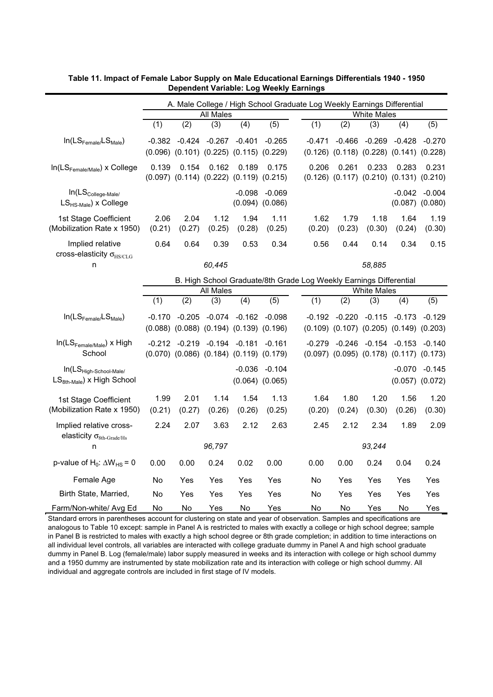|                                                                     |                |                  |                                                                      |                     | A. Male College / High School Graduate Log Weekly Earnings Differential |                  |                  |                                                                                 |                                 |                 |
|---------------------------------------------------------------------|----------------|------------------|----------------------------------------------------------------------|---------------------|-------------------------------------------------------------------------|------------------|------------------|---------------------------------------------------------------------------------|---------------------------------|-----------------|
|                                                                     |                |                  | All Males                                                            |                     |                                                                         |                  |                  | <b>White Males</b>                                                              |                                 |                 |
|                                                                     | (1)            | (2)              | (3)                                                                  | (4)                 | $\overline{(5)}$                                                        | (1)              | (2)              | (3)                                                                             | (4)                             | (5)             |
| $In(LS_{\text{Female}}/LS_{\text{Male}})$                           | $-0.382$       | $-0.424$         | $-0.267$<br>$(0.096)$ $(0.101)$ $(0.225)$ $(0.115)$ $(0.229)$        | $-0.401$            | $-0.265$                                                                | -0.471           | $-0.466$         | $-0.269$<br>$(0.126)$ $(0.118)$ $(0.228)$ $(0.141)$ $(0.228)$                   | $-0.428$                        | $-0.270$        |
| $In(LS_{Female/Male})$ x College                                    | 0.139          | 0.154            | 0.162<br>$(0.097)$ $(0.114)$ $(0.222)$ $(0.119)$ $(0.215)$           | 0.189               | 0.175                                                                   | 0.206            | 0.261            | 0.233<br>$(0.126)$ $(0.117)$ $(0.210)$ $(0.131)$ $(0.210)$                      | 0.283                           | 0.231           |
| $In(LS_{\text{Collect-Male}})$<br>$LS_{HS\text{-Male}}$ ) x College |                |                  |                                                                      | $-0.098$            | $-0.069$<br>$(0.094)$ $(0.086)$                                         |                  |                  |                                                                                 | $-0.042$<br>$(0.087)$ $(0.080)$ | $-0.004$        |
| 1st Stage Coefficient<br>(Mobilization Rate x 1950)                 | 2.06<br>(0.21) | 2.04<br>(0.27)   | 1.12<br>(0.25)                                                       | 1.94<br>(0.28)      | 1.11<br>(0.25)                                                          | 1.62<br>(0.20)   | 1.79<br>(0.23)   | 1.18<br>(0.30)                                                                  | 1.64<br>(0.24)                  | 1.19<br>(0.30)  |
| Implied relative<br>cross-elasticity $\sigma_{\rm HS/CLG}$          | 0.64           | 0.64             | 0.39                                                                 | 0.53                | 0.34                                                                    | 0.56             | 0.44             | 0.14                                                                            | 0.34                            | 0.15            |
| n                                                                   |                |                  | 60,445                                                               |                     |                                                                         |                  |                  | 58,885                                                                          |                                 |                 |
|                                                                     |                |                  |                                                                      |                     | B. High School Graduate/8th Grade Log Weekly Earnings Differential      |                  |                  |                                                                                 |                                 |                 |
|                                                                     |                |                  | <b>All Males</b>                                                     |                     |                                                                         |                  |                  | <b>White Males</b>                                                              |                                 |                 |
|                                                                     | (1)            | $\overline{(2)}$ | (3)                                                                  | $\overline{(4)}$    | $\overline{(5)}$                                                        | $\overline{(1)}$ | $\overline{(2)}$ | (3)                                                                             | (4)                             | (5)             |
| $In(LS_{\text{Female}}/LS_{\text{Male}})$                           | $-0.170$       |                  | $-0.205 -0.074$<br>$(0.088)$ $(0.088)$ $(0.194)$ $(0.139)$ $(0.196)$ | $-0.162$            | $-0.098$                                                                |                  | $-0.192 -0.220$  | $(0.109)$ $(0.107)$ $(0.205)$ $(0.149)$ $(0.203)$                               | $-0.115 -0.173 -0.129$          |                 |
| $In(LS_{\text{Female/Male}})$ x High<br>School                      | $-0.212$       | $-0.219$         | $-0.194$<br>$(0.070)$ $(0.086)$ $(0.184)$ $(0.119)$ $(0.179)$        | -0.181              | $-0.161$                                                                | $-0.279$         |                  | $-0.246$ $-0.154$ $-0.153$<br>$(0.097)$ $(0.095)$ $(0.178)$ $(0.117)$ $(0.173)$ |                                 | $-0.140$        |
| In(LS <sub>High-School-Male/</sub><br>$LS8th-Male$ x High School    |                |                  |                                                                      | $(0.064)$ $(0.065)$ | $-0.036 - 0.104$                                                        |                  |                  |                                                                                 | $(0.057)$ $(0.072)$             | $-0.070 -0.145$ |
| 1st Stage Coefficient<br>(Mobilization Rate x 1950)                 | 1.99<br>(0.21) | 2.01<br>(0.27)   | 1.14<br>(0.26)                                                       | 1.54<br>(0.26)      | 1.13<br>(0.25)                                                          | 1.64<br>(0.20)   | 1.80<br>(0.24)   | 1.20<br>(0.30)                                                                  | 1.56<br>(0.26)                  | 1.20<br>(0.30)  |
| Implied relative cross-                                             | 2.24           | 2.07             | 3.63                                                                 | 2.12                | 2.63                                                                    | 2.45             | 2.12             | 2.34                                                                            | 1.89                            | 2.09            |
| elasticity $\sigma_{8\text{th-Grade/He}}$<br>n                      |                |                  | 96,797                                                               |                     |                                                                         |                  |                  | 93,244                                                                          |                                 |                 |
| p-value of H <sub>0</sub> : $\Delta W_{HS} = 0$                     | 0.00           | 0.00             | 0.24                                                                 | 0.02                | 0.00                                                                    | 0.00             | 0.00             | 0.24                                                                            | 0.04                            | 0.24            |
| Female Age                                                          | No             | Yes              | Yes                                                                  | Yes                 | Yes                                                                     | No.              | Yes              | Yes                                                                             | Yes                             | Yes             |
| Birth State, Married,                                               | No             | Yes              | Yes                                                                  | Yes                 | Yes                                                                     | No               | Yes              | Yes                                                                             | Yes                             | Yes             |
| Farm/Non-white/ Avg Ed                                              | No             | No               | Yes                                                                  | No                  | Yes                                                                     | No               | No               | Yes                                                                             | No                              | Yes             |

**Table 11. Impact of Female Labor Supply on Male Educational Earnings Differentials 1940 - 1950 Dependent Variable: Log Weekly Earnings**

Standard errors in parentheses account for clustering on state and year of observation. Samples and specifications are analogous to Table 10 except: sample in Panel A is restricted to males with exactly a college or high school degree; sample in Panel B is restricted to males with exactly a high school degree or 8th grade completion; in addition to time interactions on all individual level controls, all variables are interacted with college graduate dummy in Panel A and high school graduate dummy in Panel B. Log (female/male) labor supply measured in weeks and its interaction with college or high school dummy and a 1950 dummy are instrumented by state mobilization rate and its interaction with college or high school dummy. All individual and aggregate controls are included in first stage of IV models.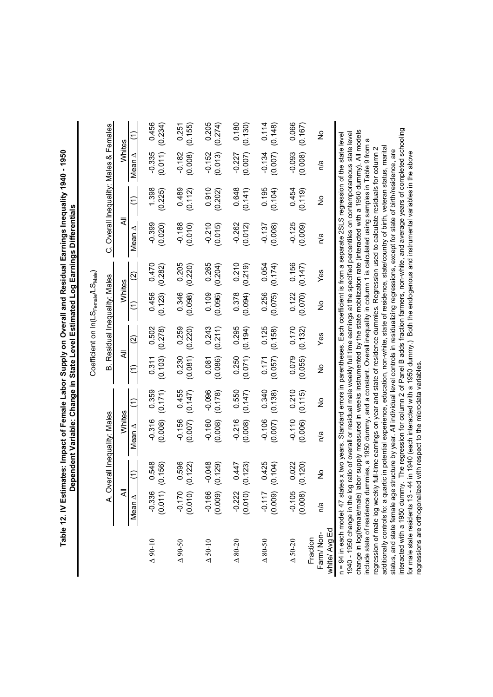Table 12. IV Estimates: Impact of Female Labor Supply on Overall and Residual Earnings Inequality 1940 - 1950 **Table 12. IV Estimates: Impact of Female Labor Supply on Overall and Residual Earnings Inequality 1940 - 1950** Dependent Variable: Change in State Level Estimated Log Earnings Differentials **Dependent Variable: Change in State Level Estimated Log Earnings Differentials**

Coefficient on In(LS<sub>Female</sub>/LS<sub>Male</sub>) Coefficient on ln(LSFemale/LSMale)

|                                                                                                                                                                                                                                                                                                                                                                                                                                                                                           |                     |                     | A. Overall Inequality: Males                                                                                           |                     | ക്               |                    | Residual Inequality: Males |                  | C. Overall Inequality: Males & Females |                  |                     |                   |
|-------------------------------------------------------------------------------------------------------------------------------------------------------------------------------------------------------------------------------------------------------------------------------------------------------------------------------------------------------------------------------------------------------------------------------------------------------------------------------------------|---------------------|---------------------|------------------------------------------------------------------------------------------------------------------------|---------------------|------------------|--------------------|----------------------------|------------------|----------------------------------------|------------------|---------------------|-------------------|
|                                                                                                                                                                                                                                                                                                                                                                                                                                                                                           | ₹                   |                     | Whites                                                                                                                 |                     | ₹                |                    | Whites                     |                  | ₹                                      |                  | Whites              |                   |
|                                                                                                                                                                                                                                                                                                                                                                                                                                                                                           | Mean $\Delta$       | $\widehat{\tau}$    | Mean $\Delta$                                                                                                          |                     |                  | $\widehat{\Omega}$ | $\widehat{\tau}$           | ତ୍ର              | Mean $\Delta$                          | $\widehat{\tau}$ | Mean A              | $\widehat{\cdot}$ |
| $\Delta$ 90-10                                                                                                                                                                                                                                                                                                                                                                                                                                                                            | $-0.336$<br>(0.011) | 0.548<br>(0.156)    | (0.008)<br>$-0.316$                                                                                                    | 0.359<br>(0.171)    | (0.103)<br>0.311 | 0.502<br>(0.278)   | (0.123)<br>0.456           | 0.470<br>(0.282) | $-0.399$<br>(0.020)                    | 1.398<br>(0.225) | (0.011)<br>$-0.335$ | 0.456<br>(0.234)  |
| $\Delta$ 90-50                                                                                                                                                                                                                                                                                                                                                                                                                                                                            | (0.010)<br>$-0.170$ | 0.596<br>(0.122)    | $-0.156$<br>(0.007)                                                                                                    | 0.455<br>(0.147)    | (0.081)<br>0.230 | 0.259<br>(0.220)   | (0.098)<br>0.346           | 0.205<br>(0.220) | $-0.188$<br>(0.010)                    | 0.489<br>(0.112) | $-0.182$<br>(0.008) | (0.155)<br>0.251  |
| $\Delta$ 50-10                                                                                                                                                                                                                                                                                                                                                                                                                                                                            | $-0.166$<br>(0.009) | $-0.048$<br>(0.129) | $-0.160$<br>(0.008)                                                                                                    | $-0.096$<br>(0.178) | (0.086)<br>0.081 | 0.243<br>(0.211)   | 0.109<br>(0.096)           | 0.265<br>(0.204) | $-0.210$<br>(0.015)                    | 0.910<br>(0.202) | $-0.152$<br>(0.013) | 0.205<br>(0.274)  |
| $\Delta$ 80-20                                                                                                                                                                                                                                                                                                                                                                                                                                                                            | $-0.222$<br>(0.010) | 0.447<br>(0.123)    | $-0.216$<br>(0.008)                                                                                                    | 0.550<br>(0.147)    | 0.250<br>(0.071) | 0.295<br>(0.194)   | 0.378<br>(0.094)           | 0.210<br>(0.219) | $-0.262$<br>(0.012)                    | 0.648<br>(0.141) | $-0.227$<br>(0.007) | 0.180<br>(0.130)  |
| $\Delta$ 80-50                                                                                                                                                                                                                                                                                                                                                                                                                                                                            | $-0.117$<br>(0.009) | 0.425<br>(0.104)    | $-0.106$<br>(0.007)                                                                                                    | 0.340<br>(0.138)    | (0.057)<br>0.171 | 0.125<br>(0.158)   | 0.256<br>(0.075)           | 0.054<br>(0.174) | $-0.137$<br>(0.008)                    | 0.195<br>(0.104) | $-0.134$<br>(0.007) | 0.114<br>(0.148)  |
| $\Delta$ 50-20                                                                                                                                                                                                                                                                                                                                                                                                                                                                            | $-0.105$<br>(0.008) | 0.022<br>(0.120)    | $-0.110$<br>(0.006)                                                                                                    | 0.210<br>(0.115)    | 0.079<br>(0.055) | 0.170<br>(0.132)   | 0.122<br>(0.070)           | 0.156<br>(0.147) | $-0.125$<br>(0.009)                    | 0.454<br>(0.119) | $-0.093$<br>(0.008) | 0.066<br>(0.167)  |
| white/ Avg Ed<br>Farm/Non-<br>Fraction                                                                                                                                                                                                                                                                                                                                                                                                                                                    | n/a                 | ş                   | n/a                                                                                                                    | $\frac{1}{2}$       | $\frac{1}{2}$    | Yes                | ş                          | Yes              | n/a                                    | ş                | n/a                 | ş                 |
| change in log(female/male) labor supply measured in weeks instrumented by the state mobilization rate (interacted with a 1950 dummy). All models<br>1950 change in the log ratio of overall or residual male weekly full time earnings at the specified percentiles on contemporaneous state level<br>include state of residence dummies, a 1950 dummy, and a constant. Overall inequality in column 1 is calculated using samples in Table 9 from a<br>$n = 94$ in each model: $47$ stat |                     |                     | es x two years. Standard errors in parentheses. Each coefficient is from a separate 2SLS regression of the state level |                     |                  |                    |                            |                  |                                        |                  |                     |                   |

status, and state female age structure by year. All individual level controls in residualizing regressions, except for state of birth/residence, are<br>interacted with a 1950 dummy. The regression for column 2 of Panel B adds interacted with a 1950 dummy. The regression for column 2 of Panel B adds fraction farmers, non-white, and average years of completed schooling include state of residence dummies, a 1950 dummy, and a constant. Overall inequality in column 1 is calculated using samples in Table 9 from a additionally controls fo: a quartic in potential experience, education, non-white, state of residence, state/country of birth, veteran status, marital additionally controls fo: a quartic in potential experience, education, non-white, state of residence, state/country of birth, veteran status, marital regression of male log weekly full-time earnings on year and state of residence dummies. Regression used to calculate residuals for column 2<br>regression of male log weekly full-time earnings on year and state of residence d regression of male log weekly full-time earnings on year and state of residence dummies. Regression used to calculate residuals for column 2 status, and state female age structure by year. All individual level controls in residualizing regressions, except for state of birth/residence, are for male state residents 13 - 44 in 1940 (each interacted with a 1950 dummy.) Both the endogenous and instrumental variables in the above regressions are orthogonalized with respect to the microdata variables. regressions are orthogonalized with respect to the microdata variables.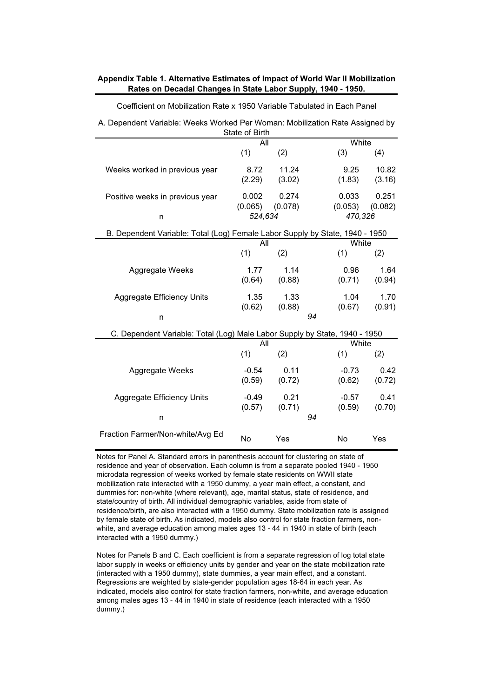| Appendix Table 1. Alternative Estimates of Impact of World War II Mobilization |
|--------------------------------------------------------------------------------|
| Rates on Decadal Changes in State Labor Supply, 1940 - 1950.                   |

| A. Dopondont vanabio. Wooks Workou'r or Woman. Mobilization Rato Assignou by | State of Birth |         |         |         |
|------------------------------------------------------------------------------|----------------|---------|---------|---------|
|                                                                              | All            |         | White   |         |
|                                                                              | (1)            | (2)     | (3)     | (4)     |
| Weeks worked in previous year                                                | 8.72           | 11.24   | 9.25    | 10.82   |
|                                                                              | (2.29)         | (3.02)  | (1.83)  | (3.16)  |
| Positive weeks in previous year                                              | 0.002          | 0.274   | 0.033   | 0.251   |
|                                                                              | (0.065)        | (0.078) | (0.053) | (0.082) |
| n                                                                            | 524,634        |         | 470,326 |         |
| B. Dependent Variable: Total (Log) Female Labor Supply by State, 1940 - 1950 |                |         |         |         |
|                                                                              | All            |         | White   |         |
|                                                                              | (1)            | (2)     | (1)     | (2)     |
| Aggregate Weeks                                                              | 1.77           | 1.14    | 0.96    | 1.64    |
|                                                                              | (0.64)         | (0.88)  | (0.71)  | (0.94)  |
| <b>Aggregate Efficiency Units</b>                                            | 1.35           | 1.33    | 1.04    | 1.70    |
|                                                                              | (0.62)         | (0.88)  | (0.67)  | (0.91)  |
| n                                                                            |                |         | 94      |         |
| C. Dependent Variable: Total (Log) Male Labor Supply by State, 1940 - 1950   |                |         |         |         |
|                                                                              | All            |         | White   |         |
|                                                                              | (1)            | (2)     | (1)     | (2)     |
| Aggregate Weeks                                                              | $-0.54$        | 0.11    | $-0.73$ | 0.42    |
|                                                                              | (0.59)         | (0.72)  | (0.62)  | (0.72)  |
| <b>Aggregate Efficiency Units</b>                                            | $-0.49$        | 0.21    | $-0.57$ | 0.41    |
|                                                                              | (0.57)         | (0.71)  | (0.59)  | (0.70)  |
| n                                                                            |                |         | 94      |         |
| Fraction Farmer/Non-white/Avg Ed                                             | No             | Yes     | No      | Yes     |
|                                                                              |                |         |         |         |

Coefficient on Mobilization Rate x 1950 Variable Tabulated in Each Panel

A. Dependent Variable: Weeks Worked Per Woman: Mobilization Rate Assigned by

Notes for Panel A. Standard errors in parenthesis account for clustering on state of residence and year of observation. Each column is from a separate pooled 1940 - 1950 microdata regression of weeks worked by female state residents on WWII state mobilization rate interacted with a 1950 dummy, a year main effect, a constant, and dummies for: non-white (where relevant), age, marital status, state of residence, and state/country of birth. All individual demographic variables, aside from state of residence/birth, are also interacted with a 1950 dummy. State mobilization rate is assigned by female state of birth. As indicated, models also control for state fraction farmers, nonwhite, and average education among males ages 13 - 44 in 1940 in state of birth (each interacted with a 1950 dummy.)

Notes for Panels B and C. Each coefficient is from a separate regression of log total state labor supply in weeks or efficiency units by gender and year on the state mobilization rate (interacted with a 1950 dummy), state dummies, a year main effect, and a constant. Regressions are weighted by state-gender population ages 18-64 in each year. As indicated, models also control for state fraction farmers, non-white, and average education among males ages 13 - 44 in 1940 in state of residence (each interacted with a 1950 dummy.)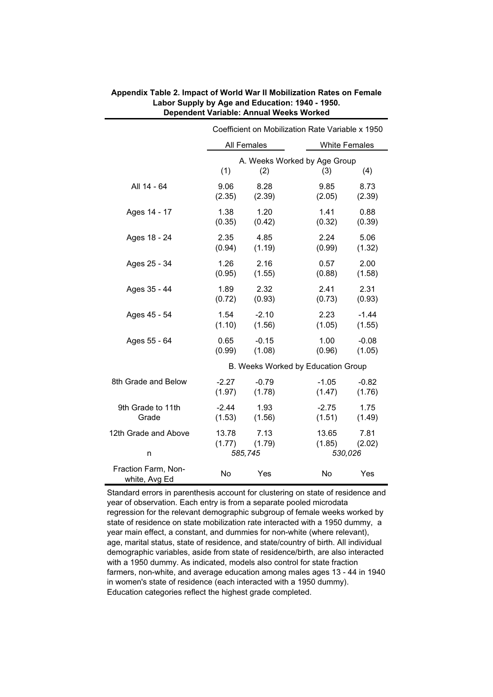|                                      |                 |                           | Coefficient on Mobilization Rate Variable x 1950 |                |
|--------------------------------------|-----------------|---------------------------|--------------------------------------------------|----------------|
|                                      |                 | All Females               | <b>White Females</b>                             |                |
|                                      | (1)             | (2)                       | A. Weeks Worked by Age Group<br>(3)              | (4)            |
| All 14 - 64                          | 9.06            | 8.28                      | 9.85                                             | 8.73           |
|                                      | (2.35)          | (2.39)                    | (2.05)                                           | (2.39)         |
| Ages 14 - 17                         | 1.38            | 1.20                      | 1.41                                             | 0.88           |
|                                      | (0.35)          | (0.42)                    | (0.32)                                           | (0.39)         |
| Ages 18 - 24                         | 2.35            | 4.85                      | 2.24                                             | 5.06           |
|                                      | (0.94)          | (1.19)                    | (0.99)                                           | (1.32)         |
| Ages 25 - 34                         | 1.26            | 2.16                      | 0.57                                             | 2.00           |
|                                      | (0.95)          | (1.55)                    | (0.88)                                           | (1.58)         |
| Ages 35 - 44                         | 1.89            | 2.32                      | 2.41                                             | 2.31           |
|                                      | (0.72)          | (0.93)                    | (0.73)                                           | (0.93)         |
| Ages 45 - 54                         | 1.54            | $-2.10$                   | 2.23                                             | $-1.44$        |
|                                      | (1.10)          | (1.56)                    | (1.05)                                           | (1.55)         |
| Ages 55 - 64                         | 0.65            | $-0.15$                   | 1.00                                             | $-0.08$        |
|                                      | (0.99)          | (1.08)                    | (0.96)                                           | (1.05)         |
|                                      |                 |                           | B. Weeks Worked by Education Group               |                |
| 8th Grade and Below                  | $-2.27$         | $-0.79$                   | $-1.05$                                          | $-0.82$        |
|                                      | (1.97)          | (1.78)                    | (1.47)                                           | (1.76)         |
| 9th Grade to 11th                    | $-2.44$         | 1.93                      | $-2.75$                                          | 1.75           |
| Grade                                | (1.53)          | (1.56)                    | (1.51)                                           | (1.49)         |
| 12th Grade and Above<br>n            | 13.78<br>(1.77) | 7.13<br>(1.79)<br>585,745 | 13.65<br>(1.85)<br>530,026                       | 7.81<br>(2.02) |
| Fraction Farm, Non-<br>white, Avg Ed | <b>No</b>       | Yes                       | No                                               | Yes            |

# **Appendix Table 2. Impact of World War II Mobilization Rates on Female Labor Supply by Age and Education: 1940 - 1950. Dependent Variable: Annual Weeks Worked**

Standard errors in parenthesis account for clustering on state of residence and year of observation. Each entry is from a separate pooled microdata regression for the relevant demographic subgroup of female weeks worked by state of residence on state mobilization rate interacted with a 1950 dummy, a year main effect, a constant, and dummies for non-white (where relevant), age, marital status, state of residence, and state/country of birth. All individual demographic variables, aside from state of residence/birth, are also interacted with a 1950 dummy. As indicated, models also control for state fraction farmers, non-white, and average education among males ages 13 - 44 in 1940 in women's state of residence (each interacted with a 1950 dummy). Education categories reflect the highest grade completed.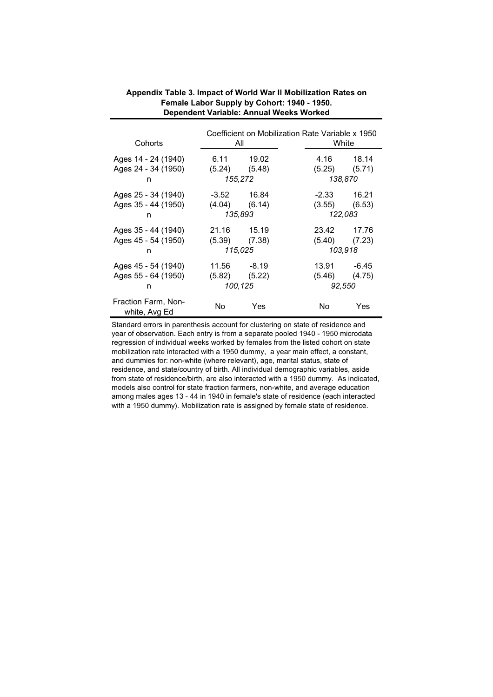| Cohorts                                         | All                                   | Coefficient on Mobilization Rate Variable x 1950 | White                                   |         |
|-------------------------------------------------|---------------------------------------|--------------------------------------------------|-----------------------------------------|---------|
| Ages 14 - 24 (1940)<br>Ages 24 - 34 (1950)<br>n | 6.11<br>$(5.24)$ $(5.48)$<br>155,272  | 19.02                                            | 4.16<br>$(5.25)$ $(5.71)$<br>138,870    | 18.14   |
| Ages 25 - 34 (1940)<br>Ages 35 - 44 (1950)<br>n | -3.52<br>$(4.04)$ $(6.14)$<br>135,893 | 16.84                                            | $-2.33$<br>$(3.55)$ $(6.53)$<br>122,083 | 16.21   |
| Ages 35 - 44 (1940)<br>Ages 45 - 54 (1950)<br>n | 21.16<br>$(5.39)$ $(7.38)$<br>115,025 | 15.19                                            | 23.42<br>$(5.40)$ $(7.23)$<br>103,918   | 17.76   |
| Ages 45 - 54 (1940)<br>Ages 55 - 64 (1950)<br>n | 11.56<br>$(5.82)$ $(5.22)$<br>100,125 | -8.19                                            | 13.91<br>$(5.46)$ $(4.75)$<br>92,550    | $-6.45$ |
| Fraction Farm, Non-<br>white, Avg Ed            | No.                                   | Yes                                              | No.                                     | Yes     |

## **Appendix Table 3. Impact of World War II Mobilization Rates on Female Labor Supply by Cohort: 1940 - 1950. Dependent Variable: Annual Weeks Worked**

Standard errors in parenthesis account for clustering on state of residence and year of observation. Each entry is from a separate pooled 1940 - 1950 microdata regression of individual weeks worked by females from the listed cohort on state mobilization rate interacted with a 1950 dummy, a year main effect, a constant, and dummies for: non-white (where relevant), age, marital status, state of residence, and state/country of birth. All individual demographic variables, aside from state of residence/birth, are also interacted with a 1950 dummy. As indicated, models also control for state fraction farmers, non-white, and average education among males ages 13 - 44 in 1940 in female's state of residence (each interacted with a 1950 dummy). Mobilization rate is assigned by female state of residence.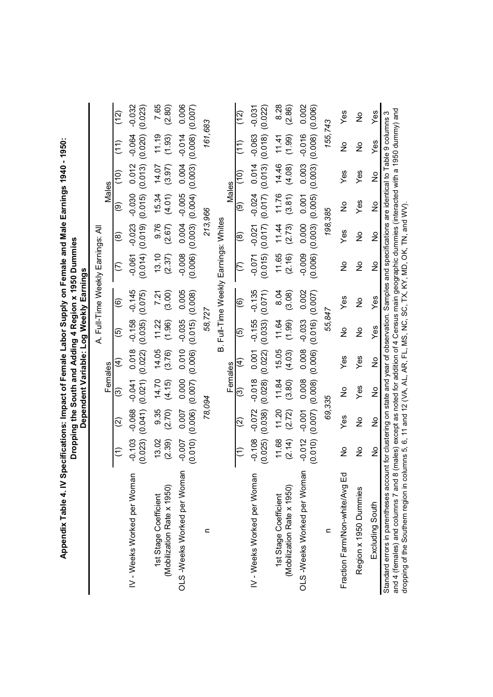Appendix Table 4. IV Specifications: Impact of Female Labor Supply on Female and Male Earnings 1940 - 1950:<br>Dropping the South and Adding 4 Region x 1950 Dummies **Appendix Table 4. IV Specifications: Impact of Female Labor Supply on Female and Male Earnings 1940 - 1950: Dropping the South and Adding 4 Region x 1950 Dummies**

|                                                                                                                                                                                                                                                                                                                      |                      |                    |                              |                                                            |                                     | Dependent Variable: Log Weekly Earnings                                                                     |                     |                              |                                           |                  |                                 |                     |
|----------------------------------------------------------------------------------------------------------------------------------------------------------------------------------------------------------------------------------------------------------------------------------------------------------------------|----------------------|--------------------|------------------------------|------------------------------------------------------------|-------------------------------------|-------------------------------------------------------------------------------------------------------------|---------------------|------------------------------|-------------------------------------------|------------------|---------------------------------|---------------------|
|                                                                                                                                                                                                                                                                                                                      |                      |                    |                              |                                                            |                                     | A. Full-Time Weekly Earnings: All                                                                           |                     |                              |                                           |                  |                                 |                     |
|                                                                                                                                                                                                                                                                                                                      |                      |                    |                              | Females                                                    |                                     |                                                                                                             |                     |                              | Males                                     |                  |                                 |                     |
|                                                                                                                                                                                                                                                                                                                      | $\widehat{\epsilon}$ | $\widehat{\infty}$ | ල                            | E                                                          | $\widehat{\mathfrak{G}}$            | $\circledcirc$                                                                                              | $\widehat{\in}$     | $\circledcirc$               | $\circledcirc$                            | (10)             | $\left(11\right)$               | (12)                |
| IV - Weeks Worked per Woman                                                                                                                                                                                                                                                                                          | (0.023)<br>$-0.103$  | $-0.068$           | $-0.041$                     | $(0.041)$ $(0.021)$ $(0.022)$ $(0.035)$ $(0.075)$<br>0.018 | $-0.158$                            | $-0.145$                                                                                                    | (0.014)<br>$-0.061$ | $-0.023$                     | $(0.019)$ $(0.015)$ $(0.013)$<br>$-0.030$ | 0.012            | $(0.020)$ $(0.023)$<br>$-0.064$ | $-0.032$            |
| (Mobilization Rate x 1950)<br>1st Stage Coefficient                                                                                                                                                                                                                                                                  | 13.02<br>(2.39)      | 9.35<br>(2.70)     | 14.70<br>(4.15)              | (3.76)<br>14.05                                            | 11.22<br>(1.96)                     | (3.00)<br>7.21                                                                                              | 13.10<br>(2.37)     | 9.76<br>(2.67)               | 15.34<br>(4.01)                           | 14.07<br>(3.97)  | (1.93)<br>11.19                 | 7.65<br>(2.80)      |
| OLS-Weeks Worked per Woman                                                                                                                                                                                                                                                                                           | (0.010)<br>$-0.007$  | 0.007              | $(0.006)$ $(0.007)$<br>0.000 | 0.010                                                      | (800:0) (610:0) (900:0)<br>$-0.035$ | 0.005                                                                                                       | (0.006)<br>$-0.008$ | $(0.003)$ $(0.004)$<br>0.004 | $-0.005$                                  | (0.003)<br>0.004 | $(0.000)$ $(0.007)$<br>$-0.014$ | 0.006               |
| c                                                                                                                                                                                                                                                                                                                    |                      | 78,094             |                              |                                                            | 58,727                              |                                                                                                             |                     | 213,966                      |                                           |                  | 161,683                         |                     |
|                                                                                                                                                                                                                                                                                                                      |                      |                    |                              |                                                            |                                     | B. Full-Time Weekly Earnings: Whites                                                                        |                     |                              |                                           |                  |                                 |                     |
|                                                                                                                                                                                                                                                                                                                      |                      |                    |                              | Females                                                    |                                     |                                                                                                             |                     |                              | Males                                     |                  |                                 |                     |
|                                                                                                                                                                                                                                                                                                                      |                      | $\overline{c}$     | $\mathcal{E}$                | $\hat{E}$                                                  | $\overline{5}$                      | (6)                                                                                                         | $\overline{(7)}$    | $\circledcirc$               | $\widehat{\mathcal{C}}$                   | (10)             |                                 | (12)                |
| IV - Weeks Worked per Woman                                                                                                                                                                                                                                                                                          | $-0.108$<br>(0.025)  | $-0.072$           | $-0.018$                     | $(0.038)$ $(0.028)$ $(0.022)$ $(0.033)$ $(0.071)$<br>0.001 | $-0.155$                            | $-0.135$                                                                                                    | (0.015)<br>$-0.071$ | $-0.021$                     | $(0.017)$ $(0.017)$ $(0.013)$<br>$-0.024$ | 0.014            | $-0.063$<br>(0.018)             | $-0.031$<br>(0.022) |
| (Mobilization Rate x 1950)<br>1st Stage Coefficient                                                                                                                                                                                                                                                                  | 11.68<br>(2.14)      | (2.72)<br>11.20    | (3.80)<br>11.84              | (4.03)<br>15.05                                            | (1.99)<br>11.64                     | 8.04<br>(3.08)                                                                                              | 11.65<br>(2.16)     | 11.44<br>(2.73)              | 11.76<br>(3.81)                           | 14.46<br>(4.08)  | (1.99)<br>11.41                 | 8.28<br>(2.86)      |
| OLS-Weeks Worked per Woman                                                                                                                                                                                                                                                                                           | $-0.012$<br>(0.010)  | $-0.001$           | $(0.007)$ $(0.008)$<br>0.008 | 0.008                                                      | $(0.000)$ (0.000)<br>$-0.033$       | 0.002                                                                                                       | $-0.009$<br>(0.006) | $(0.005)$ $(0.005)$<br>0.000 | 0.001                                     | 0.003<br>(0.003) | $(0.008)$ $(0.006)$<br>$-0.016$ | 0.002               |
| c                                                                                                                                                                                                                                                                                                                    |                      |                    | 69,335                       |                                                            | 55,847                              |                                                                                                             |                     |                              | 198,385                                   |                  | 155,743                         |                     |
| Fraction Farm/Non-white/Avg Ed                                                                                                                                                                                                                                                                                       | ş                    | Yes                | $\frac{1}{2}$                | Yes                                                        | $\frac{1}{2}$                       | Yes                                                                                                         | $\frac{1}{2}$       | Yes                          | ş                                         | Yes              | $\frac{1}{2}$                   | Yes                 |
| Region x 1950 Dummies                                                                                                                                                                                                                                                                                                | $\frac{1}{2}$        | $\frac{1}{2}$      | Yes                          | Yes                                                        | $\frac{1}{2}$                       | $\frac{1}{2}$                                                                                               | $\frac{1}{2}$       | $\frac{1}{2}$                | Yes                                       | Yes              | $\frac{1}{2}$                   | $\frac{1}{2}$       |
| Excluding South                                                                                                                                                                                                                                                                                                      | ş                    | $\frac{1}{2}$      | $\frac{1}{2}$                | $\frac{1}{2}$                                              | Yes                                 | Yes                                                                                                         | $\frac{1}{2}$       | ş                            | ş                                         | $\frac{1}{2}$    | Yes                             | Yes                 |
| Standard errors in parentheses account for clustering on state and year of observation. Samples and specifications are identical to Table 9 columns 3<br>dropping of the Southern region in columns 5, 6, 11 and 12 (VA, AL, AR, FL, MS, NC, SC, TX, KY, MD, OK, TN, and WV).<br>and 4 (females) and columns 7 and 8 |                      |                    |                              |                                                            |                                     | (males) except as noted for addition of 4 Census main geographic dummies (interacted with a 1950 dummy) and |                     |                              |                                           |                  |                                 |                     |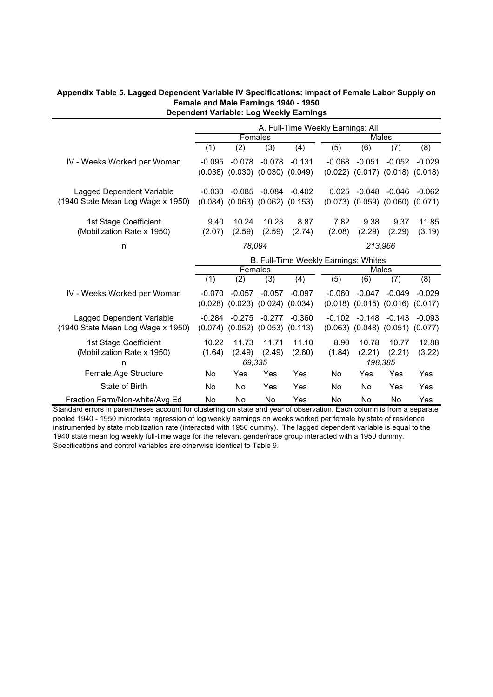|                                                                |                     |                           |                                 | A. Full-Time Weekly Earnings: All    |                |                                           |                                                   |                     |
|----------------------------------------------------------------|---------------------|---------------------------|---------------------------------|--------------------------------------|----------------|-------------------------------------------|---------------------------------------------------|---------------------|
|                                                                |                     | Females                   |                                 |                                      |                | Males                                     |                                                   |                     |
|                                                                | (1)                 | (2)                       | (3)                             | (4)                                  | (5)            | (6)                                       | (7)                                               | (8)                 |
| IV - Weeks Worked per Woman                                    | $-0.095$<br>(0.038) | $-0.078$<br>(0.030)       | $-0.078$<br>$(0.030)$ $(0.049)$ | $-0.131$                             | $-0.068$       | $-0.051$                                  | $-0.052$<br>$(0.022)$ $(0.017)$ $(0.018)$         | $-0.029$<br>(0.018) |
| Lagged Dependent Variable<br>(1940 State Mean Log Wage x 1950) | $-0.033$<br>(0.084) | $-0.085$                  | $(0.063)$ $(0.062)$ $(0.153)$   | $-0.084 - 0.402$                     | 0.025          | $-0.048$                                  | $-0.046$<br>$(0.073)$ $(0.059)$ $(0.060)$         | $-0.062$<br>(0.071) |
| 1st Stage Coefficient<br>(Mobilization Rate x 1950)            | 9.40<br>(2.07)      | 10.24<br>(2.59)           | 10.23<br>(2.59)                 | 8.87<br>(2.74)                       | 7.82<br>(2.08) | 9.38<br>(2.29)                            | 9.37<br>(2.29)                                    | 11.85<br>(3.19)     |
| n                                                              |                     | 78,094                    |                                 |                                      |                | 213,966                                   |                                                   |                     |
|                                                                |                     |                           |                                 | B. Full-Time Weekly Earnings: Whites |                |                                           |                                                   |                     |
|                                                                |                     | Females                   |                                 |                                      |                | Males                                     |                                                   |                     |
|                                                                | (1)                 | (2)                       | (3)                             | (4)                                  | (5)            | (6)                                       | (7)                                               | (8)                 |
| IV - Weeks Worked per Woman                                    | $-0.070$<br>(0.028) | $-0.057$<br>(0.023)       | $-0.057$<br>(0.024)             | $-0.097$<br>(0.034)                  | $-0.060$       | $-0.047$<br>$(0.018)$ $(0.015)$ $(0.016)$ | $-0.049$                                          | $-0.029$<br>(0.017) |
| Lagged Dependent Variable<br>(1940 State Mean Log Wage x 1950) | $-0.284$<br>(0.074) | $-0.275$<br>(0.052)       | $-0.277$<br>(0.053)             | $-0.360$<br>(0.113)                  | $-0.102$       |                                           | $-0.148 - 0.143$<br>$(0.063)$ $(0.048)$ $(0.051)$ | $-0.093$<br>(0.077) |
| 1st Stage Coefficient<br>(Mobilization Rate x 1950)<br>n       | 10.22<br>(1.64)     | 11.73<br>(2.49)<br>69,335 | 11.71<br>(2.49)                 | 11.10<br>(2.60)                      | 8.90<br>(1.84) | 10.78<br>(2.21)<br>198,385                | 10.77<br>(2.21)                                   | 12.88<br>(3.22)     |
| Female Age Structure                                           | No                  | Yes                       | Yes                             | Yes                                  | No             | Yes                                       | Yes                                               | Yes                 |
| State of Birth                                                 | N <sub>o</sub>      | <b>No</b>                 | Yes                             | Yes                                  | No.            | No                                        | Yes                                               | Yes                 |
| Fraction Farm/Non-white/Avg Ed                                 | No                  | No                        | No                              | Yes                                  | No             | No                                        | No                                                | Yes                 |

## **Appendix Table 5. Lagged Dependent Variable IV Specifications: Impact of Female Labor Supply on Female and Male Earnings 1940 - 1950 Dependent Variable: Log Weekly Earnings**

Standard errors in parentheses account for clustering on state and year of observation. Each column is from a separate pooled 1940 - 1950 microdata regression of log weekly earnings on weeks worked per female by state of residence instrumented by state mobilization rate (interacted with 1950 dummy). The lagged dependent variable is equal to the 1940 state mean log weekly full-time wage for the relevant gender/race group interacted with a 1950 dummy. Specifications and control variables are otherwise identical to Table 9.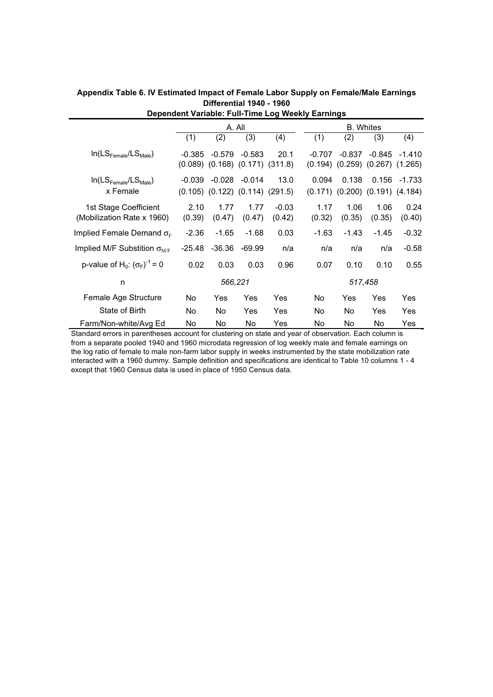|                                                       |                     | A. All         |                                                     |                   |                     |                                                  | <b>B.</b> Whites                          |                 |
|-------------------------------------------------------|---------------------|----------------|-----------------------------------------------------|-------------------|---------------------|--------------------------------------------------|-------------------------------------------|-----------------|
|                                                       | (1)                 | (2)            | (3)                                                 | (4)               | (1)                 | (2)                                              | (3)                                       | (4)             |
| $In(LS_{\text{Female}}/LS_{\text{Male}})$             | $-0.385$<br>(0.089) | $-0.579$       | $-0.583$<br>$(0.168)$ $(0.171)$ $(311.8)$           | 20.1              | $-0.707$<br>(0.194) | $-0.837$                                         | $-0.845$<br>$(0.259)$ $(0.267)$ $(1.265)$ | $-1.410$        |
| $In(LS_{\text{Female}}/LS_{\text{Male}})$<br>x Female | $-0.039$            | -0.028         | $-0.014$<br>$(0.105)$ $(0.122)$ $(0.114)$ $(291.5)$ | 13.0              | 0.094               | 0.138<br>$(0.171)$ $(0.200)$ $(0.191)$ $(4.184)$ |                                           | $0.156 - 1.733$ |
| 1st Stage Coefficient<br>(Mobilization Rate x 1960)   | 2.10<br>(0.39)      | 1.77<br>(0.47) | 1.77<br>(0.47)                                      | $-0.03$<br>(0.42) | 1.17<br>(0.32)      | 1.06<br>(0.35)                                   | 1.06<br>(0.35)                            | 0.24<br>(0.40)  |
| Implied Female Demand $\sigma_{\rm F}$                | $-2.36$             | $-1.65$        | $-1.68$                                             | 0.03              | $-1.63$             | $-1.43$                                          | $-1.45$                                   | $-0.32$         |
| Implied M/F Substition $\sigma_{M/F}$                 | $-25.48$            | $-36.36$       | -69.99                                              | n/a               | n/a                 | n/a                                              | n/a                                       | $-0.58$         |
| p-value of H <sub>0</sub> : $(\sigma_F)^{-1} = 0$     | 0.02                | 0.03           | 0.03                                                | 0.96              | 0.07                | 0.10                                             | 0.10                                      | 0.55            |
| n                                                     |                     | 566,221        |                                                     |                   |                     | 517,458                                          |                                           |                 |
| Female Age Structure                                  | No.                 | Yes            | Yes                                                 | Yes               | No                  | Yes                                              | Yes                                       | Yes             |
| State of Birth                                        | No                  | No             | Yes                                                 | <b>Yes</b>        | No.                 | No.                                              | <b>Yes</b>                                | Yes             |
| Farm/Non-white/Avg Ed                                 | No                  | No             | No                                                  | Yes               | No.                 | No                                               | No.                                       | Yes             |

# **Appendix Table 6. IV Estimated Impact of Female Labor Supply on Female/Male Earnings Differential 1940 - 1960 Dependent Variable: Full-Time Log Weekly Earnings**

Standard errors in parentheses account for clustering on state and year of observation. Each column is from a separate pooled 1940 and 1960 microdata regression of log weekly male and female earnings on the log ratio of female to male non-farm labor supply in weeks instrumented by the state mobilization rate interacted with a 1960 dummy. Sample definition and specifications are identical to Table 10 columns 1 - 4 except that 1960 Census data is used in place of 1950 Census data.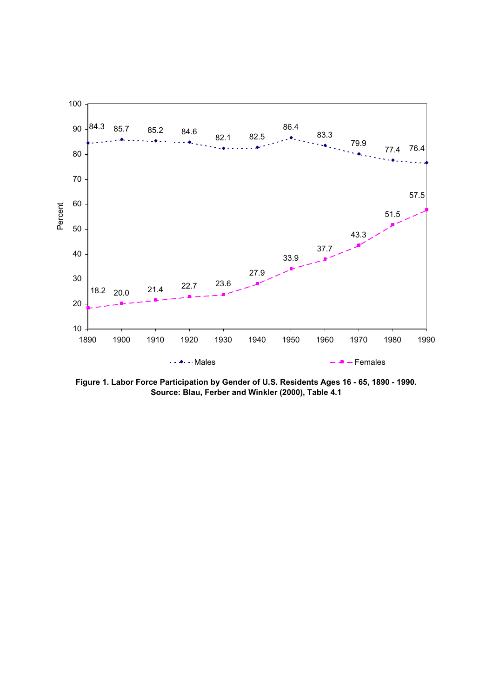

**Figure 1. Labor Force Participation by Gender of U.S. Residents Ages 16 - 65, 1890 - 1990. Source: Blau, Ferber and Winkler (2000), Table 4.1**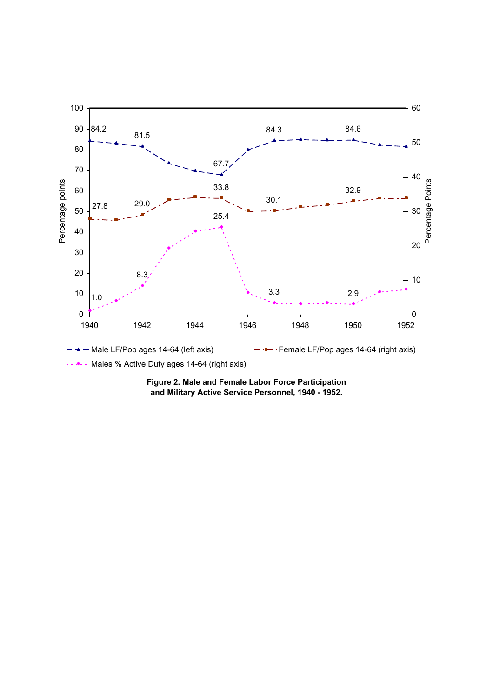

**Figure 2. Male and Female Labor Force Participation and Military Active Service Personnel, 1940 - 1952.**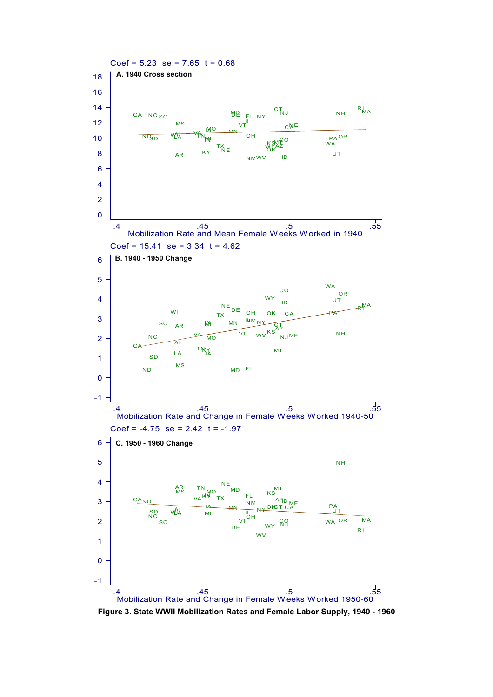

**Figure 3. State WWII Mobilization Rates and Female Labor Supply, 1940 - 1960**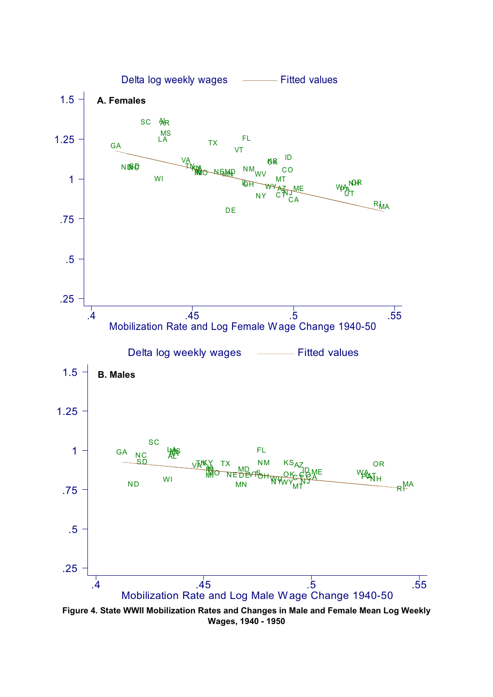

**Figure 4. State WWII Mobilization Rates and Changes in Male and Female Mean Log Weekly Wages, 1940 - 1950**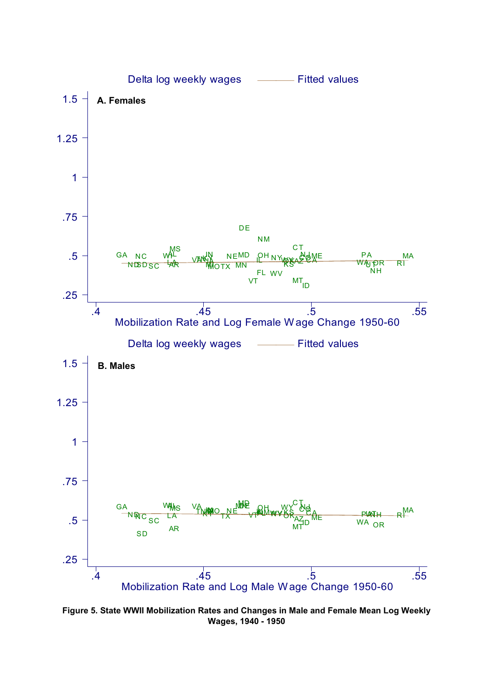

**Figure 5. State WWII Mobilization Rates and Changes in Male and Female Mean Log Weekly Wages, 1940 - 1950**